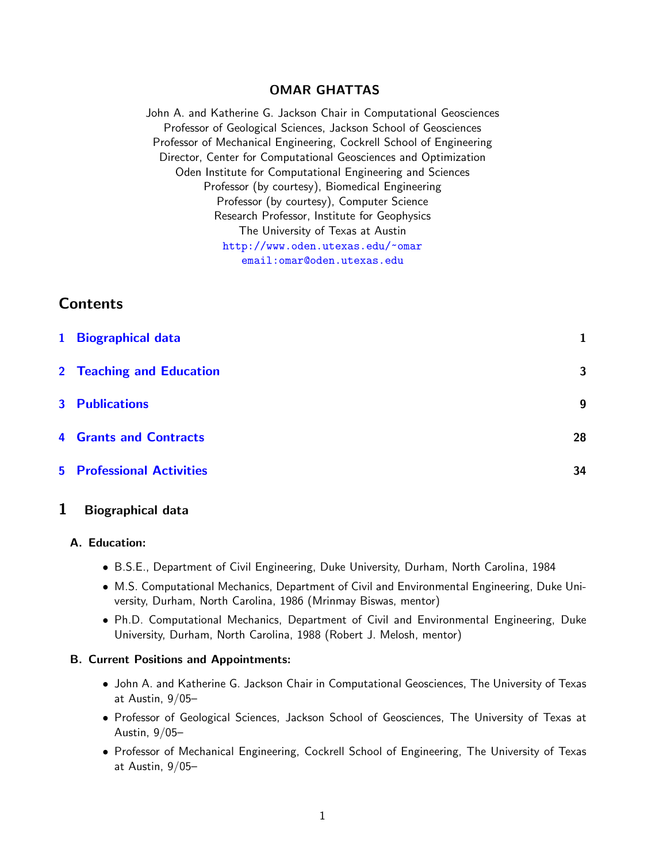## OMAR GHATTAS

John A. and Katherine G. Jackson Chair in Computational Geosciences Professor of Geological Sciences, Jackson School of Geosciences Professor of Mechanical Engineering, Cockrell School of Engineering Director, Center for Computational Geosciences and Optimization Oden Institute for Computational Engineering and Sciences Professor (by courtesy), Biomedical Engineering Professor (by courtesy), Computer Science Research Professor, Institute for Geophysics The University of Texas at Austin <http://www.oden.utexas.edu/~omar> [email:omar@oden.utexas.edu](email: omar@oden.utexas.edu)

# **Contents**

| 1 Biographical data              |    |
|----------------------------------|----|
| 2 Teaching and Education         | 3  |
| <b>3</b> Publications            | 9  |
| <b>4 Grants and Contracts</b>    | 28 |
| <b>5</b> Professional Activities | 34 |

## <span id="page-0-0"></span>1 Biographical data

### A. Education:

- B.S.E., Department of Civil Engineering, Duke University, Durham, North Carolina, 1984
- M.S. Computational Mechanics, Department of Civil and Environmental Engineering, Duke University, Durham, North Carolina, 1986 (Mrinmay Biswas, mentor)
- Ph.D. Computational Mechanics, Department of Civil and Environmental Engineering, Duke University, Durham, North Carolina, 1988 (Robert J. Melosh, mentor)

### B. Current Positions and Appointments:

- John A. and Katherine G. Jackson Chair in Computational Geosciences, The University of Texas at Austin, 9/05–
- Professor of Geological Sciences, Jackson School of Geosciences, The University of Texas at Austin, 9/05–
- Professor of Mechanical Engineering, Cockrell School of Engineering, The University of Texas at Austin, 9/05–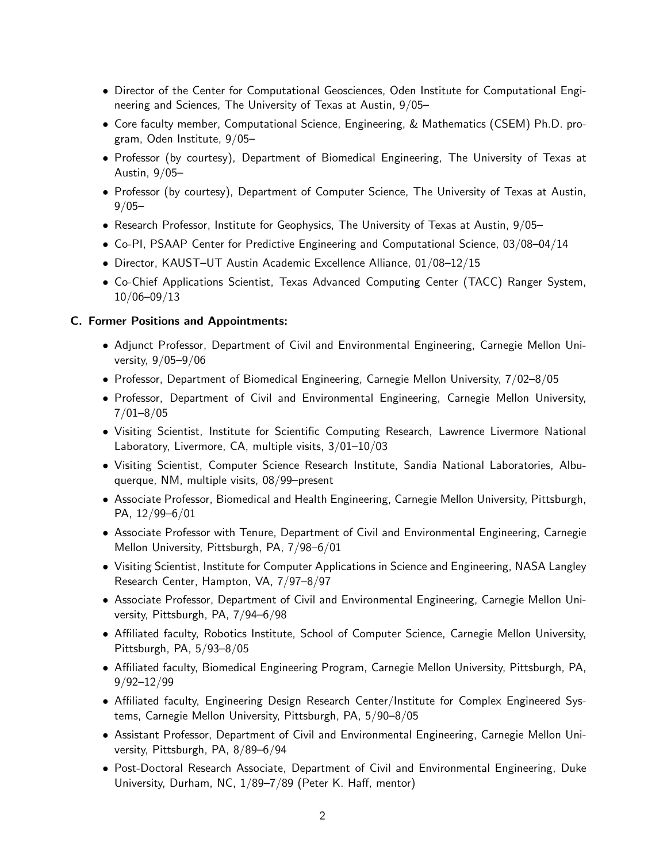- Director of the Center for Computational Geosciences, Oden Institute for Computational Engineering and Sciences, The University of Texas at Austin, 9/05–
- Core faculty member, Computational Science, Engineering, & Mathematics (CSEM) Ph.D. program, Oden Institute, 9/05–
- Professor (by courtesy), Department of Biomedical Engineering, The University of Texas at Austin, 9/05–
- Professor (by courtesy), Department of Computer Science, The University of Texas at Austin,  $9/05 -$
- Research Professor, Institute for Geophysics, The University of Texas at Austin, 9/05–
- Co-PI, PSAAP Center for Predictive Engineering and Computational Science, 03/08–04/14
- Director, KAUST–UT Austin Academic Excellence Alliance, 01/08–12/15
- Co-Chief Applications Scientist, Texas Advanced Computing Center (TACC) Ranger System, 10/06–09/13

#### C. Former Positions and Appointments:

- Adjunct Professor, Department of Civil and Environmental Engineering, Carnegie Mellon University, 9/05–9/06
- Professor, Department of Biomedical Engineering, Carnegie Mellon University, 7/02–8/05
- Professor, Department of Civil and Environmental Engineering, Carnegie Mellon University, 7/01–8/05
- Visiting Scientist, Institute for Scientific Computing Research, Lawrence Livermore National Laboratory, Livermore, CA, multiple visits, 3/01–10/03
- Visiting Scientist, Computer Science Research Institute, Sandia National Laboratories, Albuquerque, NM, multiple visits, 08/99–present
- Associate Professor, Biomedical and Health Engineering, Carnegie Mellon University, Pittsburgh, PA, 12/99–6/01
- Associate Professor with Tenure, Department of Civil and Environmental Engineering, Carnegie Mellon University, Pittsburgh, PA, 7/98–6/01
- Visiting Scientist, Institute for Computer Applications in Science and Engineering, NASA Langley Research Center, Hampton, VA, 7/97–8/97
- Associate Professor, Department of Civil and Environmental Engineering, Carnegie Mellon University, Pittsburgh, PA, 7/94–6/98
- Affiliated faculty, Robotics Institute, School of Computer Science, Carnegie Mellon University, Pittsburgh, PA, 5/93–8/05
- Affiliated faculty, Biomedical Engineering Program, Carnegie Mellon University, Pittsburgh, PA, 9/92–12/99
- Affiliated faculty, Engineering Design Research Center/Institute for Complex Engineered Systems, Carnegie Mellon University, Pittsburgh, PA, 5/90–8/05
- Assistant Professor, Department of Civil and Environmental Engineering, Carnegie Mellon University, Pittsburgh, PA, 8/89–6/94
- Post-Doctoral Research Associate, Department of Civil and Environmental Engineering, Duke University, Durham, NC, 1/89–7/89 (Peter K. Haff, mentor)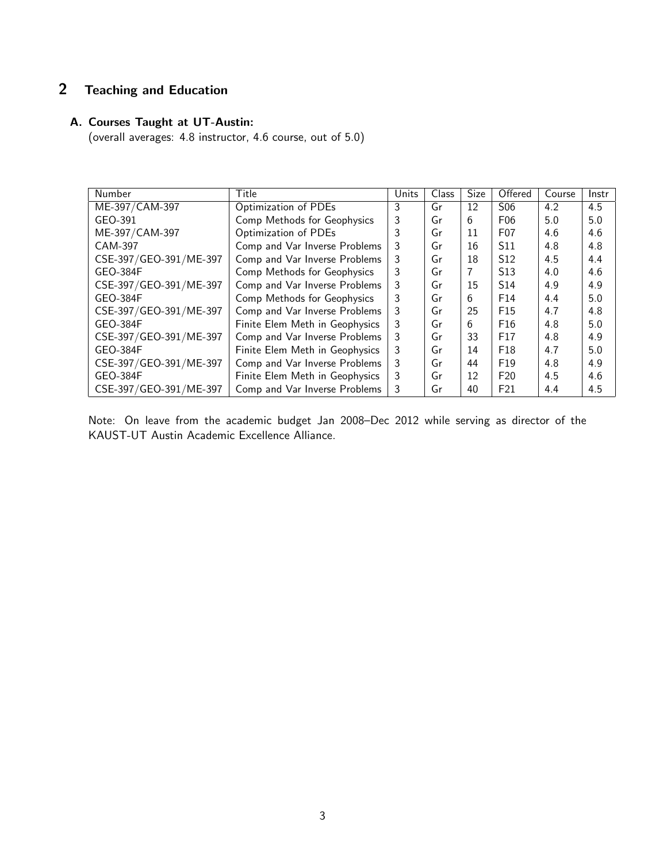# <span id="page-2-0"></span>2 Teaching and Education

## A. Courses Taught at UT-Austin:

(overall averages: 4.8 instructor, 4.6 course, out of 5.0)

| Number                 | Title                          | Units | Class | <b>Size</b> | Offered          | Course | Instr |
|------------------------|--------------------------------|-------|-------|-------------|------------------|--------|-------|
| ME-397/CAM-397         | Optimization of PDEs           | 3     | Gr    | 12          | S <sub>06</sub>  | 4.2    | 4.5   |
| GEO-391                | Comp Methods for Geophysics    | 3     | Gr    | 6           | F <sub>06</sub>  | 5.0    | 5.0   |
| ME-397/CAM-397         | Optimization of PDEs           | 3     | Gr    | 11          | F <sub>0</sub> 7 | 4.6    | 4.6   |
| <b>CAM-397</b>         | Comp and Var Inverse Problems  | 3     | Gr    | 16          | S <sub>11</sub>  | 4.8    | 4.8   |
| CSE-397/GEO-391/ME-397 | Comp and Var Inverse Problems  | 3     | Gr    | 18          | S <sub>12</sub>  | 4.5    | 4.4   |
| <b>GEO-384F</b>        | Comp Methods for Geophysics    | 3     | Gr    | 7           | S <sub>13</sub>  | 4.0    | 4.6   |
| CSE-397/GEO-391/ME-397 | Comp and Var Inverse Problems  | 3     | Gr    | 15          | S <sub>14</sub>  | 4.9    | 4.9   |
| <b>GEO-384F</b>        | Comp Methods for Geophysics    | 3     | Gr    | 6           | F <sub>14</sub>  | 4.4    | 5.0   |
| CSE-397/GEO-391/ME-397 | Comp and Var Inverse Problems  | 3     | Gr    | 25          | F <sub>15</sub>  | 4.7    | 4.8   |
| <b>GEO-384F</b>        | Finite Elem Meth in Geophysics | 3     | Gr    | 6           | F <sub>16</sub>  | 4.8    | 5.0   |
| CSE-397/GEO-391/ME-397 | Comp and Var Inverse Problems  | 3     | Gr    | 33          | F17              | 4.8    | 4.9   |
| <b>GEO-384F</b>        | Finite Elem Meth in Geophysics | 3     | Gr    | 14          | F <sub>18</sub>  | 4.7    | 5.0   |
| CSE-397/GEO-391/ME-397 | Comp and Var Inverse Problems  | 3     | Gr    | 44          | F <sub>19</sub>  | 4.8    | 4.9   |
| <b>GEO-384F</b>        | Finite Elem Meth in Geophysics | 3     | Gr    | 12          | F20              | 4.5    | 4.6   |
| CSE-397/GEO-391/ME-397 | Comp and Var Inverse Problems  | 3     | Gr    | 40          | F21              | 4.4    | 4.5   |

Note: On leave from the academic budget Jan 2008–Dec 2012 while serving as director of the KAUST-UT Austin Academic Excellence Alliance.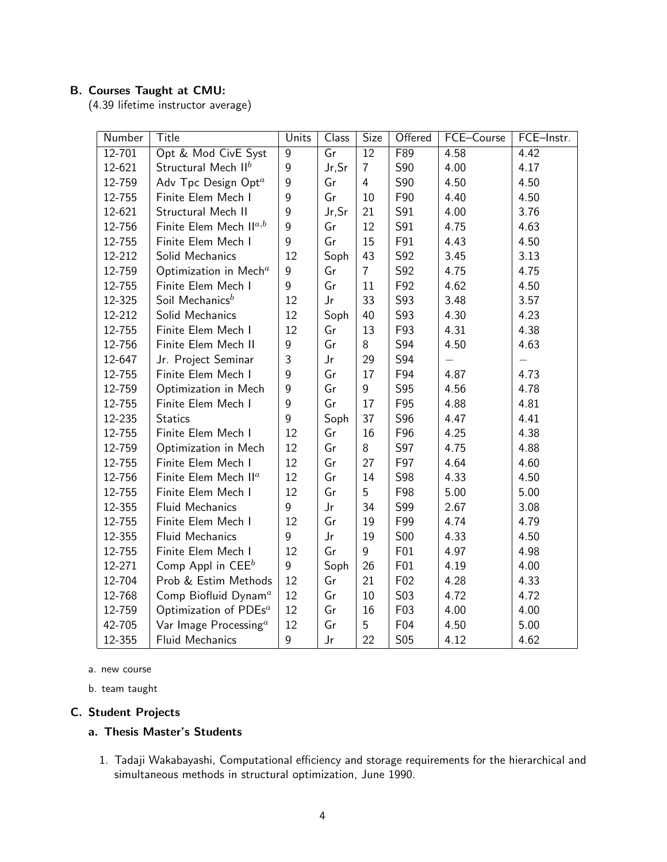## B. Courses Taught at CMU:

(4.39 lifetime instructor average)

| Number     | Title                                | Units            | Class                    | Size            | Offered         | FCE-Course | FCE-Instr. |
|------------|--------------------------------------|------------------|--------------------------|-----------------|-----------------|------------|------------|
| $12 - 701$ | Opt & Mod CivE Syst                  | $\overline{9}$   | $\overline{\mathsf{Gr}}$ | $\overline{12}$ | F89             | 4.58       | 4.42       |
| 12-621     | Structural Mech II <sup>b</sup>      | $\boldsymbol{9}$ | Jr, Sr                   | $\overline{7}$  | S90             | 4.00       | 4.17       |
| 12-759     | Adv Tpc Design Opt <sup>a</sup>      | $\overline{9}$   | Gr                       | $\overline{4}$  | S90             | 4.50       | 4.50       |
| 12-755     | Finite Elem Mech I                   | 9                | Gr                       | 10              | F90             | 4.40       | 4.50       |
| 12-621     | Structural Mech II                   | 9                | Jr, Sr                   | 21              | S91             | 4.00       | 3.76       |
| 12-756     | Finite Elem Mech $\mathsf{II}^{a,b}$ | 9                | Gr                       | 12              | S91             | 4.75       | 4.63       |
| 12-755     | Finite Elem Mech I                   | 9                | Gr                       | 15              | F91             | 4.43       | 4.50       |
| 12-212     | Solid Mechanics                      | 12               | Soph                     | 43              | S92             | 3.45       | 3.13       |
| 12-759     | Optimization in Mech <sup>a</sup>    | 9                | Gr                       | $\overline{7}$  | S92             | 4.75       | 4.75       |
| 12-755     | Finite Elem Mech I                   | 9                | Gr                       | 11              | F92             | 4.62       | 4.50       |
| 12-325     | Soil Mechanics <sup>b</sup>          | 12               | $\mathsf{Jr}$            | 33              | S93             | 3.48       | 3.57       |
| 12-212     | Solid Mechanics                      | 12               | Soph                     | 40              | S93             | 4.30       | 4.23       |
| 12-755     | Finite Elem Mech I                   | 12               | Gr                       | 13              | F93             | 4.31       | 4.38       |
| 12-756     | Finite Elem Mech II                  | 9                | Gr                       | 8               | S94             | 4.50       | 4.63       |
| 12-647     | Jr. Project Seminar                  | 3                | Jr                       | 29              | S94             |            |            |
| 12-755     | Finite Elem Mech I                   | 9                | Gr                       | 17              | F94             | 4.87       | 4.73       |
| 12-759     | Optimization in Mech                 | 9                | Gr                       | 9               | S95             | 4.56       | 4.78       |
| 12-755     | Finite Elem Mech I                   | $\overline{9}$   | Gr                       | 17              | F95             | 4.88       | 4.81       |
| 12-235     | <b>Statics</b>                       | 9                | Soph                     | 37              | S96             | 4.47       | 4.41       |
| 12-755     | Finite Elem Mech I                   | 12               | Gr                       | 16              | F96             | 4.25       | 4.38       |
| 12-759     | Optimization in Mech                 | 12               | Gr                       | 8               | S97             | 4.75       | 4.88       |
| 12-755     | Finite Elem Mech I                   | 12               | Gr                       | 27              | F97             | 4.64       | 4.60       |
| 12-756     | Finite Elem Mech II <sup>a</sup>     | 12               | Gr                       | 14              | S98             | 4.33       | 4.50       |
| 12-755     | Finite Elem Mech I                   | 12               | Gr                       | 5               | F98             | 5.00       | 5.00       |
| 12-355     | Fluid Mechanics                      | 9                | $\mathsf{Jr}$            | 34              | S99             | 2.67       | 3.08       |
| 12-755     | Finite Elem Mech I                   | 12               | Gr                       | 19              | F99             | 4.74       | 4.79       |
| 12-355     | <b>Fluid Mechanics</b>               | 9                | Jr                       | 19              | <b>S00</b>      | 4.33       | 4.50       |
| 12-755     | Finite Elem Mech I                   | 12               | Gr                       | 9               | F01             | 4.97       | 4.98       |
| 12-271     | Comp Appl in $CEEb$                  | 9                | Soph                     | 26              | F01             | 4.19       | 4.00       |
| 12-704     | Prob & Estim Methods                 | 12               | Gr                       | 21              | F <sub>02</sub> | 4.28       | 4.33       |
| 12-768     | Comp Biofluid Dynam <sup>a</sup>     | 12               | Gr                       | 10              | S03             | 4.72       | 4.72       |
| 12-759     | Optimization of PDEs <sup>a</sup>    | 12               | Gr                       | 16              | F03             | 4.00       | 4.00       |
| 42-705     | Var Image Processing $a$             | 12               | Gr                       | 5               | F04             | 4.50       | 5.00       |
| 12-355     | <b>Fluid Mechanics</b>               | 9                | $\mathsf{Jr}$            | 22              | S05             | 4.12       | 4.62       |

a. new course

b. team taught

## C. Student Projects

## a. Thesis Master's Students

1. Tadaji Wakabayashi, Computational efficiency and storage requirements for the hierarchical and simultaneous methods in structural optimization, June 1990.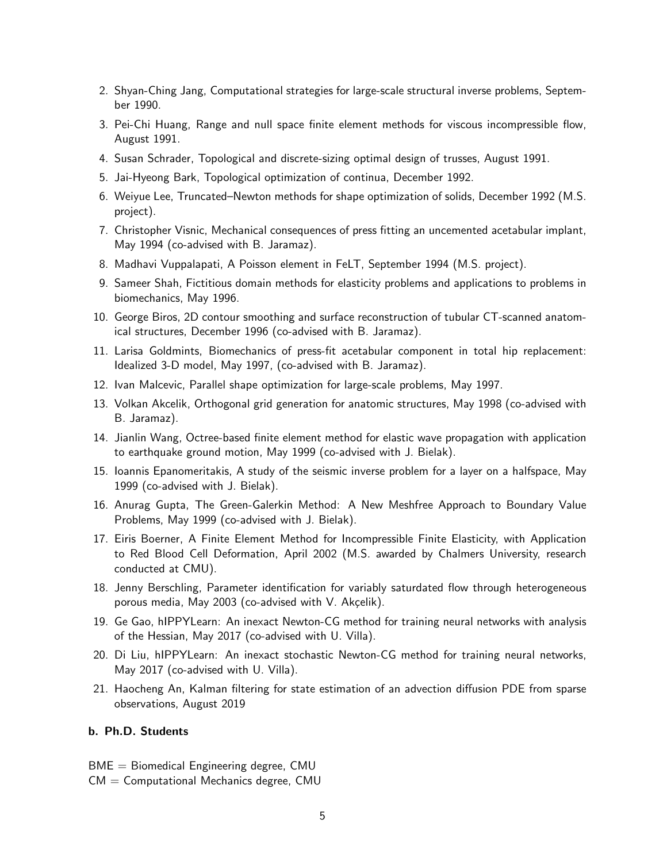- 2. Shyan-Ching Jang, Computational strategies for large-scale structural inverse problems, September 1990.
- 3. Pei-Chi Huang, Range and null space finite element methods for viscous incompressible flow, August 1991.
- 4. Susan Schrader, Topological and discrete-sizing optimal design of trusses, August 1991.
- 5. Jai-Hyeong Bark, Topological optimization of continua, December 1992.
- 6. Weiyue Lee, Truncated–Newton methods for shape optimization of solids, December 1992 (M.S. project).
- 7. Christopher Visnic, Mechanical consequences of press fitting an uncemented acetabular implant, May 1994 (co-advised with B. Jaramaz).
- 8. Madhavi Vuppalapati, A Poisson element in FeLT, September 1994 (M.S. project).
- 9. Sameer Shah, Fictitious domain methods for elasticity problems and applications to problems in biomechanics, May 1996.
- 10. George Biros, 2D contour smoothing and surface reconstruction of tubular CT-scanned anatomical structures, December 1996 (co-advised with B. Jaramaz).
- 11. Larisa Goldmints, Biomechanics of press-fit acetabular component in total hip replacement: Idealized 3-D model, May 1997, (co-advised with B. Jaramaz).
- 12. Ivan Malcevic, Parallel shape optimization for large-scale problems, May 1997.
- 13. Volkan Akcelik, Orthogonal grid generation for anatomic structures, May 1998 (co-advised with B. Jaramaz).
- 14. Jianlin Wang, Octree-based finite element method for elastic wave propagation with application to earthquake ground motion, May 1999 (co-advised with J. Bielak).
- 15. Ioannis Epanomeritakis, A study of the seismic inverse problem for a layer on a halfspace, May 1999 (co-advised with J. Bielak).
- 16. Anurag Gupta, The Green-Galerkin Method: A New Meshfree Approach to Boundary Value Problems, May 1999 (co-advised with J. Bielak).
- 17. Eiris Boerner, A Finite Element Method for Incompressible Finite Elasticity, with Application to Red Blood Cell Deformation, April 2002 (M.S. awarded by Chalmers University, research conducted at CMU).
- 18. Jenny Berschling, Parameter identification for variably saturdated flow through heterogeneous porous media, May 2003 (co-advised with V. Akçelik).
- 19. Ge Gao, hIPPYLearn: An inexact Newton-CG method for training neural networks with analysis of the Hessian, May 2017 (co-advised with U. Villa).
- 20. Di Liu, hIPPYLearn: An inexact stochastic Newton-CG method for training neural networks, May 2017 (co-advised with U. Villa).
- 21. Haocheng An, Kalman filtering for state estimation of an advection diffusion PDE from sparse observations, August 2019

#### b. Ph.D. Students

- $BME = Biomedical Engineering degree, CMU$
- $CM =$  Computational Mechanics degree, CMU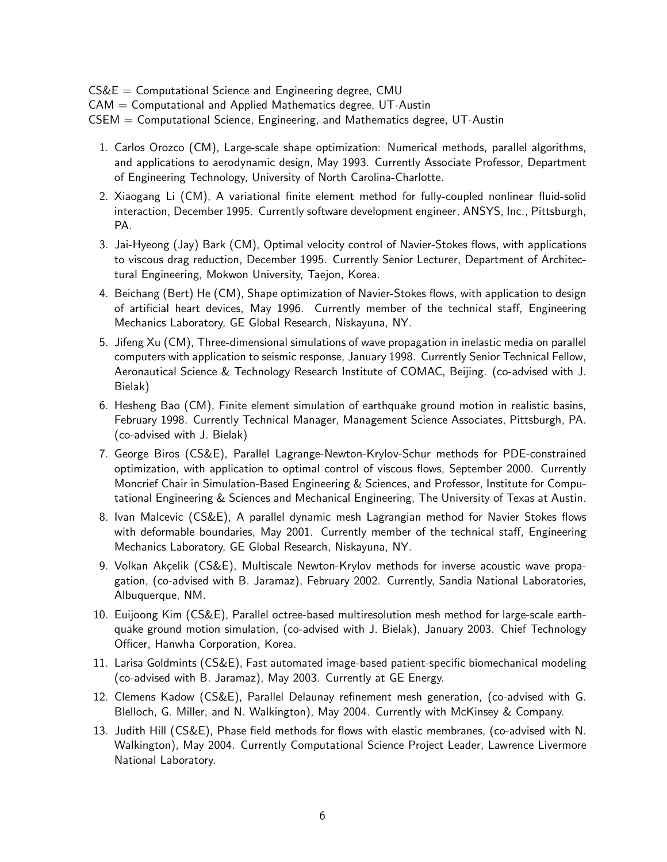$CS&E =$  Computational Science and Engineering degree, CMU

 $CAM = Computational$  and Applied Mathematics degree, UT-Austin

CSEM = Computational Science, Engineering, and Mathematics degree, UT-Austin

- 1. Carlos Orozco (CM), Large-scale shape optimization: Numerical methods, parallel algorithms, and applications to aerodynamic design, May 1993. Currently Associate Professor, Department of Engineering Technology, University of North Carolina-Charlotte.
- 2. Xiaogang Li (CM), A variational finite element method for fully-coupled nonlinear fluid-solid interaction, December 1995. Currently software development engineer, ANSYS, Inc., Pittsburgh, PA.
- 3. Jai-Hyeong (Jay) Bark (CM), Optimal velocity control of Navier-Stokes flows, with applications to viscous drag reduction, December 1995. Currently Senior Lecturer, Department of Architectural Engineering, Mokwon University, Taejon, Korea.
- 4. Beichang (Bert) He (CM), Shape optimization of Navier-Stokes flows, with application to design of artificial heart devices, May 1996. Currently member of the technical staff, Engineering Mechanics Laboratory, GE Global Research, Niskayuna, NY.
- 5. Jifeng Xu (CM), Three-dimensional simulations of wave propagation in inelastic media on parallel computers with application to seismic response, January 1998. Currently Senior Technical Fellow, Aeronautical Science & Technology Research Institute of COMAC, Beijing. (co-advised with J. Bielak)
- 6. Hesheng Bao (CM), Finite element simulation of earthquake ground motion in realistic basins, February 1998. Currently Technical Manager, Management Science Associates, Pittsburgh, PA. (co-advised with J. Bielak)
- 7. George Biros (CS&E), Parallel Lagrange-Newton-Krylov-Schur methods for PDE-constrained optimization, with application to optimal control of viscous flows, September 2000. Currently Moncrief Chair in Simulation-Based Engineering & Sciences, and Professor, Institute for Computational Engineering & Sciences and Mechanical Engineering, The University of Texas at Austin.
- 8. Ivan Malcevic (CS&E), A parallel dynamic mesh Lagrangian method for Navier Stokes flows with deformable boundaries, May 2001. Currently member of the technical staff, Engineering Mechanics Laboratory, GE Global Research, Niskayuna, NY.
- 9. Volkan Akçelik (CS&E), Multiscale Newton-Krylov methods for inverse acoustic wave propagation, (co-advised with B. Jaramaz), February 2002. Currently, Sandia National Laboratories, Albuquerque, NM.
- 10. Euijoong Kim (CS&E), Parallel octree-based multiresolution mesh method for large-scale earthquake ground motion simulation, (co-advised with J. Bielak), January 2003. Chief Technology Officer, Hanwha Corporation, Korea.
- 11. Larisa Goldmints (CS&E), Fast automated image-based patient-specific biomechanical modeling (co-advised with B. Jaramaz), May 2003. Currently at GE Energy.
- 12. Clemens Kadow (CS&E), Parallel Delaunay refinement mesh generation, (co-advised with G. Blelloch, G. Miller, and N. Walkington), May 2004. Currently with McKinsey & Company.
- 13. Judith Hill (CS&E), Phase field methods for flows with elastic membranes, (co-advised with N. Walkington), May 2004. Currently Computational Science Project Leader, Lawrence Livermore National Laboratory.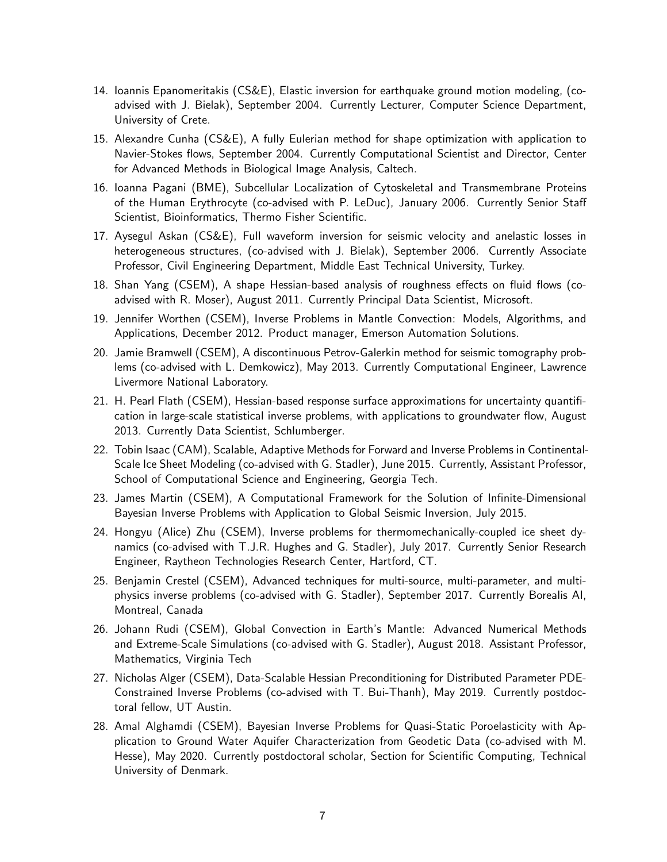- 14. Ioannis Epanomeritakis (CS&E), Elastic inversion for earthquake ground motion modeling, (coadvised with J. Bielak), September 2004. Currently Lecturer, Computer Science Department, University of Crete.
- 15. Alexandre Cunha (CS&E), A fully Eulerian method for shape optimization with application to Navier-Stokes flows, September 2004. Currently Computational Scientist and Director, Center for Advanced Methods in Biological Image Analysis, Caltech.
- 16. Ioanna Pagani (BME), Subcellular Localization of Cytoskeletal and Transmembrane Proteins of the Human Erythrocyte (co-advised with P. LeDuc), January 2006. Currently Senior Staff Scientist, Bioinformatics, Thermo Fisher Scientific.
- 17. Aysegul Askan (CS&E), Full waveform inversion for seismic velocity and anelastic losses in heterogeneous structures, (co-advised with J. Bielak), September 2006. Currently Associate Professor, Civil Engineering Department, Middle East Technical University, Turkey.
- 18. Shan Yang (CSEM), A shape Hessian-based analysis of roughness effects on fluid flows (coadvised with R. Moser), August 2011. Currently Principal Data Scientist, Microsoft.
- 19. Jennifer Worthen (CSEM), Inverse Problems in Mantle Convection: Models, Algorithms, and Applications, December 2012. Product manager, Emerson Automation Solutions.
- 20. Jamie Bramwell (CSEM), A discontinuous Petrov-Galerkin method for seismic tomography problems (co-advised with L. Demkowicz), May 2013. Currently Computational Engineer, Lawrence Livermore National Laboratory.
- 21. H. Pearl Flath (CSEM), Hessian-based response surface approximations for uncertainty quantification in large-scale statistical inverse problems, with applications to groundwater flow, August 2013. Currently Data Scientist, Schlumberger.
- 22. Tobin Isaac (CAM), Scalable, Adaptive Methods for Forward and Inverse Problems in Continental-Scale Ice Sheet Modeling (co-advised with G. Stadler), June 2015. Currently, Assistant Professor, School of Computational Science and Engineering, Georgia Tech.
- 23. James Martin (CSEM), A Computational Framework for the Solution of Infinite-Dimensional Bayesian Inverse Problems with Application to Global Seismic Inversion, July 2015.
- 24. Hongyu (Alice) Zhu (CSEM), Inverse problems for thermomechanically-coupled ice sheet dynamics (co-advised with T.J.R. Hughes and G. Stadler), July 2017. Currently Senior Research Engineer, Raytheon Technologies Research Center, Hartford, CT.
- 25. Benjamin Crestel (CSEM), Advanced techniques for multi-source, multi-parameter, and multiphysics inverse problems (co-advised with G. Stadler), September 2017. Currently Borealis AI, Montreal, Canada
- 26. Johann Rudi (CSEM), Global Convection in Earth's Mantle: Advanced Numerical Methods and Extreme-Scale Simulations (co-advised with G. Stadler), August 2018. Assistant Professor, Mathematics, Virginia Tech
- 27. Nicholas Alger (CSEM), Data-Scalable Hessian Preconditioning for Distributed Parameter PDE-Constrained Inverse Problems (co-advised with T. Bui-Thanh), May 2019. Currently postdoctoral fellow, UT Austin.
- 28. Amal Alghamdi (CSEM), Bayesian Inverse Problems for Quasi-Static Poroelasticity with Application to Ground Water Aquifer Characterization from Geodetic Data (co-advised with M. Hesse), May 2020. Currently postdoctoral scholar, Section for Scientific Computing, Technical University of Denmark.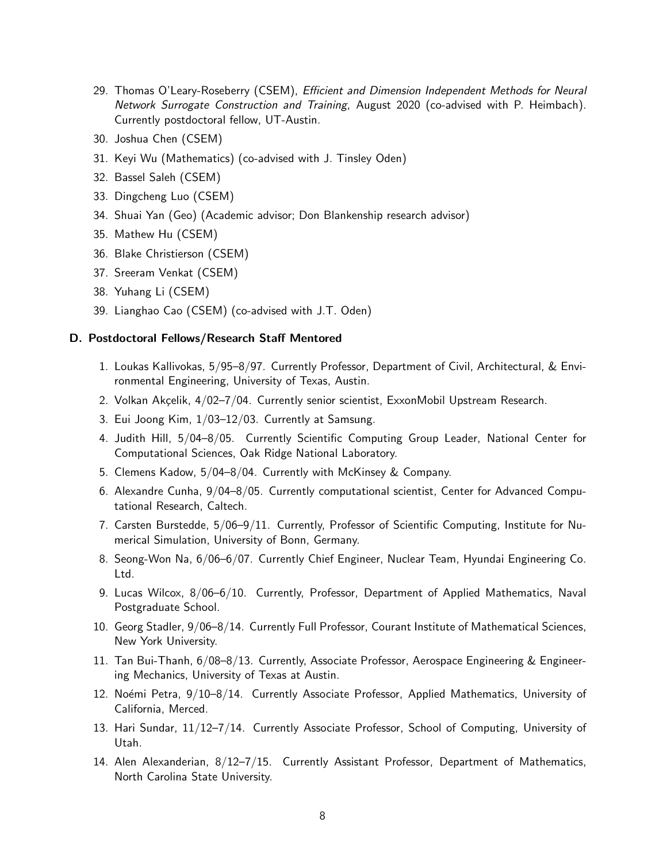- 29. Thomas O'Leary-Roseberry (CSEM), Efficient and Dimension Independent Methods for Neural Network Surrogate Construction and Training, August 2020 (co-advised with P. Heimbach). Currently postdoctoral fellow, UT-Austin.
- 30. Joshua Chen (CSEM)
- 31. Keyi Wu (Mathematics) (co-advised with J. Tinsley Oden)
- 32. Bassel Saleh (CSEM)
- 33. Dingcheng Luo (CSEM)
- 34. Shuai Yan (Geo) (Academic advisor; Don Blankenship research advisor)
- 35. Mathew Hu (CSEM)
- 36. Blake Christierson (CSEM)
- 37. Sreeram Venkat (CSEM)
- 38. Yuhang Li (CSEM)
- 39. Lianghao Cao (CSEM) (co-advised with J.T. Oden)

#### D. Postdoctoral Fellows/Research Staff Mentored

- 1. Loukas Kallivokas, 5/95–8/97. Currently Professor, Department of Civil, Architectural, & Environmental Engineering, University of Texas, Austin.
- 2. Volkan Akçelik, 4/02–7/04. Currently senior scientist, ExxonMobil Upstream Research.
- 3. Eui Joong Kim, 1/03–12/03. Currently at Samsung.
- 4. Judith Hill, 5/04–8/05. Currently Scientific Computing Group Leader, National Center for Computational Sciences, Oak Ridge National Laboratory.
- 5. Clemens Kadow, 5/04–8/04. Currently with McKinsey & Company.
- 6. Alexandre Cunha, 9/04–8/05. Currently computational scientist, Center for Advanced Computational Research, Caltech.
- 7. Carsten Burstedde, 5/06–9/11. Currently, Professor of Scientific Computing, Institute for Numerical Simulation, University of Bonn, Germany.
- 8. Seong-Won Na, 6/06–6/07. Currently Chief Engineer, Nuclear Team, Hyundai Engineering Co. Ltd.
- 9. Lucas Wilcox, 8/06–6/10. Currently, Professor, Department of Applied Mathematics, Naval Postgraduate School.
- 10. Georg Stadler, 9/06–8/14. Currently Full Professor, Courant Institute of Mathematical Sciences, New York University.
- 11. Tan Bui-Thanh, 6/08–8/13. Currently, Associate Professor, Aerospace Engineering & Engineering Mechanics, University of Texas at Austin.
- 12. Noémi Petra, 9/10–8/14. Currently Associate Professor, Applied Mathematics, University of California, Merced.
- 13. Hari Sundar, 11/12–7/14. Currently Associate Professor, School of Computing, University of Utah.
- 14. Alen Alexanderian, 8/12–7/15. Currently Assistant Professor, Department of Mathematics, North Carolina State University.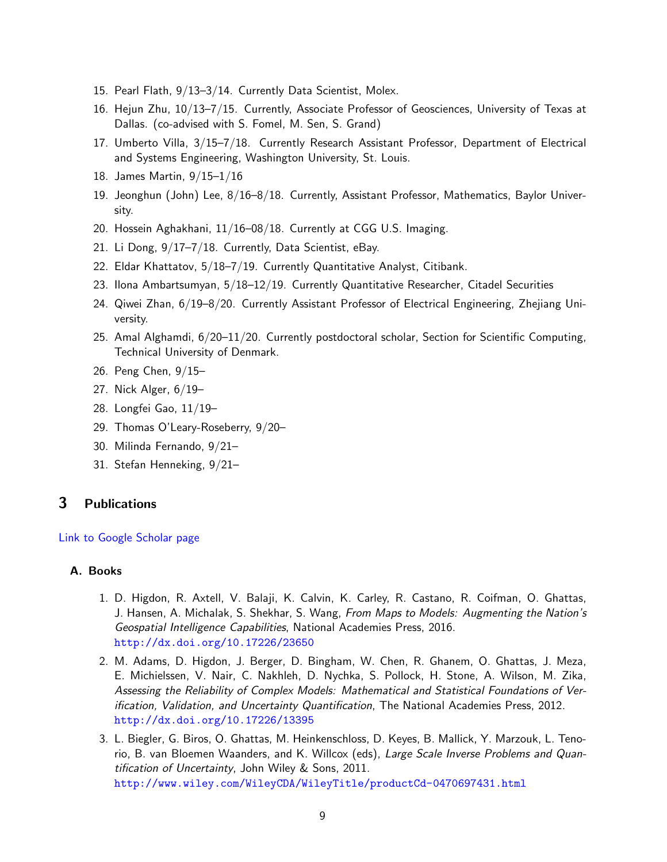- 15. Pearl Flath, 9/13–3/14. Currently Data Scientist, Molex.
- 16. Hejun Zhu, 10/13–7/15. Currently, Associate Professor of Geosciences, University of Texas at Dallas. (co-advised with S. Fomel, M. Sen, S. Grand)
- 17. Umberto Villa, 3/15–7/18. Currently Research Assistant Professor, Department of Electrical and Systems Engineering, Washington University, St. Louis.
- 18. James Martin, 9/15–1/16
- 19. Jeonghun (John) Lee, 8/16–8/18. Currently, Assistant Professor, Mathematics, Baylor University.
- 20. Hossein Aghakhani, 11/16–08/18. Currently at CGG U.S. Imaging.
- 21. Li Dong, 9/17–7/18. Currently, Data Scientist, eBay.
- 22. Eldar Khattatov, 5/18–7/19. Currently Quantitative Analyst, Citibank.
- 23. Ilona Ambartsumyan, 5/18–12/19. Currently Quantitative Researcher, Citadel Securities
- 24. Qiwei Zhan, 6/19–8/20. Currently Assistant Professor of Electrical Engineering, Zhejiang University.
- 25. Amal Alghamdi, 6/20–11/20. Currently postdoctoral scholar, Section for Scientific Computing, Technical University of Denmark.
- 26. Peng Chen, 9/15–
- 27. Nick Alger, 6/19–
- 28. Longfei Gao, 11/19–
- 29. Thomas O'Leary-Roseberry, 9/20–
- 30. Milinda Fernando, 9/21–
- 31. Stefan Henneking, 9/21–

## <span id="page-8-0"></span>3 Publications

#### [Link to Google Scholar page](http://scholar.google.com/citations?hl=en&user=A5vhsIYAAAAJ&view_op=list_works)

#### A. Books

- 1. D. Higdon, R. Axtell, V. Balaji, K. Calvin, K. Carley, R. Castano, R. Coifman, O. Ghattas, J. Hansen, A. Michalak, S. Shekhar, S. Wang, From Maps to Models: Augmenting the Nation's Geospatial Intelligence Capabilities, National Academies Press, 2016. <http://dx.doi.org/10.17226/23650>
- 2. M. Adams, D. Higdon, J. Berger, D. Bingham, W. Chen, R. Ghanem, O. Ghattas, J. Meza, E. Michielssen, V. Nair, C. Nakhleh, D. Nychka, S. Pollock, H. Stone, A. Wilson, M. Zika, Assessing the Reliability of Complex Models: Mathematical and Statistical Foundations of Verification, Validation, and Uncertainty Quantification, The National Academies Press, 2012. <http://dx.doi.org/10.17226/13395>
- 3. L. Biegler, G. Biros, O. Ghattas, M. Heinkenschloss, D. Keyes, B. Mallick, Y. Marzouk, L. Tenorio, B. van Bloemen Waanders, and K. Willcox (eds), Large Scale Inverse Problems and Quantification of Uncertainty, John Wiley & Sons, 2011. <http://www.wiley.com/WileyCDA/WileyTitle/productCd-0470697431.html>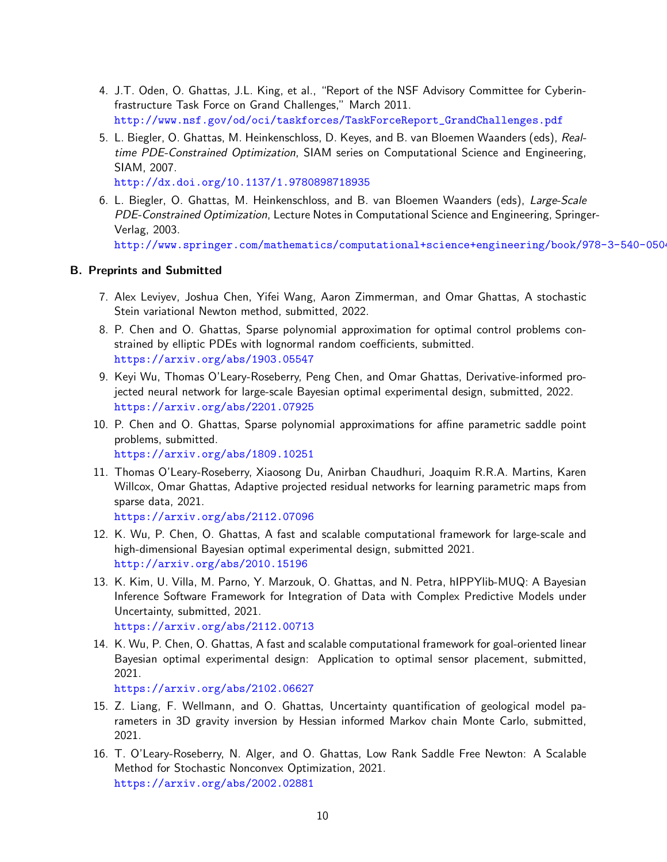- 4. J.T. Oden, O. Ghattas, J.L. King, et al., "Report of the NSF Advisory Committee for Cyberinfrastructure Task Force on Grand Challenges," March 2011. [http://www.nsf.gov/od/oci/taskforces/TaskForceReport\\_GrandChallenges.pdf](http://www.nsf.gov/od/oci/taskforces/TaskForceReport_GrandChallenges.pdf)
- 5. L. Biegler, O. Ghattas, M. Heinkenschloss, D. Keyes, and B. van Bloemen Waanders (eds), Realtime PDE-Constrained Optimization, SIAM series on Computational Science and Engineering, SIAM, 2007.

<http://dx.doi.org/10.1137/1.9780898718935>

6. L. Biegler, O. Ghattas, M. Heinkenschloss, and B. van Bloemen Waanders (eds), Large-Scale PDE-Constrained Optimization, Lecture Notes in Computational Science and Engineering, Springer-Verlag, 2003.

http://www.springer.com/mathematics/computational+science+engineering/book/978-3-540-050-

#### B. Preprints and Submitted

- 7. Alex Leviyev, Joshua Chen, Yifei Wang, Aaron Zimmerman, and Omar Ghattas, A stochastic Stein variational Newton method, submitted, 2022.
- 8. P. Chen and O. Ghattas, Sparse polynomial approximation for optimal control problems constrained by elliptic PDEs with lognormal random coefficients, submitted. <https://arxiv.org/abs/1903.05547>
- 9. Keyi Wu, Thomas O'Leary-Roseberry, Peng Chen, and Omar Ghattas, Derivative-informed projected neural network for large-scale Bayesian optimal experimental design, submitted, 2022. <https://arxiv.org/abs/2201.07925>
- 10. P. Chen and O. Ghattas, Sparse polynomial approximations for affine parametric saddle point problems, submitted. <https://arxiv.org/abs/1809.10251>
- 11. Thomas O'Leary-Roseberry, Xiaosong Du, Anirban Chaudhuri, Joaquim R.R.A. Martins, Karen Willcox, Omar Ghattas, Adaptive projected residual networks for learning parametric maps from

```
sparse data, 2021.
https://arxiv.org/abs/2112.07096
```
- 12. K. Wu, P. Chen, O. Ghattas, A fast and scalable computational framework for large-scale and high-dimensional Bayesian optimal experimental design, submitted 2021. <http://arxiv.org/abs/2010.15196>
- 13. K. Kim, U. Villa, M. Parno, Y. Marzouk, O. Ghattas, and N. Petra, hIPPYlib-MUQ: A Bayesian Inference Software Framework for Integration of Data with Complex Predictive Models under Uncertainty, submitted, 2021. <https://arxiv.org/abs/2112.00713>
- 14. K. Wu, P. Chen, O. Ghattas, A fast and scalable computational framework for goal-oriented linear Bayesian optimal experimental design: Application to optimal sensor placement, submitted, 2021.

```
https://arxiv.org/abs/2102.06627
```
- 15. Z. Liang, F. Wellmann, and O. Ghattas, Uncertainty quantification of geological model parameters in 3D gravity inversion by Hessian informed Markov chain Monte Carlo, submitted, 2021.
- 16. T. O'Leary-Roseberry, N. Alger, and O. Ghattas, Low Rank Saddle Free Newton: A Scalable Method for Stochastic Nonconvex Optimization, 2021. <https://arxiv.org/abs/2002.02881>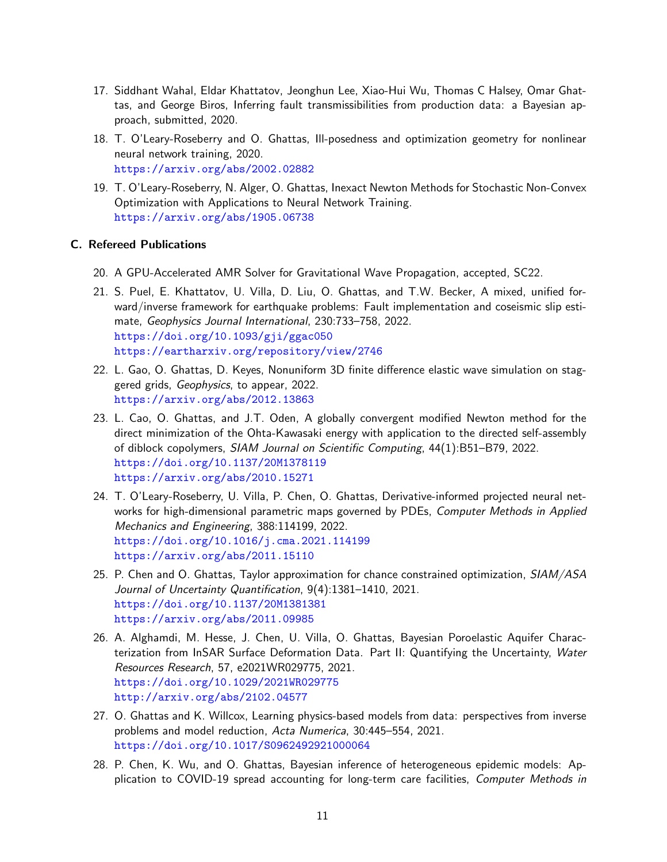- 17. Siddhant Wahal, Eldar Khattatov, Jeonghun Lee, Xiao-Hui Wu, Thomas C Halsey, Omar Ghattas, and George Biros, Inferring fault transmissibilities from production data: a Bayesian approach, submitted, 2020.
- 18. T. O'Leary-Roseberry and O. Ghattas, Ill-posedness and optimization geometry for nonlinear neural network training, 2020. <https://arxiv.org/abs/2002.02882>
- 19. T. O'Leary-Roseberry, N. Alger, O. Ghattas, Inexact Newton Methods for Stochastic Non-Convex Optimization with Applications to Neural Network Training. <https://arxiv.org/abs/1905.06738>

### C. Refereed Publications

- 20. A GPU-Accelerated AMR Solver for Gravitational Wave Propagation, accepted, SC22.
- 21. S. Puel, E. Khattatov, U. Villa, D. Liu, O. Ghattas, and T.W. Becker, A mixed, unified forward/inverse framework for earthquake problems: Fault implementation and coseismic slip estimate, Geophysics Journal International, 230:733–758, 2022. <https://doi.org/10.1093/gji/ggac050> <https://eartharxiv.org/repository/view/2746>
- 22. L. Gao, O. Ghattas, D. Keyes, Nonuniform 3D finite difference elastic wave simulation on staggered grids, Geophysics, to appear, 2022. <https://arxiv.org/abs/2012.13863>
- 23. L. Cao, O. Ghattas, and J.T. Oden, A globally convergent modified Newton method for the direct minimization of the Ohta-Kawasaki energy with application to the directed self-assembly of diblock copolymers, SIAM Journal on Scientific Computing, 44(1):B51–B79, 2022. <https://doi.org/10.1137/20M1378119> <https://arxiv.org/abs/2010.15271>
- 24. T. O'Leary-Roseberry, U. Villa, P. Chen, O. Ghattas, Derivative-informed projected neural networks for high-dimensional parametric maps governed by PDEs, Computer Methods in Applied Mechanics and Engineering, 388:114199, 2022. <https://doi.org/10.1016/j.cma.2021.114199> <https://arxiv.org/abs/2011.15110>
- 25. P. Chen and O. Ghattas, Taylor approximation for chance constrained optimization, SIAM/ASA Journal of Uncertainty Quantification, 9(4):1381–1410, 2021. <https://doi.org/10.1137/20M1381381> <https://arxiv.org/abs/2011.09985>
- 26. A. Alghamdi, M. Hesse, J. Chen, U. Villa, O. Ghattas, Bayesian Poroelastic Aquifer Characterization from InSAR Surface Deformation Data. Part II: Quantifying the Uncertainty, Water Resources Research, 57, e2021WR029775, 2021. <https://doi.org/10.1029/2021WR029775> <http://arxiv.org/abs/2102.04577>
- 27. O. Ghattas and K. Willcox, Learning physics-based models from data: perspectives from inverse problems and model reduction, Acta Numerica, 30:445-554, 2021. <https://doi.org/10.1017/S0962492921000064>
- 28. P. Chen, K. Wu, and O. Ghattas, Bayesian inference of heterogeneous epidemic models: Application to COVID-19 spread accounting for long-term care facilities, Computer Methods in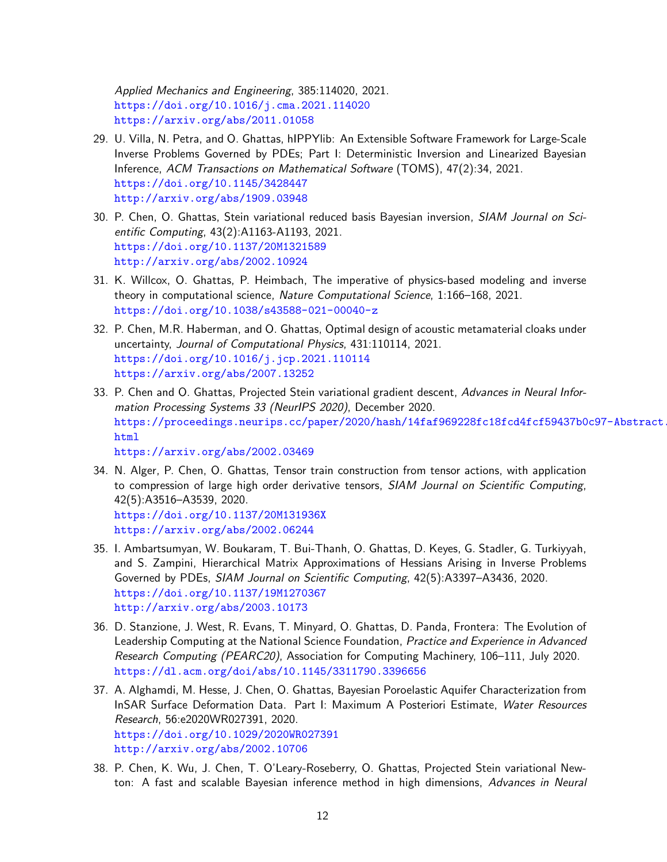Applied Mechanics and Engineering, 385:114020, 2021. <https://doi.org/10.1016/j.cma.2021.114020> <https://arxiv.org/abs/2011.01058>

- 29. U. Villa, N. Petra, and O. Ghattas, hIPPYlib: An Extensible Software Framework for Large-Scale Inverse Problems Governed by PDEs; Part I: Deterministic Inversion and Linearized Bayesian Inference, ACM Transactions on Mathematical Software (TOMS), 47(2):34, 2021. <https://doi.org/10.1145/3428447> <http://arxiv.org/abs/1909.03948>
- 30. P. Chen, O. Ghattas, Stein variational reduced basis Bayesian inversion, SIAM Journal on Scientific Computing, 43(2):A1163-A1193, 2021. <https://doi.org/10.1137/20M1321589> <http://arxiv.org/abs/2002.10924>
- 31. K. Willcox, O. Ghattas, P. Heimbach, The imperative of physics-based modeling and inverse theory in computational science, Nature Computational Science, 1:166–168, 2021. <https://doi.org/10.1038/s43588-021-00040-z>
- 32. P. Chen, M.R. Haberman, and O. Ghattas, Optimal design of acoustic metamaterial cloaks under uncertainty, Journal of Computational Physics, 431:110114, 2021. <https://doi.org/10.1016/j.jcp.2021.110114> <https://arxiv.org/abs/2007.13252>
- 33. P. Chen and O. Ghattas, Projected Stein variational gradient descent, Advances in Neural Information Processing Systems 33 (NeurIPS 2020), December 2020. [https://proceedings.neurips.cc/paper/2020/hash/14faf969228fc18fcd4fcf59437b0](https://proceedings.neurips.cc/paper/2020/hash/14faf969228fc18fcd4fcf59437b0c97-Abstract.html)c97-Abstract. [html](https://proceedings.neurips.cc/paper/2020/hash/14faf969228fc18fcd4fcf59437b0c97-Abstract.html)

<https://arxiv.org/abs/2002.03469>

- 34. N. Alger, P. Chen, O. Ghattas, Tensor train construction from tensor actions, with application to compression of large high order derivative tensors, SIAM Journal on Scientific Computing, 42(5):A3516–A3539, 2020. <https://doi.org/10.1137/20M131936X> <https://arxiv.org/abs/2002.06244>
- 35. I. Ambartsumyan, W. Boukaram, T. Bui-Thanh, O. Ghattas, D. Keyes, G. Stadler, G. Turkiyyah, and S. Zampini, Hierarchical Matrix Approximations of Hessians Arising in Inverse Problems Governed by PDEs, SIAM Journal on Scientific Computing, 42(5):A3397-A3436, 2020. <https://doi.org/10.1137/19M1270367> <http://arxiv.org/abs/2003.10173>
- 36. D. Stanzione, J. West, R. Evans, T. Minyard, O. Ghattas, D. Panda, Frontera: The Evolution of Leadership Computing at the National Science Foundation, Practice and Experience in Advanced Research Computing (PEARC20), Association for Computing Machinery, 106-111, July 2020. <https://dl.acm.org/doi/abs/10.1145/3311790.3396656>
- 37. A. Alghamdi, M. Hesse, J. Chen, O. Ghattas, Bayesian Poroelastic Aquifer Characterization from InSAR Surface Deformation Data. Part I: Maximum A Posteriori Estimate, Water Resources Research, 56:e2020WR027391, 2020. <https://doi.org/10.1029/2020WR027391> <http://arxiv.org/abs/2002.10706>
- 38. P. Chen, K. Wu, J. Chen, T. O'Leary-Roseberry, O. Ghattas, Projected Stein variational Newton: A fast and scalable Bayesian inference method in high dimensions, Advances in Neural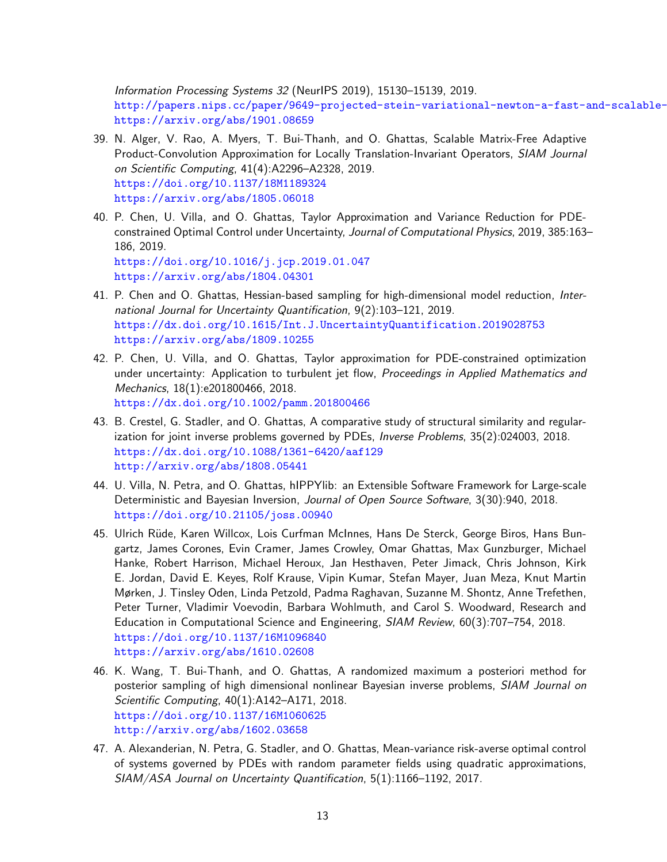Information Processing Systems 32 (NeurIPS 2019), 15130–15139, 2019. http://papers.nips.cc/paper/9649-projected-stein-variational-newton-a-fast-and-scalable<https://arxiv.org/abs/1901.08659>

- 39. N. Alger, V. Rao, A. Myers, T. Bui-Thanh, and O. Ghattas, Scalable Matrix-Free Adaptive Product-Convolution Approximation for Locally Translation-Invariant Operators, SIAM Journal on Scientific Computing, 41(4):A2296–A2328, 2019. <https://doi.org/10.1137/18M1189324> <https://arxiv.org/abs/1805.06018>
- 40. P. Chen, U. Villa, and O. Ghattas, Taylor Approximation and Variance Reduction for PDEconstrained Optimal Control under Uncertainty, Journal of Computational Physics, 2019, 385:163– 186, 2019. <https://doi.org/10.1016/j.jcp.2019.01.047>

<https://arxiv.org/abs/1804.04301>

- 41. P. Chen and O. Ghattas, Hessian-based sampling for high-dimensional model reduction, International Journal for Uncertainty Quantification, 9(2):103–121, 2019. <https://dx.doi.org/10.1615/Int.J.UncertaintyQuantification.2019028753> <https://arxiv.org/abs/1809.10255>
- 42. P. Chen, U. Villa, and O. Ghattas, Taylor approximation for PDE-constrained optimization under uncertainty: Application to turbulent jet flow, Proceedings in Applied Mathematics and Mechanics, 18(1):e201800466, 2018. <https://dx.doi.org/10.1002/pamm.201800466>
- 43. B. Crestel, G. Stadler, and O. Ghattas, A comparative study of structural similarity and regularization for joint inverse problems governed by PDEs, Inverse Problems, 35(2):024003, 2018. <https://dx.doi.org/10.1088/1361-6420/aaf129> <http://arxiv.org/abs/1808.05441>
- 44. U. Villa, N. Petra, and O. Ghattas, hIPPYlib: an Extensible Software Framework for Large-scale Deterministic and Bayesian Inversion, Journal of Open Source Software, 3(30):940, 2018. <https://doi.org/10.21105/joss.00940>
- 45. Ulrich Rüde, Karen Willcox, Lois Curfman McInnes, Hans De Sterck, George Biros, Hans Bungartz, James Corones, Evin Cramer, James Crowley, Omar Ghattas, Max Gunzburger, Michael Hanke, Robert Harrison, Michael Heroux, Jan Hesthaven, Peter Jimack, Chris Johnson, Kirk E. Jordan, David E. Keyes, Rolf Krause, Vipin Kumar, Stefan Mayer, Juan Meza, Knut Martin Mørken, J. Tinsley Oden, Linda Petzold, Padma Raghavan, Suzanne M. Shontz, Anne Trefethen, Peter Turner, Vladimir Voevodin, Barbara Wohlmuth, and Carol S. Woodward, Research and Education in Computational Science and Engineering, SIAM Review, 60(3):707–754, 2018. <https://doi.org/10.1137/16M1096840> <https://arxiv.org/abs/1610.02608>
- 46. K. Wang, T. Bui-Thanh, and O. Ghattas, A randomized maximum a posteriori method for posterior sampling of high dimensional nonlinear Bayesian inverse problems, SIAM Journal on Scientific Computing, 40(1):A142–A171, 2018. <https://doi.org/10.1137/16M1060625> <http://arxiv.org/abs/1602.03658>
- 47. A. Alexanderian, N. Petra, G. Stadler, and O. Ghattas, Mean-variance risk-averse optimal control of systems governed by PDEs with random parameter fields using quadratic approximations, SIAM/ASA Journal on Uncertainty Quantification, 5(1):1166–1192, 2017.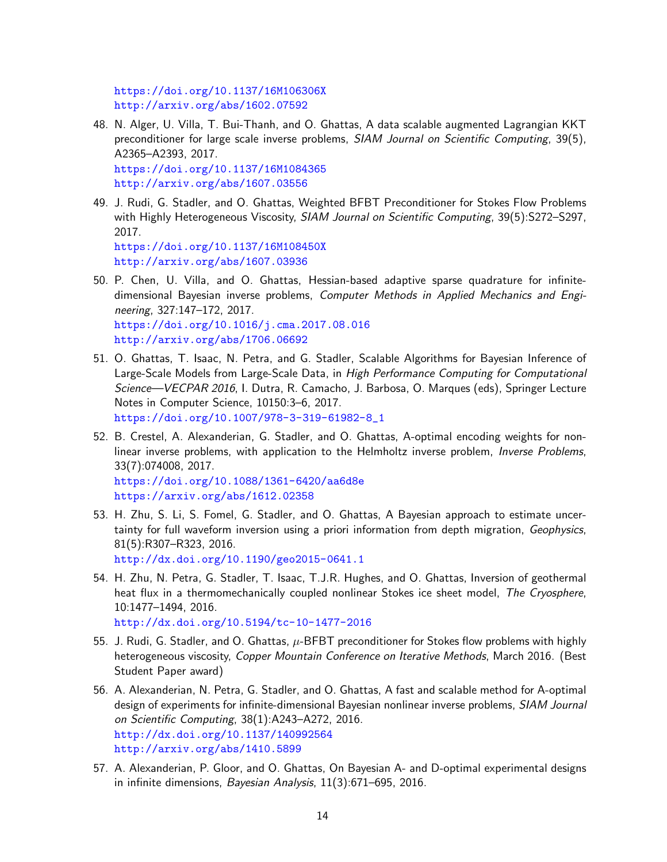```
https://doi.org/10.1137/16M106306X
http://arxiv.org/abs/1602.07592
```
48. N. Alger, U. Villa, T. Bui-Thanh, and O. Ghattas, A data scalable augmented Lagrangian KKT preconditioner for large scale inverse problems, SIAM Journal on Scientific Computing, 39(5), A2365–A2393, 2017. <https://doi.org/10.1137/16M1084365>

<http://arxiv.org/abs/1607.03556>

49. J. Rudi, G. Stadler, and O. Ghattas, Weighted BFBT Preconditioner for Stokes Flow Problems with Highly Heterogeneous Viscosity, SIAM Journal on Scientific Computing, 39(5):S272-S297, 2017. <https://doi.org/10.1137/16M108450X>

<http://arxiv.org/abs/1607.03936>

- 50. P. Chen, U. Villa, and O. Ghattas, Hessian-based adaptive sparse quadrature for infinitedimensional Bayesian inverse problems, Computer Methods in Applied Mechanics and Engineering, 327:147–172, 2017. <https://doi.org/10.1016/j.cma.2017.08.016> <http://arxiv.org/abs/1706.06692>
- 51. O. Ghattas, T. Isaac, N. Petra, and G. Stadler, Scalable Algorithms for Bayesian Inference of Large-Scale Models from Large-Scale Data, in High Performance Computing for Computational Science—VECPAR 2016, I. Dutra, R. Camacho, J. Barbosa, O. Marques (eds), Springer Lecture Notes in Computer Science, 10150:3–6, 2017. [https://doi.org/10.1007/978-3-319-61982-8\\_1](https://doi.org/10.1007/978-3-319-61982-8_1)
- 52. B. Crestel, A. Alexanderian, G. Stadler, and O. Ghattas, A-optimal encoding weights for nonlinear inverse problems, with application to the Helmholtz inverse problem, *Inverse Problems*, 33(7):074008, 2017. <https://doi.org/10.1088/1361-6420/aa6d8e> <https://arxiv.org/abs/1612.02358>
- 53. H. Zhu, S. Li, S. Fomel, G. Stadler, and O. Ghattas, A Bayesian approach to estimate uncertainty for full waveform inversion using a priori information from depth migration, Geophysics, 81(5):R307–R323, 2016. <http://dx.doi.org/10.1190/geo2015-0641.1>
- 54. H. Zhu, N. Petra, G. Stadler, T. Isaac, T.J.R. Hughes, and O. Ghattas, Inversion of geothermal heat flux in a thermomechanically coupled nonlinear Stokes ice sheet model, The Cryosphere, 10:1477–1494, 2016. <http://dx.doi.org/10.5194/tc-10-1477-2016>
- 55. J. Rudi, G. Stadler, and O. Ghattas,  $\mu$ -BFBT preconditioner for Stokes flow problems with highly heterogeneous viscosity, Copper Mountain Conference on Iterative Methods, March 2016. (Best Student Paper award)
- 56. A. Alexanderian, N. Petra, G. Stadler, and O. Ghattas, A fast and scalable method for A-optimal design of experiments for infinite-dimensional Bayesian nonlinear inverse problems, SIAM Journal on Scientific Computing, 38(1):A243–A272, 2016. <http://dx.doi.org/10.1137/140992564> <http://arxiv.org/abs/1410.5899>
- 57. A. Alexanderian, P. Gloor, and O. Ghattas, On Bayesian A- and D-optimal experimental designs in infinite dimensions, Bayesian Analysis, 11(3):671–695, 2016.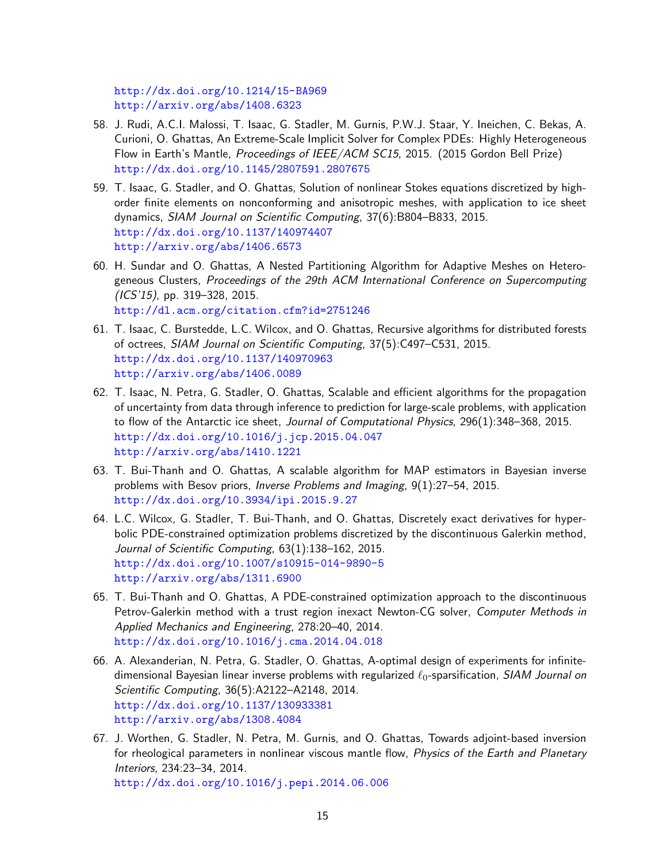```
http://dx.doi.org/10.1214/15-BA969
http://arxiv.org/abs/1408.6323
```
- 58. J. Rudi, A.C.I. Malossi, T. Isaac, G. Stadler, M. Gurnis, P.W.J. Staar, Y. Ineichen, C. Bekas, A. Curioni, O. Ghattas, An Extreme-Scale Implicit Solver for Complex PDEs: Highly Heterogeneous Flow in Earth's Mantle, Proceedings of IEEE/ACM SC15, 2015. (2015 Gordon Bell Prize) <http://dx.doi.org/10.1145/2807591.2807675>
- 59. T. Isaac, G. Stadler, and O. Ghattas, Solution of nonlinear Stokes equations discretized by highorder finite elements on nonconforming and anisotropic meshes, with application to ice sheet dynamics, SIAM Journal on Scientific Computing, 37(6):B804–B833, 2015. <http://dx.doi.org/10.1137/140974407> <http://arxiv.org/abs/1406.6573>
- 60. H. Sundar and O. Ghattas, A Nested Partitioning Algorithm for Adaptive Meshes on Heterogeneous Clusters, Proceedings of the 29th ACM International Conference on Supercomputing (ICS'15), pp. 319–328, 2015. <http://dl.acm.org/citation.cfm?id=2751246>
- 61. T. Isaac, C. Burstedde, L.C. Wilcox, and O. Ghattas, Recursive algorithms for distributed forests of octrees, SIAM Journal on Scientific Computing, 37(5):C497–C531, 2015. <http://dx.doi.org/10.1137/140970963> <http://arxiv.org/abs/1406.0089>
- 62. T. Isaac, N. Petra, G. Stadler, O. Ghattas, Scalable and efficient algorithms for the propagation of uncertainty from data through inference to prediction for large-scale problems, with application to flow of the Antarctic ice sheet, Journal of Computational Physics, 296(1):348–368, 2015. <http://dx.doi.org/10.1016/j.jcp.2015.04.047> <http://arxiv.org/abs/1410.1221>
- 63. T. Bui-Thanh and O. Ghattas, A scalable algorithm for MAP estimators in Bayesian inverse problems with Besov priors, Inverse Problems and Imaging, 9(1):27-54, 2015. <http://dx.doi.org/10.3934/ipi.2015.9.27>
- 64. L.C. Wilcox, G. Stadler, T. Bui-Thanh, and O. Ghattas, Discretely exact derivatives for hyperbolic PDE-constrained optimization problems discretized by the discontinuous Galerkin method, Journal of Scientific Computing, 63(1):138–162, 2015. <http://dx.doi.org/10.1007/s10915-014-9890-5> <http://arxiv.org/abs/1311.6900>
- 65. T. Bui-Thanh and O. Ghattas, A PDE-constrained optimization approach to the discontinuous Petrov-Galerkin method with a trust region inexact Newton-CG solver, Computer Methods in Applied Mechanics and Engineering, 278:20–40, 2014. <http://dx.doi.org/10.1016/j.cma.2014.04.018>
- 66. A. Alexanderian, N. Petra, G. Stadler, O. Ghattas, A-optimal design of experiments for infinitedimensional Bayesian linear inverse problems with regularized  $\ell_0$ -sparsification, SIAM Journal on Scientific Computing, 36(5):A2122–A2148, 2014. <http://dx.doi.org/10.1137/130933381> <http://arxiv.org/abs/1308.4084>
- 67. J. Worthen, G. Stadler, N. Petra, M. Gurnis, and O. Ghattas, Towards adjoint-based inversion for rheological parameters in nonlinear viscous mantle flow, Physics of the Earth and Planetary Interiors, 234:23–34, 2014.

<http://dx.doi.org/10.1016/j.pepi.2014.06.006>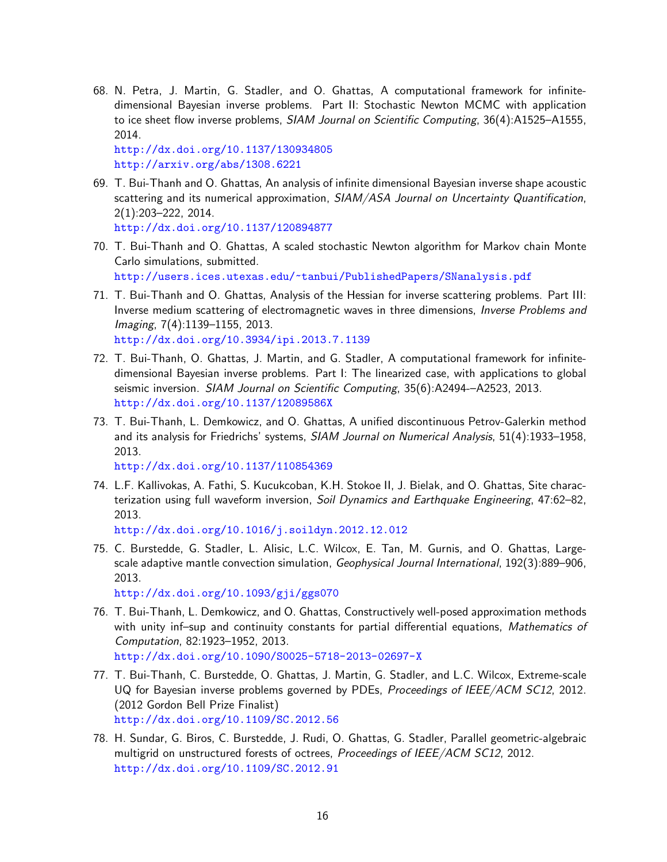68. N. Petra, J. Martin, G. Stadler, and O. Ghattas, A computational framework for infinitedimensional Bayesian inverse problems. Part II: Stochastic Newton MCMC with application to ice sheet flow inverse problems, SIAM Journal on Scientific Computing, 36(4):A1525-A1555, 2014.

<http://dx.doi.org/10.1137/130934805> <http://arxiv.org/abs/1308.6221>

69. T. Bui-Thanh and O. Ghattas, An analysis of infinite dimensional Bayesian inverse shape acoustic scattering and its numerical approximation, SIAM/ASA Journal on Uncertainty Quantification, 2(1):203–222, 2014.

<http://dx.doi.org/10.1137/120894877>

- 70. T. Bui-Thanh and O. Ghattas, A scaled stochastic Newton algorithm for Markov chain Monte Carlo simulations, submitted. <http://users.ices.utexas.edu/~tanbui/PublishedPapers/SNanalysis.pdf>
- 71. T. Bui-Thanh and O. Ghattas, Analysis of the Hessian for inverse scattering problems. Part III: Inverse medium scattering of electromagnetic waves in three dimensions, Inverse Problems and Imaging, 7(4):1139–1155, 2013. <http://dx.doi.org/10.3934/ipi.2013.7.1139>
- 72. T. Bui-Thanh, O. Ghattas, J. Martin, and G. Stadler, A computational framework for infinitedimensional Bayesian inverse problems. Part I: The linearized case, with applications to global seismic inversion. SIAM Journal on Scientific Computing, 35(6):A2494-–A2523, 2013. <http://dx.doi.org/10.1137/12089586X>
- 73. T. Bui-Thanh, L. Demkowicz, and O. Ghattas, A unified discontinuous Petrov-Galerkin method and its analysis for Friedrichs' systems, SIAM Journal on Numerical Analysis, 51(4):1933–1958, 2013.

<http://dx.doi.org/10.1137/110854369>

74. L.F. Kallivokas, A. Fathi, S. Kucukcoban, K.H. Stokoe II, J. Bielak, and O. Ghattas, Site characterization using full waveform inversion, Soil Dynamics and Earthquake Engineering, 47:62–82, 2013.

<http://dx.doi.org/10.1016/j.soildyn.2012.12.012>

75. C. Burstedde, G. Stadler, L. Alisic, L.C. Wilcox, E. Tan, M. Gurnis, and O. Ghattas, Largescale adaptive mantle convection simulation, Geophysical Journal International, 192(3):889–906, 2013.

<http://dx.doi.org/10.1093/gji/ggs070>

- 76. T. Bui-Thanh, L. Demkowicz, and O. Ghattas, Constructively well-posed approximation methods with unity inf-sup and continuity constants for partial differential equations, Mathematics of Computation, 82:1923–1952, 2013. <http://dx.doi.org/10.1090/S0025-5718-2013-02697-X>
- 77. T. Bui-Thanh, C. Burstedde, O. Ghattas, J. Martin, G. Stadler, and L.C. Wilcox, Extreme-scale UQ for Bayesian inverse problems governed by PDEs, Proceedings of IEEE/ACM SC12, 2012. (2012 Gordon Bell Prize Finalist) <http://dx.doi.org/10.1109/SC.2012.56>
- 78. H. Sundar, G. Biros, C. Burstedde, J. Rudi, O. Ghattas, G. Stadler, Parallel geometric-algebraic multigrid on unstructured forests of octrees, Proceedings of IEEE/ACM SC12, 2012. <http://dx.doi.org/10.1109/SC.2012.91>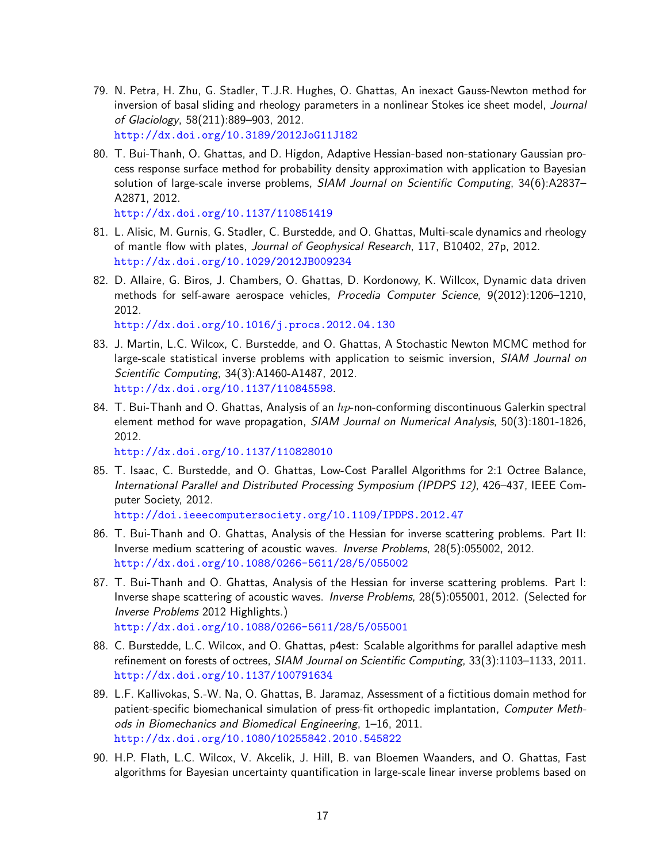- 79. N. Petra, H. Zhu, G. Stadler, T.J.R. Hughes, O. Ghattas, An inexact Gauss-Newton method for inversion of basal sliding and rheology parameters in a nonlinear Stokes ice sheet model, Journal of Glaciology, 58(211):889–903, 2012. <http://dx.doi.org/10.3189/2012JoG11J182>
- 80. T. Bui-Thanh, O. Ghattas, and D. Higdon, Adaptive Hessian-based non-stationary Gaussian process response surface method for probability density approximation with application to Bayesian solution of large-scale inverse problems, SIAM Journal on Scientific Computing, 34(6):A2837-A2871, 2012.

<http://dx.doi.org/10.1137/110851419>

- 81. L. Alisic, M. Gurnis, G. Stadler, C. Burstedde, and O. Ghattas, Multi-scale dynamics and rheology of mantle flow with plates, Journal of Geophysical Research, 117, B10402, 27p, 2012. <http://dx.doi.org/10.1029/2012JB009234>
- 82. D. Allaire, G. Biros, J. Chambers, O. Ghattas, D. Kordonowy, K. Willcox, Dynamic data driven methods for self-aware aerospace vehicles, Procedia Computer Science, 9(2012):1206–1210, 2012.

<http://dx.doi.org/10.1016/j.procs.2012.04.130>

- 83. J. Martin, L.C. Wilcox, C. Burstedde, and O. Ghattas, A Stochastic Newton MCMC method for large-scale statistical inverse problems with application to seismic inversion, SIAM Journal on Scientific Computing, 34(3):A1460-A1487, 2012. <http://dx.doi.org/10.1137/110845598>.
- 84. T. Bui-Thanh and O. Ghattas, Analysis of an  $hp$ -non-conforming discontinuous Galerkin spectral element method for wave propagation, SIAM Journal on Numerical Analysis, 50(3):1801-1826, 2012.

<http://dx.doi.org/10.1137/110828010>

85. T. Isaac, C. Burstedde, and O. Ghattas, Low-Cost Parallel Algorithms for 2:1 Octree Balance, International Parallel and Distributed Processing Symposium (IPDPS 12), 426–437, IEEE Computer Society, 2012.

<http://doi.ieeecomputersociety.org/10.1109/IPDPS.2012.47>

- 86. T. Bui-Thanh and O. Ghattas, Analysis of the Hessian for inverse scattering problems. Part II: Inverse medium scattering of acoustic waves. Inverse Problems, 28(5):055002, 2012. <http://dx.doi.org/10.1088/0266-5611/28/5/055002>
- 87. T. Bui-Thanh and O. Ghattas, Analysis of the Hessian for inverse scattering problems. Part I: Inverse shape scattering of acoustic waves. Inverse Problems, 28(5):055001, 2012. (Selected for Inverse Problems 2012 Highlights.) <http://dx.doi.org/10.1088/0266-5611/28/5/055001>
- 88. C. Burstedde, L.C. Wilcox, and O. Ghattas, p4est: Scalable algorithms for parallel adaptive mesh refinement on forests of octrees, SIAM Journal on Scientific Computing, 33(3):1103–1133, 2011. <http://dx.doi.org/10.1137/100791634>
- 89. L.F. Kallivokas, S.-W. Na, O. Ghattas, B. Jaramaz, Assessment of a fictitious domain method for patient-specific biomechanical simulation of press-fit orthopedic implantation, Computer Methods in Biomechanics and Biomedical Engineering, 1–16, 2011. <http://dx.doi.org/10.1080/10255842.2010.545822>
- 90. H.P. Flath, L.C. Wilcox, V. Akcelik, J. Hill, B. van Bloemen Waanders, and O. Ghattas, Fast algorithms for Bayesian uncertainty quantification in large-scale linear inverse problems based on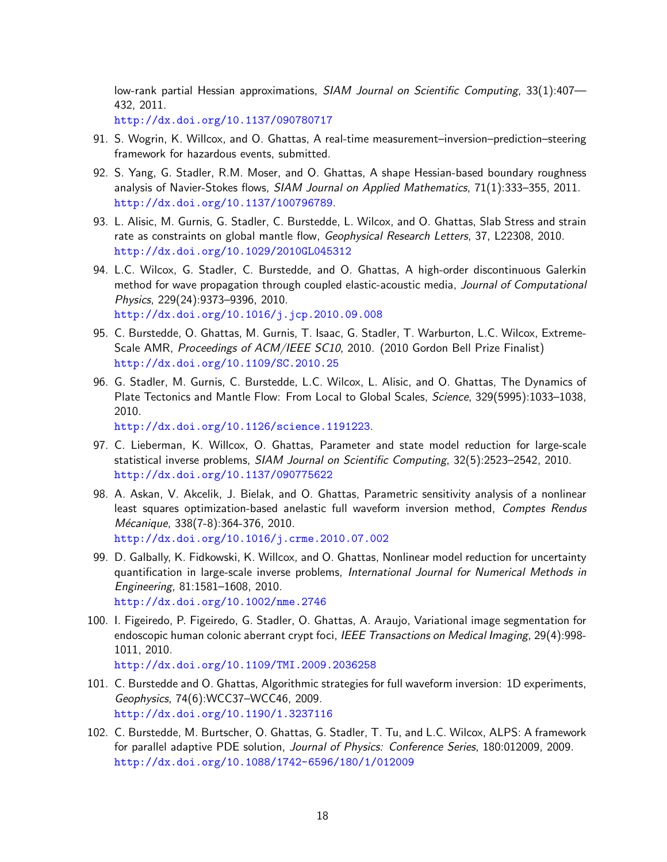low-rank partial Hessian approximations, SIAM Journal on Scientific Computing, 33(1):407-432, 2011.

<http://dx.doi.org/10.1137/090780717>

- 91. S. Wogrin, K. Willcox, and O. Ghattas, A real-time measurement–inversion–prediction–steering framework for hazardous events, submitted.
- 92. S. Yang, G. Stadler, R.M. Moser, and O. Ghattas, A shape Hessian-based boundary roughness analysis of Navier-Stokes flows, SIAM Journal on Applied Mathematics, 71(1):333–355, 2011. <http://dx.doi.org/10.1137/100796789>.
- 93. L. Alisic, M. Gurnis, G. Stadler, C. Burstedde, L. Wilcox, and O. Ghattas, Slab Stress and strain rate as constraints on global mantle flow, Geophysical Research Letters, 37, L22308, 2010. <http://dx.doi.org/10.1029/2010GL045312>
- 94. L.C. Wilcox, G. Stadler, C. Burstedde, and O. Ghattas, A high-order discontinuous Galerkin method for wave propagation through coupled elastic-acoustic media, Journal of Computational Physics, 229(24):9373–9396, 2010. <http://dx.doi.org/10.1016/j.jcp.2010.09.008>
- 95. C. Burstedde, O. Ghattas, M. Gurnis, T. Isaac, G. Stadler, T. Warburton, L.C. Wilcox, Extreme-Scale AMR, Proceedings of ACM/IEEE SC10, 2010. (2010 Gordon Bell Prize Finalist) <http://dx.doi.org/10.1109/SC.2010.25>
- 96. G. Stadler, M. Gurnis, C. Burstedde, L.C. Wilcox, L. Alisic, and O. Ghattas, The Dynamics of Plate Tectonics and Mantle Flow: From Local to Global Scales, Science, 329(5995):1033–1038, 2010.

<http://dx.doi.org/10.1126/science.1191223>.

- 97. C. Lieberman, K. Willcox, O. Ghattas, Parameter and state model reduction for large-scale statistical inverse problems, SIAM Journal on Scientific Computing, 32(5):2523–2542, 2010. <http://dx.doi.org/10.1137/090775622>
- 98. A. Askan, V. Akcelik, J. Bielak, and O. Ghattas, Parametric sensitivity analysis of a nonlinear least squares optimization-based anelastic full waveform inversion method, Comptes Rendus Mécanique, 338(7-8):364-376, 2010. <http://dx.doi.org/10.1016/j.crme.2010.07.002>
- 99. D. Galbally, K. Fidkowski, K. Willcox, and O. Ghattas, Nonlinear model reduction for uncertainty quantification in large-scale inverse problems, International Journal for Numerical Methods in Engineering, 81:1581–1608, 2010. <http://dx.doi.org/10.1002/nme.2746>
- 100. I. Figeiredo, P. Figeiredo, G. Stadler, O. Ghattas, A. Araujo, Variational image segmentation for endoscopic human colonic aberrant crypt foci, IEEE Transactions on Medical Imaging, 29(4):998-1011, 2010. <http://dx.doi.org/10.1109/TMI.2009.2036258>
- 101. C. Burstedde and O. Ghattas, Algorithmic strategies for full waveform inversion: 1D experiments, Geophysics, 74(6):WCC37–WCC46, 2009. <http://dx.doi.org/10.1190/1.3237116>
- 102. C. Burstedde, M. Burtscher, O. Ghattas, G. Stadler, T. Tu, and L.C. Wilcox, ALPS: A framework for parallel adaptive PDE solution, Journal of Physics: Conference Series, 180:012009, 2009. <http://dx.doi.org/10.1088/1742-6596/180/1/012009>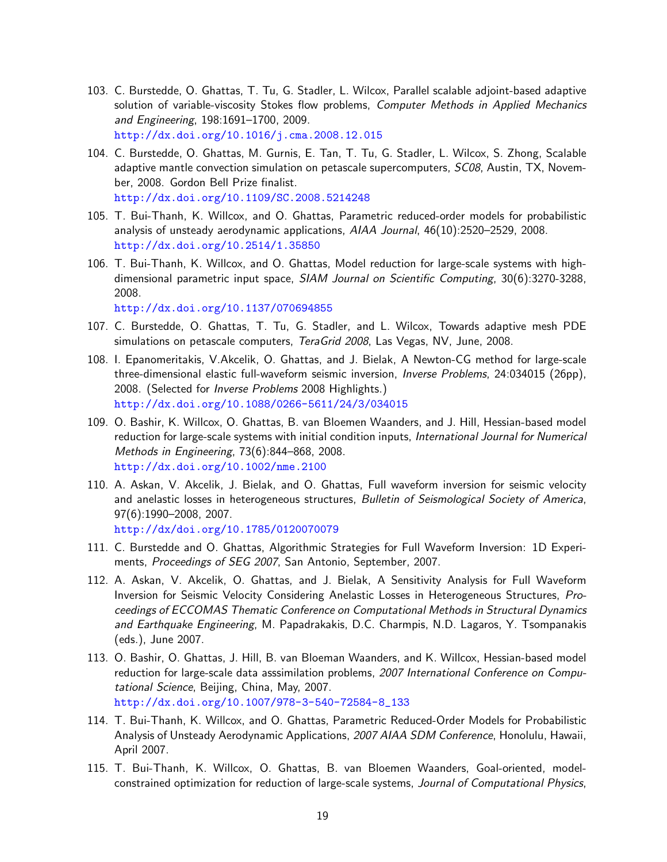- 103. C. Burstedde, O. Ghattas, T. Tu, G. Stadler, L. Wilcox, Parallel scalable adjoint-based adaptive solution of variable-viscosity Stokes flow problems, *Computer Methods in Applied Mechanics* and Engineering, 198:1691–1700, 2009. <http://dx.doi.org/10.1016/j.cma.2008.12.015>
- 104. C. Burstedde, O. Ghattas, M. Gurnis, E. Tan, T. Tu, G. Stadler, L. Wilcox, S. Zhong, Scalable adaptive mantle convection simulation on petascale supercomputers, SC08, Austin, TX, November, 2008. Gordon Bell Prize finalist. <http://dx.doi.org/10.1109/SC.2008.5214248>
- 105. T. Bui-Thanh, K. Willcox, and O. Ghattas, Parametric reduced-order models for probabilistic analysis of unsteady aerodynamic applications, AIAA Journal, 46(10):2520–2529, 2008. <http://dx.doi.org/10.2514/1.35850>
- 106. T. Bui-Thanh, K. Willcox, and O. Ghattas, Model reduction for large-scale systems with highdimensional parametric input space, SIAM Journal on Scientific Computing, 30(6):3270-3288, 2008.

<http://dx.doi.org/10.1137/070694855>

- 107. C. Burstedde, O. Ghattas, T. Tu, G. Stadler, and L. Wilcox, Towards adaptive mesh PDE simulations on petascale computers, TeraGrid 2008, Las Vegas, NV, June, 2008.
- 108. I. Epanomeritakis, V.Akcelik, O. Ghattas, and J. Bielak, A Newton-CG method for large-scale three-dimensional elastic full-waveform seismic inversion, Inverse Problems, 24:034015 (26pp), 2008. (Selected for Inverse Problems 2008 Highlights.) <http://dx.doi.org/10.1088/0266-5611/24/3/034015>
- 109. O. Bashir, K. Willcox, O. Ghattas, B. van Bloemen Waanders, and J. Hill, Hessian-based model reduction for large-scale systems with initial condition inputs, International Journal for Numerical Methods in Engineering, 73(6):844–868, 2008. <http://dx.doi.org/10.1002/nme.2100>
- 110. A. Askan, V. Akcelik, J. Bielak, and O. Ghattas, Full waveform inversion for seismic velocity and anelastic losses in heterogeneous structures, *Bulletin of Seismological Society of America*, 97(6):1990–2008, 2007.

<http://dx/doi.org/10.1785/0120070079>

- 111. C. Burstedde and O. Ghattas, Algorithmic Strategies for Full Waveform Inversion: 1D Experiments, Proceedings of SEG 2007, San Antonio, September, 2007.
- 112. A. Askan, V. Akcelik, O. Ghattas, and J. Bielak, A Sensitivity Analysis for Full Waveform Inversion for Seismic Velocity Considering Anelastic Losses in Heterogeneous Structures, Proceedings of ECCOMAS Thematic Conference on Computational Methods in Structural Dynamics and Earthquake Engineering, M. Papadrakakis, D.C. Charmpis, N.D. Lagaros, Y. Tsompanakis (eds.), June 2007.
- 113. O. Bashir, O. Ghattas, J. Hill, B. van Bloeman Waanders, and K. Willcox, Hessian-based model reduction for large-scale data asssimilation problems, 2007 International Conference on Computational Science, Beijing, China, May, 2007. [http://dx.doi.org/10.1007/978-3-540-72584-8\\_133](http://dx.doi.org/10.1007/978-3-540-72584-8_133)
- 114. T. Bui-Thanh, K. Willcox, and O. Ghattas, Parametric Reduced-Order Models for Probabilistic Analysis of Unsteady Aerodynamic Applications, 2007 AIAA SDM Conference, Honolulu, Hawaii, April 2007.
- 115. T. Bui-Thanh, K. Willcox, O. Ghattas, B. van Bloemen Waanders, Goal-oriented, modelconstrained optimization for reduction of large-scale systems, Journal of Computational Physics,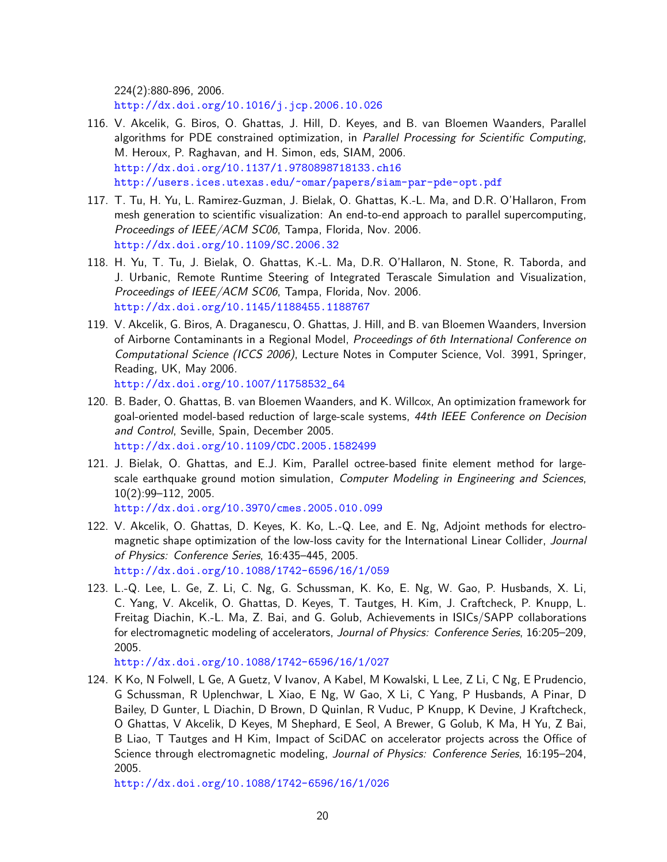224(2):880-896, 2006.

<http://dx.doi.org/10.1016/j.jcp.2006.10.026>

- 116. V. Akcelik, G. Biros, O. Ghattas, J. Hill, D. Keyes, and B. van Bloemen Waanders, Parallel algorithms for PDE constrained optimization, in Parallel Processing for Scientific Computing, M. Heroux, P. Raghavan, and H. Simon, eds, SIAM, 2006. <http://dx.doi.org/10.1137/1.9780898718133.ch16> <http://users.ices.utexas.edu/~omar/papers/siam-par-pde-opt.pdf>
- 117. T. Tu, H. Yu, L. Ramirez-Guzman, J. Bielak, O. Ghattas, K.-L. Ma, and D.R. O'Hallaron, From mesh generation to scientific visualization: An end-to-end approach to parallel supercomputing, Proceedings of IEEE/ACM SC06, Tampa, Florida, Nov. 2006. <http://dx.doi.org/10.1109/SC.2006.32>
- 118. H. Yu, T. Tu, J. Bielak, O. Ghattas, K.-L. Ma, D.R. O'Hallaron, N. Stone, R. Taborda, and J. Urbanic, Remote Runtime Steering of Integrated Terascale Simulation and Visualization, Proceedings of IEEE/ACM SC06, Tampa, Florida, Nov. 2006. <http://dx.doi.org/10.1145/1188455.1188767>
- 119. V. Akcelik, G. Biros, A. Draganescu, O. Ghattas, J. Hill, and B. van Bloemen Waanders, Inversion of Airborne Contaminants in a Regional Model, Proceedings of 6th International Conference on Computational Science (ICCS 2006), Lecture Notes in Computer Science, Vol. 3991, Springer, Reading, UK, May 2006. [http://dx.doi.org/10.1007/11758532\\_64](http://dx.doi.org/10.1007/11758532_64)
- 120. B. Bader, O. Ghattas, B. van Bloemen Waanders, and K. Willcox, An optimization framework for goal-oriented model-based reduction of large-scale systems, 44th IEEE Conference on Decision and Control, Seville, Spain, December 2005. <http://dx.doi.org/10.1109/CDC.2005.1582499>
- 121. J. Bielak, O. Ghattas, and E.J. Kim, Parallel octree-based finite element method for largescale earthquake ground motion simulation, Computer Modeling in Engineering and Sciences, 10(2):99–112, 2005. <http://dx.doi.org/10.3970/cmes.2005.010.099>
- 122. V. Akcelik, O. Ghattas, D. Keyes, K. Ko, L.-Q. Lee, and E. Ng, Adjoint methods for electromagnetic shape optimization of the low-loss cavity for the International Linear Collider, Journal of Physics: Conference Series, 16:435–445, 2005. <http://dx.doi.org/10.1088/1742-6596/16/1/059>
- 123. L.-Q. Lee, L. Ge, Z. Li, C. Ng, G. Schussman, K. Ko, E. Ng, W. Gao, P. Husbands, X. Li, C. Yang, V. Akcelik, O. Ghattas, D. Keyes, T. Tautges, H. Kim, J. Craftcheck, P. Knupp, L. Freitag Diachin, K.-L. Ma, Z. Bai, and G. Golub, Achievements in ISICs/SAPP collaborations for electromagnetic modeling of accelerators, Journal of Physics: Conference Series, 16:205–209, 2005.

<http://dx.doi.org/10.1088/1742-6596/16/1/027>

124. K Ko, N Folwell, L Ge, A Guetz, V Ivanov, A Kabel, M Kowalski, L Lee, Z Li, C Ng, E Prudencio, G Schussman, R Uplenchwar, L Xiao, E Ng, W Gao, X Li, C Yang, P Husbands, A Pinar, D Bailey, D Gunter, L Diachin, D Brown, D Quinlan, R Vuduc, P Knupp, K Devine, J Kraftcheck, O Ghattas, V Akcelik, D Keyes, M Shephard, E Seol, A Brewer, G Golub, K Ma, H Yu, Z Bai, B Liao, T Tautges and H Kim, Impact of SciDAC on accelerator projects across the Office of Science through electromagnetic modeling, Journal of Physics: Conference Series, 16:195–204, 2005.

<http://dx.doi.org/10.1088/1742-6596/16/1/026>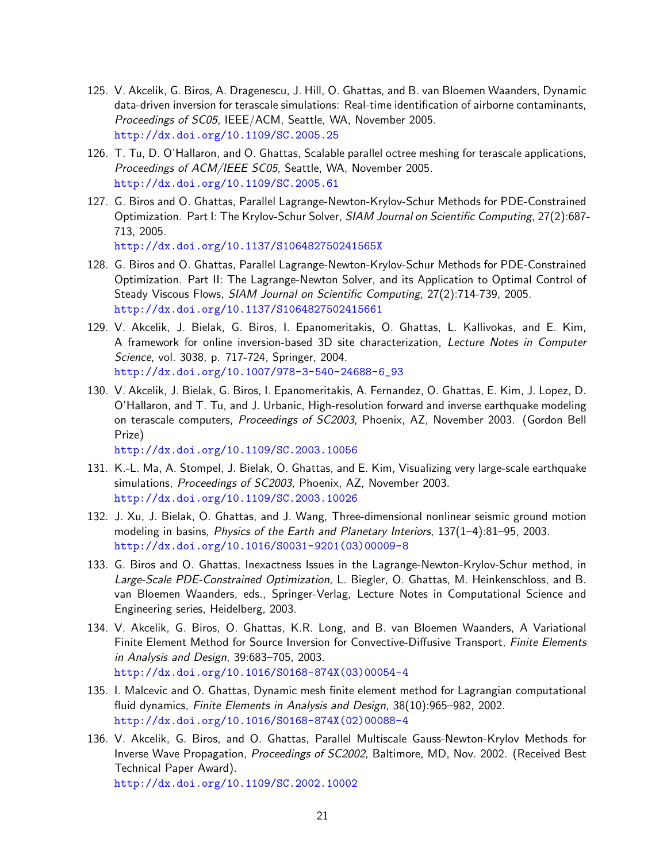- 125. V. Akcelik, G. Biros, A. Dragenescu, J. Hill, O. Ghattas, and B. van Bloemen Waanders, Dynamic data-driven inversion for terascale simulations: Real-time identification of airborne contaminants, Proceedings of SC05, IEEE/ACM, Seattle, WA, November 2005. <http://dx.doi.org/10.1109/SC.2005.25>
- 126. T. Tu, D. O'Hallaron, and O. Ghattas, Scalable parallel octree meshing for terascale applications, Proceedings of ACM/IEEE SC05, Seattle, WA, November 2005. <http://dx.doi.org/10.1109/SC.2005.61>
- 127. G. Biros and O. Ghattas, Parallel Lagrange-Newton-Krylov-Schur Methods for PDE-Constrained Optimization. Part I: The Krylov-Schur Solver, SIAM Journal on Scientific Computing, 27(2):687-713, 2005. <http://dx.doi.org/10.1137/S106482750241565X>
- 128. G. Biros and O. Ghattas, Parallel Lagrange-Newton-Krylov-Schur Methods for PDE-Constrained Optimization. Part II: The Lagrange-Newton Solver, and its Application to Optimal Control of Steady Viscous Flows, SIAM Journal on Scientific Computing, 27(2):714-739, 2005. <http://dx.doi.org/10.1137/S1064827502415661>
- 129. V. Akcelik, J. Bielak, G. Biros, I. Epanomeritakis, O. Ghattas, L. Kallivokas, and E. Kim, A framework for online inversion-based 3D site characterization, Lecture Notes in Computer Science, vol. 3038, p. 717-724, Springer, 2004. [http://dx.doi.org/10.1007/978-3-540-24688-6\\_93](http://dx.doi.org/10.1007/978-3-540-24688-6_93)
- 130. V. Akcelik, J. Bielak, G. Biros, I. Epanomeritakis, A. Fernandez, O. Ghattas, E. Kim, J. Lopez, D. O'Hallaron, and T. Tu, and J. Urbanic, High-resolution forward and inverse earthquake modeling on terascale computers, Proceedings of SC2003, Phoenix, AZ, November 2003. (Gordon Bell Prize)

<http://dx.doi.org/10.1109/SC.2003.10056>

- 131. K.-L. Ma, A. Stompel, J. Bielak, O. Ghattas, and E. Kim, Visualizing very large-scale earthquake simulations, Proceedings of SC2003, Phoenix, AZ, November 2003. <http://dx.doi.org/10.1109/SC.2003.10026>
- 132. J. Xu, J. Bielak, O. Ghattas, and J. Wang, Three-dimensional nonlinear seismic ground motion modeling in basins, Physics of the Earth and Planetary Interiors, 137(1-4):81-95, 2003. [http://dx.doi.org/10.1016/S0031-9201\(03\)00009-8](http://dx.doi.org/10.1016/S0031-9201(03)00009-8)
- 133. G. Biros and O. Ghattas, Inexactness Issues in the Lagrange-Newton-Krylov-Schur method, in Large-Scale PDE-Constrained Optimization, L. Biegler, O. Ghattas, M. Heinkenschloss, and B. van Bloemen Waanders, eds., Springer-Verlag, Lecture Notes in Computational Science and Engineering series, Heidelberg, 2003.
- 134. V. Akcelik, G. Biros, O. Ghattas, K.R. Long, and B. van Bloemen Waanders, A Variational Finite Element Method for Source Inversion for Convective-Diffusive Transport, Finite Elements in Analysis and Design, 39:683–705, 2003. [http://dx.doi.org/10.1016/S0168-874X\(03\)00054-4](http://dx.doi.org/10.1016/S0168-874X(03)00054-4)
- 135. I. Malcevic and O. Ghattas, Dynamic mesh finite element method for Lagrangian computational fluid dynamics, Finite Elements in Analysis and Design, 38(10):965–982, 2002. [http://dx.doi.org/10.1016/S0168-874X\(02\)00088-4](http://dx.doi.org/10.1016/S0168-874X(02)00088-4)
- 136. V. Akcelik, G. Biros, and O. Ghattas, Parallel Multiscale Gauss-Newton-Krylov Methods for Inverse Wave Propagation, Proceedings of SC2002, Baltimore, MD, Nov. 2002. (Received Best Technical Paper Award).

<http://dx.doi.org/10.1109/SC.2002.10002>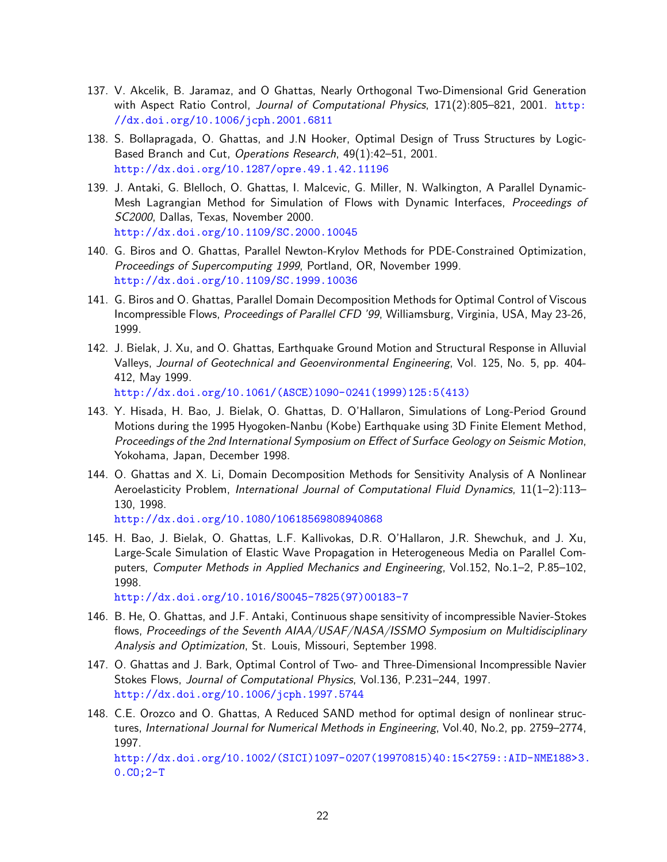- 137. V. Akcelik, B. Jaramaz, and O Ghattas, Nearly Orthogonal Two-Dimensional Grid Generation with Aspect Ratio Control, Journal of Computational Physics,  $171(2):805-821$ , 2001. [http:](http://dx.doi.org/10.1006/jcph.2001.6811) [//dx.doi.org/10.1006/jcph.2001.6811](http://dx.doi.org/10.1006/jcph.2001.6811)
- 138. S. Bollapragada, O. Ghattas, and J.N Hooker, Optimal Design of Truss Structures by Logic-Based Branch and Cut, Operations Research, 49(1):42–51, 2001. <http://dx.doi.org/10.1287/opre.49.1.42.11196>
- 139. J. Antaki, G. Blelloch, O. Ghattas, I. Malcevic, G. Miller, N. Walkington, A Parallel Dynamic-Mesh Lagrangian Method for Simulation of Flows with Dynamic Interfaces, Proceedings of SC2000, Dallas, Texas, November 2000. <http://dx.doi.org/10.1109/SC.2000.10045>
- 140. G. Biros and O. Ghattas, Parallel Newton-Krylov Methods for PDE-Constrained Optimization, Proceedings of Supercomputing 1999, Portland, OR, November 1999. <http://dx.doi.org/10.1109/SC.1999.10036>
- 141. G. Biros and O. Ghattas, Parallel Domain Decomposition Methods for Optimal Control of Viscous Incompressible Flows, Proceedings of Parallel CFD '99, Williamsburg, Virginia, USA, May 23-26, 1999.
- 142. J. Bielak, J. Xu, and O. Ghattas, Earthquake Ground Motion and Structural Response in Alluvial Valleys, Journal of Geotechnical and Geoenvironmental Engineering, Vol. 125, No. 5, pp. 404- 412, May 1999.

[http://dx.doi.org/10.1061/\(ASCE\)1090-0241\(1999\)125:5\(413\)](http://dx.doi.org/10.1061/(ASCE)1090-0241(1999)125:5(413))

- 143. Y. Hisada, H. Bao, J. Bielak, O. Ghattas, D. O'Hallaron, Simulations of Long-Period Ground Motions during the 1995 Hyogoken-Nanbu (Kobe) Earthquake using 3D Finite Element Method, Proceedings of the 2nd International Symposium on Effect of Surface Geology on Seismic Motion, Yokohama, Japan, December 1998.
- 144. O. Ghattas and X. Li, Domain Decomposition Methods for Sensitivity Analysis of A Nonlinear Aeroelasticity Problem, International Journal of Computational Fluid Dynamics, 11(1–2):113– 130, 1998.

<http://dx.doi.org/10.1080/10618569808940868>

145. H. Bao, J. Bielak, O. Ghattas, L.F. Kallivokas, D.R. O'Hallaron, J.R. Shewchuk, and J. Xu, Large-Scale Simulation of Elastic Wave Propagation in Heterogeneous Media on Parallel Computers, Computer Methods in Applied Mechanics and Engineering, Vol.152, No.1-2, P.85-102, 1998.

[http://dx.doi.org/10.1016/S0045-7825\(97\)00183-7](http://dx.doi.org/10.1016/S0045-7825(97)00183-7)

- 146. B. He, O. Ghattas, and J.F. Antaki, Continuous shape sensitivity of incompressible Navier-Stokes flows, Proceedings of the Seventh AIAA/USAF/NASA/ISSMO Symposium on Multidisciplinary Analysis and Optimization, St. Louis, Missouri, September 1998.
- 147. O. Ghattas and J. Bark, Optimal Control of Two- and Three-Dimensional Incompressible Navier Stokes Flows, Journal of Computational Physics, Vol.136, P.231–244, 1997. <http://dx.doi.org/10.1006/jcph.1997.5744>
- 148. C.E. Orozco and O. Ghattas, A Reduced SAND method for optimal design of nonlinear structures, International Journal for Numerical Methods in Engineering, Vol.40, No.2, pp. 2759–2774, 1997.

[http://dx.doi.org/10.1002/\(SICI\)1097-0207\(19970815\)40:15<2759::AID-NME188>3.](http://dx.doi.org/10.1002/(SICI)1097-0207(19970815)40:15<2759::AID-NME188>3.0.CO;2-T) [0.CO;2-T](http://dx.doi.org/10.1002/(SICI)1097-0207(19970815)40:15<2759::AID-NME188>3.0.CO;2-T)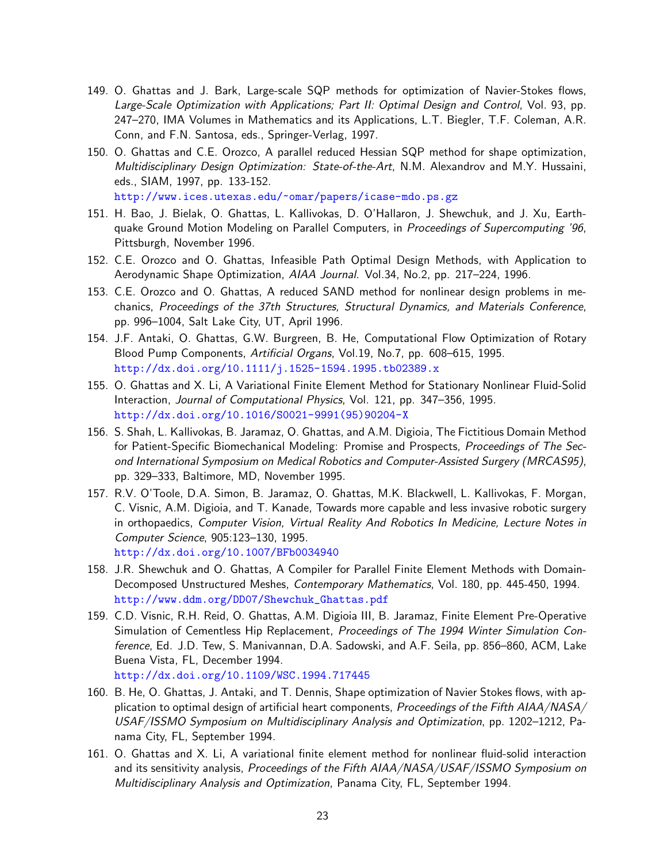- 149. O. Ghattas and J. Bark, Large-scale SQP methods for optimization of Navier-Stokes flows, Large-Scale Optimization with Applications; Part II: Optimal Design and Control, Vol. 93, pp. 247–270, IMA Volumes in Mathematics and its Applications, L.T. Biegler, T.F. Coleman, A.R. Conn, and F.N. Santosa, eds., Springer-Verlag, 1997.
- 150. O. Ghattas and C.E. Orozco, A parallel reduced Hessian SQP method for shape optimization, Multidisciplinary Design Optimization: State-of-the-Art, N.M. Alexandrov and M.Y. Hussaini, eds., SIAM, 1997, pp. 133-152.

<http://www.ices.utexas.edu/~omar/papers/icase-mdo.ps.gz>

- 151. H. Bao, J. Bielak, O. Ghattas, L. Kallivokas, D. O'Hallaron, J. Shewchuk, and J. Xu, Earthquake Ground Motion Modeling on Parallel Computers, in Proceedings of Supercomputing '96, Pittsburgh, November 1996.
- 152. C.E. Orozco and O. Ghattas, Infeasible Path Optimal Design Methods, with Application to Aerodynamic Shape Optimization, AIAA Journal. Vol.34, No.2, pp. 217–224, 1996.
- 153. C.E. Orozco and O. Ghattas, A reduced SAND method for nonlinear design problems in mechanics, Proceedings of the 37th Structures, Structural Dynamics, and Materials Conference, pp. 996–1004, Salt Lake City, UT, April 1996.
- 154. J.F. Antaki, O. Ghattas, G.W. Burgreen, B. He, Computational Flow Optimization of Rotary Blood Pump Components, Artificial Organs, Vol.19, No.7, pp. 608–615, 1995. <http://dx.doi.org/10.1111/j.1525-1594.1995.tb02389.x>
- 155. O. Ghattas and X. Li, A Variational Finite Element Method for Stationary Nonlinear Fluid-Solid Interaction, Journal of Computational Physics, Vol. 121, pp. 347–356, 1995. [http://dx.doi.org/10.1016/S0021-9991\(95\)90204-X](http://dx.doi.org/10.1016/S0021-9991(95)90204-X)
- 156. S. Shah, L. Kallivokas, B. Jaramaz, O. Ghattas, and A.M. Digioia, The Fictitious Domain Method for Patient-Specific Biomechanical Modeling: Promise and Prospects, Proceedings of The Second International Symposium on Medical Robotics and Computer-Assisted Surgery (MRCAS95), pp. 329–333, Baltimore, MD, November 1995.
- 157. R.V. O'Toole, D.A. Simon, B. Jaramaz, O. Ghattas, M.K. Blackwell, L. Kallivokas, F. Morgan, C. Visnic, A.M. Digioia, and T. Kanade, Towards more capable and less invasive robotic surgery in orthopaedics, Computer Vision, Virtual Reality And Robotics In Medicine, Lecture Notes in Computer Science, 905:123–130, 1995. <http://dx.doi.org/10.1007/BFb0034940>
- 158. J.R. Shewchuk and O. Ghattas, A Compiler for Parallel Finite Element Methods with Domain-Decomposed Unstructured Meshes, Contemporary Mathematics, Vol. 180, pp. 445-450, 1994. [http://www.ddm.org/DD07/Shewchuk\\_Ghattas.pdf](http://www.ddm.org/DD07/Shewchuk_Ghattas.pdf)
- 159. C.D. Visnic, R.H. Reid, O. Ghattas, A.M. Digioia III, B. Jaramaz, Finite Element Pre-Operative Simulation of Cementless Hip Replacement, Proceedings of The 1994 Winter Simulation Conference, Ed. J.D. Tew, S. Manivannan, D.A. Sadowski, and A.F. Seila, pp. 856–860, ACM, Lake Buena Vista, FL, December 1994. <http://dx.doi.org/10.1109/WSC.1994.717445>
- 160. B. He, O. Ghattas, J. Antaki, and T. Dennis, Shape optimization of Navier Stokes flows, with application to optimal design of artificial heart components, Proceedings of the Fifth AIAA/NASA/ USAF/ISSMO Symposium on Multidisciplinary Analysis and Optimization, pp. 1202–1212, Panama City, FL, September 1994.
- 161. O. Ghattas and X. Li, A variational finite element method for nonlinear fluid-solid interaction and its sensitivity analysis, Proceedings of the Fifth AIAA/NASA/USAF/ISSMO Symposium on Multidisciplinary Analysis and Optimization, Panama City, FL, September 1994.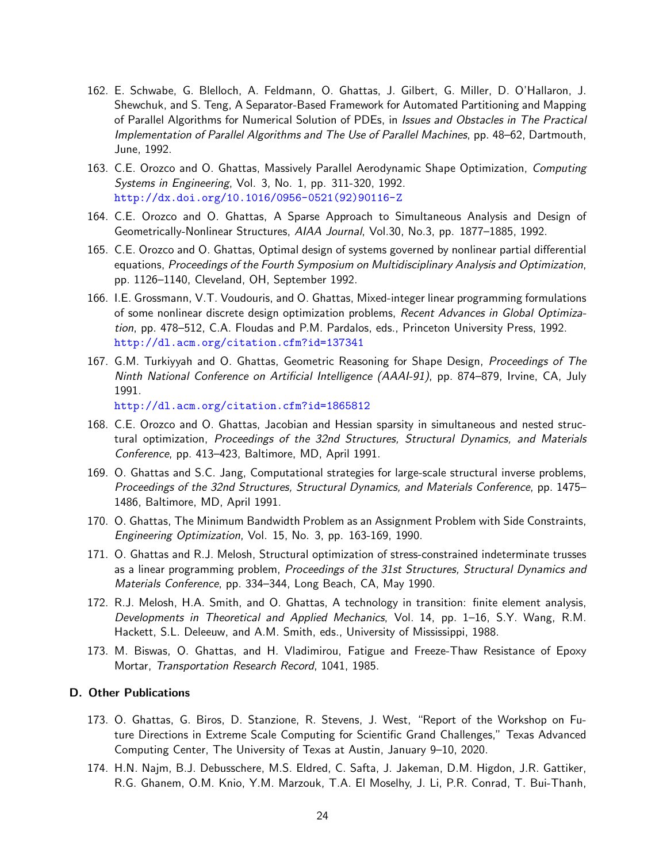- 162. E. Schwabe, G. Blelloch, A. Feldmann, O. Ghattas, J. Gilbert, G. Miller, D. O'Hallaron, J. Shewchuk, and S. Teng, A Separator-Based Framework for Automated Partitioning and Mapping of Parallel Algorithms for Numerical Solution of PDEs, in Issues and Obstacles in The Practical Implementation of Parallel Algorithms and The Use of Parallel Machines, pp. 48–62, Dartmouth, June, 1992.
- 163. C.E. Orozco and O. Ghattas, Massively Parallel Aerodynamic Shape Optimization, Computing Systems in Engineering, Vol. 3, No. 1, pp. 311-320, 1992. [http://dx.doi.org/10.1016/0956-0521\(92\)90116-Z](http://dx.doi.org/10.1016/0956-0521(92)90116-Z)
- 164. C.E. Orozco and O. Ghattas, A Sparse Approach to Simultaneous Analysis and Design of Geometrically-Nonlinear Structures, AIAA Journal, Vol.30, No.3, pp. 1877–1885, 1992.
- 165. C.E. Orozco and O. Ghattas, Optimal design of systems governed by nonlinear partial differential equations, Proceedings of the Fourth Symposium on Multidisciplinary Analysis and Optimization, pp. 1126–1140, Cleveland, OH, September 1992.
- 166. I.E. Grossmann, V.T. Voudouris, and O. Ghattas, Mixed-integer linear programming formulations of some nonlinear discrete design optimization problems, Recent Advances in Global Optimization, pp. 478–512, C.A. Floudas and P.M. Pardalos, eds., Princeton University Press, 1992. <http://dl.acm.org/citation.cfm?id=137341>
- 167. G.M. Turkiyyah and O. Ghattas, Geometric Reasoning for Shape Design, *Proceedings of The* Ninth National Conference on Artificial Intelligence (AAAI-91), pp. 874–879, Irvine, CA, July 1991.

<http://dl.acm.org/citation.cfm?id=1865812>

- 168. C.E. Orozco and O. Ghattas, Jacobian and Hessian sparsity in simultaneous and nested structural optimization, Proceedings of the 32nd Structures, Structural Dynamics, and Materials Conference, pp. 413–423, Baltimore, MD, April 1991.
- 169. O. Ghattas and S.C. Jang, Computational strategies for large-scale structural inverse problems, Proceedings of the 32nd Structures, Structural Dynamics, and Materials Conference, pp. 1475– 1486, Baltimore, MD, April 1991.
- 170. O. Ghattas, The Minimum Bandwidth Problem as an Assignment Problem with Side Constraints, Engineering Optimization, Vol. 15, No. 3, pp. 163-169, 1990.
- 171. O. Ghattas and R.J. Melosh, Structural optimization of stress-constrained indeterminate trusses as a linear programming problem, Proceedings of the 31st Structures, Structural Dynamics and Materials Conference, pp. 334–344, Long Beach, CA, May 1990.
- 172. R.J. Melosh, H.A. Smith, and O. Ghattas, A technology in transition: finite element analysis, Developments in Theoretical and Applied Mechanics, Vol. 14, pp. 1–16, S.Y. Wang, R.M. Hackett, S.L. Deleeuw, and A.M. Smith, eds., University of Mississippi, 1988.
- 173. M. Biswas, O. Ghattas, and H. Vladimirou, Fatigue and Freeze-Thaw Resistance of Epoxy Mortar, Transportation Research Record, 1041, 1985.

#### D. Other Publications

- 173. O. Ghattas, G. Biros, D. Stanzione, R. Stevens, J. West, "Report of the Workshop on Future Directions in Extreme Scale Computing for Scientific Grand Challenges," Texas Advanced Computing Center, The University of Texas at Austin, January 9–10, 2020.
- 174. H.N. Najm, B.J. Debusschere, M.S. Eldred, C. Safta, J. Jakeman, D.M. Higdon, J.R. Gattiker, R.G. Ghanem, O.M. Knio, Y.M. Marzouk, T.A. El Moselhy, J. Li, P.R. Conrad, T. Bui-Thanh,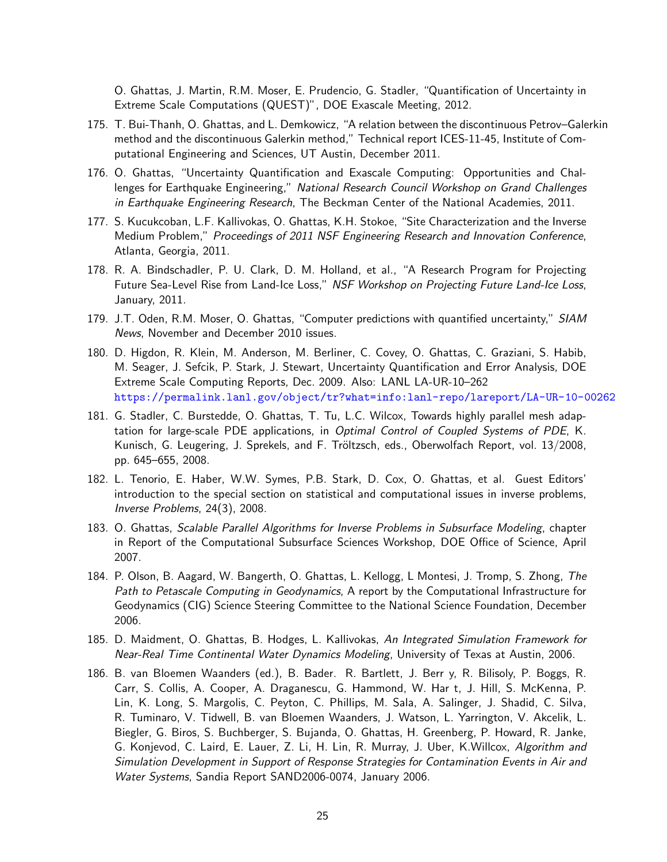O. Ghattas, J. Martin, R.M. Moser, E. Prudencio, G. Stadler, "Quantification of Uncertainty in Extreme Scale Computations (QUEST)", DOE Exascale Meeting, 2012.

- 175. T. Bui-Thanh, O. Ghattas, and L. Demkowicz, "A relation between the discontinuous Petrov–Galerkin method and the discontinuous Galerkin method," Technical report ICES-11-45, Institute of Computational Engineering and Sciences, UT Austin, December 2011.
- 176. O. Ghattas, "Uncertainty Quantification and Exascale Computing: Opportunities and Challenges for Earthquake Engineering," National Research Council Workshop on Grand Challenges in Earthquake Engineering Research, The Beckman Center of the National Academies, 2011.
- 177. S. Kucukcoban, L.F. Kallivokas, O. Ghattas, K.H. Stokoe, "Site Characterization and the Inverse Medium Problem," Proceedings of 2011 NSF Engineering Research and Innovation Conference, Atlanta, Georgia, 2011.
- 178. R. A. Bindschadler, P. U. Clark, D. M. Holland, et al., "A Research Program for Projecting Future Sea-Level Rise from Land-Ice Loss," NSF Workshop on Projecting Future Land-Ice Loss, January, 2011.
- 179. J.T. Oden, R.M. Moser, O. Ghattas, "Computer predictions with quantified uncertainty," SIAM News, November and December 2010 issues.
- 180. D. Higdon, R. Klein, M. Anderson, M. Berliner, C. Covey, O. Ghattas, C. Graziani, S. Habib, M. Seager, J. Sefcik, P. Stark, J. Stewart, Uncertainty Quantification and Error Analysis, DOE Extreme Scale Computing Reports, Dec. 2009. Also: LANL LA-UR-10–262 <https://permalink.lanl.gov/object/tr?what=info:lanl-repo/lareport/LA-UR-10-00262>
- 181. G. Stadler, C. Burstedde, O. Ghattas, T. Tu, L.C. Wilcox, Towards highly parallel mesh adaptation for large-scale PDE applications, in Optimal Control of Coupled Systems of PDE, K. Kunisch, G. Leugering, J. Sprekels, and F. Tröltzsch, eds., Oberwolfach Report, vol. 13/2008, pp. 645–655, 2008.
- 182. L. Tenorio, E. Haber, W.W. Symes, P.B. Stark, D. Cox, O. Ghattas, et al. Guest Editors' introduction to the special section on statistical and computational issues in inverse problems, Inverse Problems, 24(3), 2008.
- 183. O. Ghattas, Scalable Parallel Algorithms for Inverse Problems in Subsurface Modeling, chapter in Report of the Computational Subsurface Sciences Workshop, DOE Office of Science, April 2007.
- 184. P. Olson, B. Aagard, W. Bangerth, O. Ghattas, L. Kellogg, L Montesi, J. Tromp, S. Zhong, The Path to Petascale Computing in Geodynamics, A report by the Computational Infrastructure for Geodynamics (CIG) Science Steering Committee to the National Science Foundation, December 2006.
- 185. D. Maidment, O. Ghattas, B. Hodges, L. Kallivokas, An Integrated Simulation Framework for Near-Real Time Continental Water Dynamics Modeling, University of Texas at Austin, 2006.
- 186. B. van Bloemen Waanders (ed.), B. Bader. R. Bartlett, J. Berr y, R. Bilisoly, P. Boggs, R. Carr, S. Collis, A. Cooper, A. Draganescu, G. Hammond, W. Har t, J. Hill, S. McKenna, P. Lin, K. Long, S. Margolis, C. Peyton, C. Phillips, M. Sala, A. Salinger, J. Shadid, C. Silva, R. Tuminaro, V. Tidwell, B. van Bloemen Waanders, J. Watson, L. Yarrington, V. Akcelik, L. Biegler, G. Biros, S. Buchberger, S. Bujanda, O. Ghattas, H. Greenberg, P. Howard, R. Janke, G. Konjevod, C. Laird, E. Lauer, Z. Li, H. Lin, R. Murray, J. Uber, K.Willcox, Algorithm and Simulation Development in Support of Response Strategies for Contamination Events in Air and Water Systems, Sandia Report SAND2006-0074, January 2006.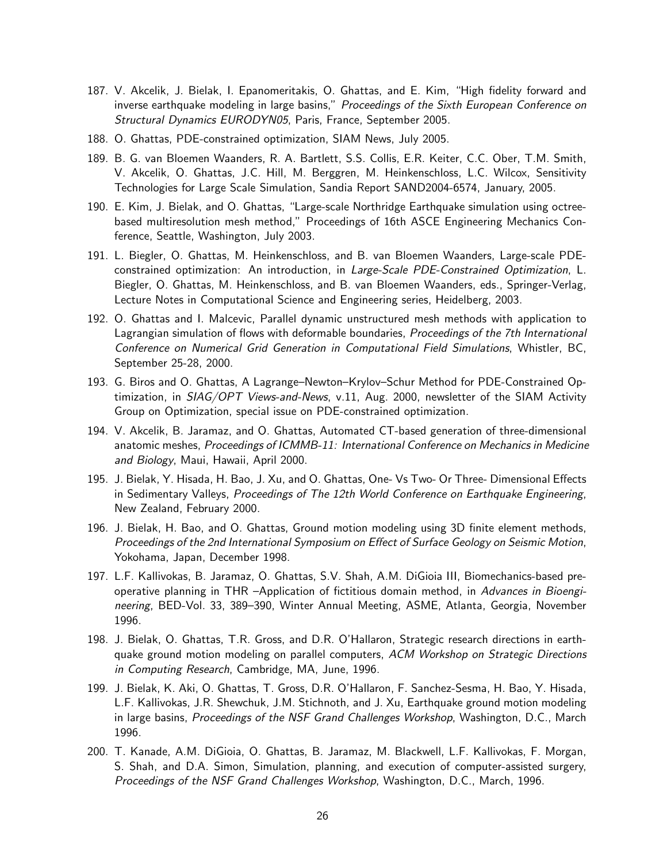- 187. V. Akcelik, J. Bielak, I. Epanomeritakis, O. Ghattas, and E. Kim, "High fidelity forward and inverse earthquake modeling in large basins," *Proceedings of the Sixth European Conference on* Structural Dynamics EURODYN05, Paris, France, September 2005.
- 188. O. Ghattas, PDE-constrained optimization, SIAM News, July 2005.
- 189. B. G. van Bloemen Waanders, R. A. Bartlett, S.S. Collis, E.R. Keiter, C.C. Ober, T.M. Smith, V. Akcelik, O. Ghattas, J.C. Hill, M. Berggren, M. Heinkenschloss, L.C. Wilcox, Sensitivity Technologies for Large Scale Simulation, Sandia Report SAND2004-6574, January, 2005.
- 190. E. Kim, J. Bielak, and O. Ghattas, "Large-scale Northridge Earthquake simulation using octreebased multiresolution mesh method," Proceedings of 16th ASCE Engineering Mechanics Conference, Seattle, Washington, July 2003.
- 191. L. Biegler, O. Ghattas, M. Heinkenschloss, and B. van Bloemen Waanders, Large-scale PDEconstrained optimization: An introduction, in Large-Scale PDE-Constrained Optimization, L. Biegler, O. Ghattas, M. Heinkenschloss, and B. van Bloemen Waanders, eds., Springer-Verlag, Lecture Notes in Computational Science and Engineering series, Heidelberg, 2003.
- 192. O. Ghattas and I. Malcevic, Parallel dynamic unstructured mesh methods with application to Lagrangian simulation of flows with deformable boundaries, *Proceedings of the 7th International* Conference on Numerical Grid Generation in Computational Field Simulations, Whistler, BC, September 25-28, 2000.
- 193. G. Biros and O. Ghattas, A Lagrange–Newton–Krylov–Schur Method for PDE-Constrained Optimization, in SIAG/OPT Views-and-News, v.11, Aug. 2000, newsletter of the SIAM Activity Group on Optimization, special issue on PDE-constrained optimization.
- 194. V. Akcelik, B. Jaramaz, and O. Ghattas, Automated CT-based generation of three-dimensional anatomic meshes, Proceedings of ICMMB-11: International Conference on Mechanics in Medicine and Biology, Maui, Hawaii, April 2000.
- 195. J. Bielak, Y. Hisada, H. Bao, J. Xu, and O. Ghattas, One- Vs Two- Or Three- Dimensional Effects in Sedimentary Valleys, Proceedings of The 12th World Conference on Earthquake Engineering, New Zealand, February 2000.
- 196. J. Bielak, H. Bao, and O. Ghattas, Ground motion modeling using 3D finite element methods, Proceedings of the 2nd International Symposium on Effect of Surface Geology on Seismic Motion, Yokohama, Japan, December 1998.
- 197. L.F. Kallivokas, B. Jaramaz, O. Ghattas, S.V. Shah, A.M. DiGioia III, Biomechanics-based preoperative planning in THR –Application of fictitious domain method, in Advances in Bioengineering, BED-Vol. 33, 389–390, Winter Annual Meeting, ASME, Atlanta, Georgia, November 1996.
- 198. J. Bielak, O. Ghattas, T.R. Gross, and D.R. O'Hallaron, Strategic research directions in earthquake ground motion modeling on parallel computers, ACM Workshop on Strategic Directions in Computing Research, Cambridge, MA, June, 1996.
- 199. J. Bielak, K. Aki, O. Ghattas, T. Gross, D.R. O'Hallaron, F. Sanchez-Sesma, H. Bao, Y. Hisada, L.F. Kallivokas, J.R. Shewchuk, J.M. Stichnoth, and J. Xu, Earthquake ground motion modeling in large basins, Proceedings of the NSF Grand Challenges Workshop, Washington, D.C., March 1996.
- 200. T. Kanade, A.M. DiGioia, O. Ghattas, B. Jaramaz, M. Blackwell, L.F. Kallivokas, F. Morgan, S. Shah, and D.A. Simon, Simulation, planning, and execution of computer-assisted surgery, Proceedings of the NSF Grand Challenges Workshop, Washington, D.C., March, 1996.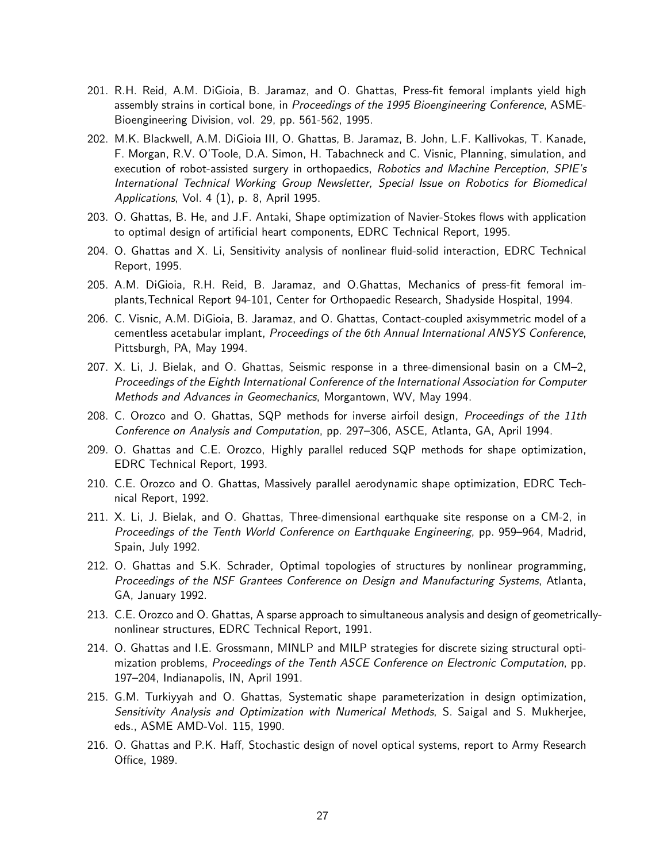- 201. R.H. Reid, A.M. DiGioia, B. Jaramaz, and O. Ghattas, Press-fit femoral implants yield high assembly strains in cortical bone, in *Proceedings of the 1995 Bioengineering Conference*, ASME-Bioengineering Division, vol. 29, pp. 561-562, 1995.
- 202. M.K. Blackwell, A.M. DiGioia III, O. Ghattas, B. Jaramaz, B. John, L.F. Kallivokas, T. Kanade, F. Morgan, R.V. O'Toole, D.A. Simon, H. Tabachneck and C. Visnic, Planning, simulation, and execution of robot-assisted surgery in orthopaedics, Robotics and Machine Perception, SPIE's International Technical Working Group Newsletter, Special Issue on Robotics for Biomedical Applications, Vol. 4 (1), p. 8, April 1995.
- 203. O. Ghattas, B. He, and J.F. Antaki, Shape optimization of Navier-Stokes flows with application to optimal design of artificial heart components, EDRC Technical Report, 1995.
- 204. O. Ghattas and X. Li, Sensitivity analysis of nonlinear fluid-solid interaction, EDRC Technical Report, 1995.
- 205. A.M. DiGioia, R.H. Reid, B. Jaramaz, and O.Ghattas, Mechanics of press-fit femoral implants,Technical Report 94-101, Center for Orthopaedic Research, Shadyside Hospital, 1994.
- 206. C. Visnic, A.M. DiGioia, B. Jaramaz, and O. Ghattas, Contact-coupled axisymmetric model of a cementless acetabular implant, Proceedings of the 6th Annual International ANSYS Conference, Pittsburgh, PA, May 1994.
- 207. X. Li, J. Bielak, and O. Ghattas, Seismic response in a three-dimensional basin on a CM–2, Proceedings of the Eighth International Conference of the International Association for Computer Methods and Advances in Geomechanics, Morgantown, WV, May 1994.
- 208. C. Orozco and O. Ghattas, SQP methods for inverse airfoil design, Proceedings of the 11th Conference on Analysis and Computation, pp. 297–306, ASCE, Atlanta, GA, April 1994.
- 209. O. Ghattas and C.E. Orozco, Highly parallel reduced SQP methods for shape optimization, EDRC Technical Report, 1993.
- 210. C.E. Orozco and O. Ghattas, Massively parallel aerodynamic shape optimization, EDRC Technical Report, 1992.
- 211. X. Li, J. Bielak, and O. Ghattas, Three-dimensional earthquake site response on a CM-2, in Proceedings of the Tenth World Conference on Earthquake Engineering, pp. 959–964, Madrid, Spain, July 1992.
- 212. O. Ghattas and S.K. Schrader, Optimal topologies of structures by nonlinear programming, Proceedings of the NSF Grantees Conference on Design and Manufacturing Systems, Atlanta, GA, January 1992.
- 213. C.E. Orozco and O. Ghattas, A sparse approach to simultaneous analysis and design of geometricallynonlinear structures, EDRC Technical Report, 1991.
- 214. O. Ghattas and I.E. Grossmann, MINLP and MILP strategies for discrete sizing structural optimization problems, Proceedings of the Tenth ASCE Conference on Electronic Computation, pp. 197–204, Indianapolis, IN, April 1991.
- 215. G.M. Turkiyyah and O. Ghattas, Systematic shape parameterization in design optimization, Sensitivity Analysis and Optimization with Numerical Methods, S. Saigal and S. Mukherjee, eds., ASME AMD-Vol. 115, 1990.
- 216. O. Ghattas and P.K. Haff, Stochastic design of novel optical systems, report to Army Research Office, 1989.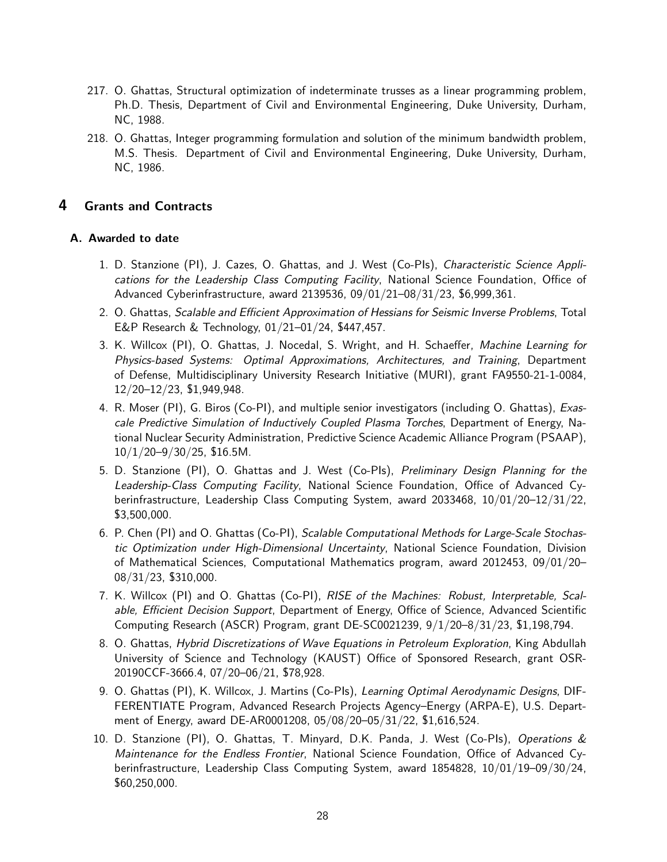- 217. O. Ghattas, Structural optimization of indeterminate trusses as a linear programming problem, Ph.D. Thesis, Department of Civil and Environmental Engineering, Duke University, Durham, NC, 1988.
- 218. O. Ghattas, Integer programming formulation and solution of the minimum bandwidth problem, M.S. Thesis. Department of Civil and Environmental Engineering, Duke University, Durham, NC, 1986.

## <span id="page-27-0"></span>4 Grants and Contracts

### A. Awarded to date

- 1. D. Stanzione (PI), J. Cazes, O. Ghattas, and J. West (Co-PIs), Characteristic Science Applications for the Leadership Class Computing Facility, National Science Foundation, Office of Advanced Cyberinfrastructure, award 2139536, 09/01/21–08/31/23, \$6,999,361.
- 2. O. Ghattas, Scalable and Efficient Approximation of Hessians for Seismic Inverse Problems, Total E&P Research & Technology, 01/21–01/24, \$447,457.
- 3. K. Willcox (PI), O. Ghattas, J. Nocedal, S. Wright, and H. Schaeffer, Machine Learning for Physics-based Systems: Optimal Approximations, Architectures, and Training, Department of Defense, Multidisciplinary University Research Initiative (MURI), grant FA9550-21-1-0084, 12/20–12/23, \$1,949,948.
- 4. R. Moser (PI), G. Biros (Co-PI), and multiple senior investigators (including O. Ghattas), Exascale Predictive Simulation of Inductively Coupled Plasma Torches, Department of Energy, National Nuclear Security Administration, Predictive Science Academic Alliance Program (PSAAP),  $10/1/20 - 9/30/25$ , \$16.5M.
- 5. D. Stanzione (PI), O. Ghattas and J. West (Co-PIs), Preliminary Design Planning for the Leadership-Class Computing Facility, National Science Foundation, Office of Advanced Cyberinfrastructure, Leadership Class Computing System, award 2033468, 10/01/20–12/31/22, \$3,500,000.
- 6. P. Chen (PI) and O. Ghattas (Co-PI), Scalable Computational Methods for Large-Scale Stochastic Optimization under High-Dimensional Uncertainty, National Science Foundation, Division of Mathematical Sciences, Computational Mathematics program, award 2012453, 09/01/20– 08/31/23, \$310,000.
- 7. K. Willcox (PI) and O. Ghattas (Co-PI), RISE of the Machines: Robust, Interpretable, Scalable, Efficient Decision Support, Department of Energy, Office of Science, Advanced Scientific Computing Research (ASCR) Program, grant DE-SC0021239, 9/1/20–8/31/23, \$1,198,794.
- 8. O. Ghattas, Hybrid Discretizations of Wave Equations in Petroleum Exploration, King Abdullah University of Science and Technology (KAUST) Office of Sponsored Research, grant OSR-20190CCF-3666.4, 07/20–06/21, \$78,928.
- 9. O. Ghattas (PI), K. Willcox, J. Martins (Co-Pls), Learning Optimal Aerodynamic Designs, DIF-FERENTIATE Program, Advanced Research Projects Agency–Energy (ARPA-E), U.S. Department of Energy, award DE-AR0001208, 05/08/20–05/31/22, \$1,616,524.
- 10. D. Stanzione (PI), O. Ghattas, T. Minyard, D.K. Panda, J. West (Co-PIs), Operations & Maintenance for the Endless Frontier, National Science Foundation, Office of Advanced Cyberinfrastructure, Leadership Class Computing System, award 1854828, 10/01/19–09/30/24, \$60,250,000.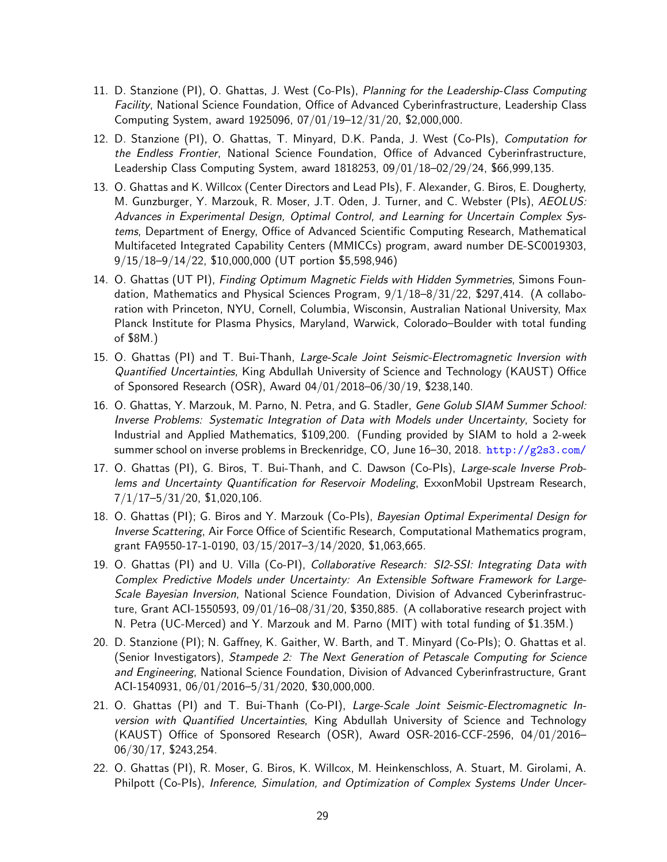- 11. D. Stanzione (PI), O. Ghattas, J. West (Co-PIs), Planning for the Leadership-Class Computing Facility, National Science Foundation, Office of Advanced Cyberinfrastructure, Leadership Class Computing System, award 1925096, 07/01/19–12/31/20, \$2,000,000.
- 12. D. Stanzione (PI), O. Ghattas, T. Minyard, D.K. Panda, J. West (Co-PIs), Computation for the Endless Frontier, National Science Foundation, Office of Advanced Cyberinfrastructure, Leadership Class Computing System, award 1818253, 09/01/18–02/29/24, \$66,999,135.
- 13. O. Ghattas and K. Willcox (Center Directors and Lead PIs), F. Alexander, G. Biros, E. Dougherty, M. Gunzburger, Y. Marzouk, R. Moser, J.T. Oden, J. Turner, and C. Webster (PIs), AEOLUS: Advances in Experimental Design, Optimal Control, and Learning for Uncertain Complex Systems, Department of Energy, Office of Advanced Scientific Computing Research, Mathematical Multifaceted Integrated Capability Centers (MMICCs) program, award number DE-SC0019303, 9/15/18–9/14/22, \$10,000,000 (UT portion \$5,598,946)
- 14. O. Ghattas (UT PI), Finding Optimum Magnetic Fields with Hidden Symmetries, Simons Foundation, Mathematics and Physical Sciences Program,  $9/1/18-8/31/22$ , \$297,414. (A collaboration with Princeton, NYU, Cornell, Columbia, Wisconsin, Australian National University, Max Planck Institute for Plasma Physics, Maryland, Warwick, Colorado–Boulder with total funding of \$8M.)
- 15. O. Ghattas (PI) and T. Bui-Thanh, Large-Scale Joint Seismic-Electromagnetic Inversion with Quantified Uncertainties, King Abdullah University of Science and Technology (KAUST) Office of Sponsored Research (OSR), Award 04/01/2018–06/30/19, \$238,140.
- 16. O. Ghattas, Y. Marzouk, M. Parno, N. Petra, and G. Stadler, Gene Golub SIAM Summer School: Inverse Problems: Systematic Integration of Data with Models under Uncertainty, Society for Industrial and Applied Mathematics, \$109,200. (Funding provided by SIAM to hold a 2-week summer school on inverse problems in Breckenridge, CO, June 16–30, 2018. <http://g2s3.com/>
- 17. O. Ghattas (PI), G. Biros, T. Bui-Thanh, and C. Dawson (Co-PIs), Large-scale Inverse Problems and Uncertainty Quantification for Reservoir Modeling, ExxonMobil Upstream Research, 7/1/17–5/31/20, \$1,020,106.
- 18. O. Ghattas (PI); G. Biros and Y. Marzouk (Co-PIs), Bayesian Optimal Experimental Design for Inverse Scattering, Air Force Office of Scientific Research, Computational Mathematics program, grant FA9550-17-1-0190, 03/15/2017–3/14/2020, \$1,063,665.
- 19. O. Ghattas (PI) and U. Villa (Co-PI), Collaborative Research: SI2-SSI: Integrating Data with Complex Predictive Models under Uncertainty: An Extensible Software Framework for Large-Scale Bayesian Inversion, National Science Foundation, Division of Advanced Cyberinfrastructure, Grant ACI-1550593, 09/01/16–08/31/20, \$350,885. (A collaborative research project with N. Petra (UC-Merced) and Y. Marzouk and M. Parno (MIT) with total funding of \$1.35M.)
- 20. D. Stanzione (PI); N. Gaffney, K. Gaither, W. Barth, and T. Minyard (Co-PIs); O. Ghattas et al. (Senior Investigators), Stampede 2: The Next Generation of Petascale Computing for Science and Engineering, National Science Foundation, Division of Advanced Cyberinfrastructure, Grant ACI-1540931, 06/01/2016–5/31/2020, \$30,000,000.
- 21. O. Ghattas (PI) and T. Bui-Thanh (Co-PI), Large-Scale Joint Seismic-Electromagnetic Inversion with Quantified Uncertainties, King Abdullah University of Science and Technology (KAUST) Office of Sponsored Research (OSR), Award OSR-2016-CCF-2596, 04/01/2016– 06/30/17, \$243,254.
- 22. O. Ghattas (PI), R. Moser, G. Biros, K. Willcox, M. Heinkenschloss, A. Stuart, M. Girolami, A. Philpott (Co-PIs), Inference, Simulation, and Optimization of Complex Systems Under Uncer-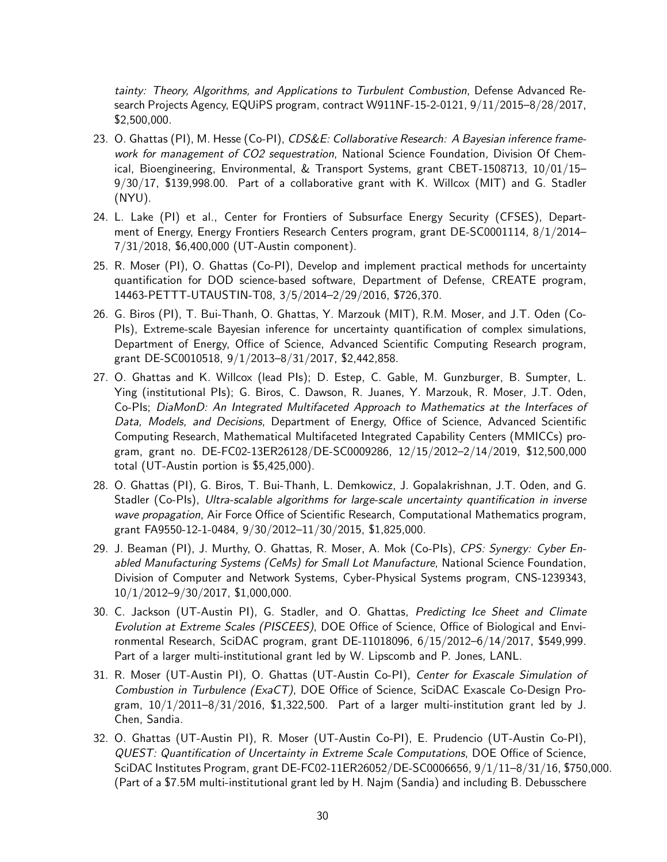tainty: Theory, Algorithms, and Applications to Turbulent Combustion, Defense Advanced Research Projects Agency, EQUiPS program, contract W911NF-15-2-0121, 9/11/2015–8/28/2017, \$2,500,000.

- 23. O. Ghattas (PI), M. Hesse (Co-PI), CDS&E: Collaborative Research: A Bayesian inference framework for management of CO2 sequestration, National Science Foundation, Division Of Chemical, Bioengineering, Environmental, & Transport Systems, grant CBET-1508713, 10/01/15– 9/30/17, \$139,998.00. Part of a collaborative grant with K. Willcox (MIT) and G. Stadler (NYU).
- 24. L. Lake (PI) et al., Center for Frontiers of Subsurface Energy Security (CFSES), Department of Energy, Energy Frontiers Research Centers program, grant DE-SC0001114, 8/1/2014– 7/31/2018, \$6,400,000 (UT-Austin component).
- 25. R. Moser (PI), O. Ghattas (Co-PI), Develop and implement practical methods for uncertainty quantification for DOD science-based software, Department of Defense, CREATE program, 14463-PETTT-UTAUSTIN-T08, 3/5/2014–2/29/2016, \$726,370.
- 26. G. Biros (PI), T. Bui-Thanh, O. Ghattas, Y. Marzouk (MIT), R.M. Moser, and J.T. Oden (Co-PIs), Extreme-scale Bayesian inference for uncertainty quantification of complex simulations, Department of Energy, Office of Science, Advanced Scientific Computing Research program, grant DE-SC0010518, 9/1/2013–8/31/2017, \$2,442,858.
- 27. O. Ghattas and K. Willcox (lead PIs); D. Estep, C. Gable, M. Gunzburger, B. Sumpter, L. Ying (institutional PIs); G. Biros, C. Dawson, R. Juanes, Y. Marzouk, R. Moser, J.T. Oden, Co-PIs; DiaMonD: An Integrated Multifaceted Approach to Mathematics at the Interfaces of Data, Models, and Decisions, Department of Energy, Office of Science, Advanced Scientific Computing Research, Mathematical Multifaceted Integrated Capability Centers (MMICCs) program, grant no. DE-FC02-13ER26128/DE-SC0009286, 12/15/2012–2/14/2019, \$12,500,000 total (UT-Austin portion is \$5,425,000).
- 28. O. Ghattas (PI), G. Biros, T. Bui-Thanh, L. Demkowicz, J. Gopalakrishnan, J.T. Oden, and G. Stadler (Co-PIs), Ultra-scalable algorithms for large-scale uncertainty quantification in inverse wave propagation, Air Force Office of Scientific Research, Computational Mathematics program, grant FA9550-12-1-0484, 9/30/2012–11/30/2015, \$1,825,000.
- 29. J. Beaman (PI), J. Murthy, O. Ghattas, R. Moser, A. Mok (Co-PIs), CPS: Synergy: Cyber Enabled Manufacturing Systems (CeMs) for Small Lot Manufacture, National Science Foundation, Division of Computer and Network Systems, Cyber-Physical Systems program, CNS-1239343, 10/1/2012–9/30/2017, \$1,000,000.
- 30. C. Jackson (UT-Austin PI), G. Stadler, and O. Ghattas, Predicting Ice Sheet and Climate Evolution at Extreme Scales (PISCEES), DOE Office of Science, Office of Biological and Environmental Research, SciDAC program, grant DE-11018096, 6/15/2012–6/14/2017, \$549,999. Part of a larger multi-institutional grant led by W. Lipscomb and P. Jones, LANL.
- 31. R. Moser (UT-Austin PI), O. Ghattas (UT-Austin Co-PI), Center for Exascale Simulation of Combustion in Turbulence (ExaCT), DOE Office of Science, SciDAC Exascale Co-Design Program,  $10/1/2011-8/31/2016$ , \$1,322,500. Part of a larger multi-institution grant led by J. Chen, Sandia.
- 32. O. Ghattas (UT-Austin PI), R. Moser (UT-Austin Co-PI), E. Prudencio (UT-Austin Co-PI), QUEST: Quantification of Uncertainty in Extreme Scale Computations, DOE Office of Science, SciDAC Institutes Program, grant DE-FC02-11ER26052/DE-SC0006656, 9/1/11–8/31/16, \$750,000. (Part of a \$7.5M multi-institutional grant led by H. Najm (Sandia) and including B. Debusschere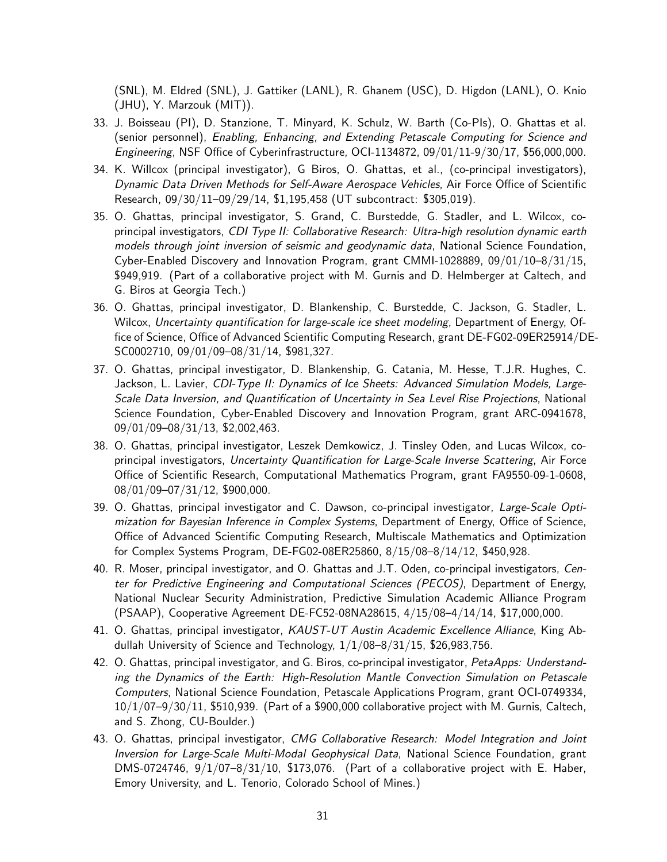(SNL), M. Eldred (SNL), J. Gattiker (LANL), R. Ghanem (USC), D. Higdon (LANL), O. Knio (JHU), Y. Marzouk (MIT)).

- 33. J. Boisseau (PI), D. Stanzione, T. Minyard, K. Schulz, W. Barth (Co-PIs), O. Ghattas et al. (senior personnel), Enabling, Enhancing, and Extending Petascale Computing for Science and Engineering, NSF Office of Cyberinfrastructure, OCI-1134872, 09/01/11-9/30/17, \$56,000,000.
- 34. K. Willcox (principal investigator), G Biros, O. Ghattas, et al., (co-principal investigators), Dynamic Data Driven Methods for Self-Aware Aerospace Vehicles, Air Force Office of Scientific Research, 09/30/11–09/29/14, \$1,195,458 (UT subcontract: \$305,019).
- 35. O. Ghattas, principal investigator, S. Grand, C. Burstedde, G. Stadler, and L. Wilcox, coprincipal investigators, CDI Type II: Collaborative Research: Ultra-high resolution dynamic earth models through joint inversion of seismic and geodynamic data, National Science Foundation, Cyber-Enabled Discovery and Innovation Program, grant CMMI-1028889, 09/01/10–8/31/15, \$949,919. (Part of a collaborative project with M. Gurnis and D. Helmberger at Caltech, and G. Biros at Georgia Tech.)
- 36. O. Ghattas, principal investigator, D. Blankenship, C. Burstedde, C. Jackson, G. Stadler, L. Wilcox, Uncertainty quantification for large-scale ice sheet modeling, Department of Energy, Office of Science, Office of Advanced Scientific Computing Research, grant DE-FG02-09ER25914/DE-SC0002710, 09/01/09–08/31/14, \$981,327.
- 37. O. Ghattas, principal investigator, D. Blankenship, G. Catania, M. Hesse, T.J.R. Hughes, C. Jackson, L. Lavier, CDI-Type II: Dynamics of Ice Sheets: Advanced Simulation Models, Large-Scale Data Inversion, and Quantification of Uncertainty in Sea Level Rise Projections, National Science Foundation, Cyber-Enabled Discovery and Innovation Program, grant ARC-0941678, 09/01/09–08/31/13, \$2,002,463.
- 38. O. Ghattas, principal investigator, Leszek Demkowicz, J. Tinsley Oden, and Lucas Wilcox, coprincipal investigators, Uncertainty Quantification for Large-Scale Inverse Scattering, Air Force Office of Scientific Research, Computational Mathematics Program, grant FA9550-09-1-0608, 08/01/09–07/31/12, \$900,000.
- 39. O. Ghattas, principal investigator and C. Dawson, co-principal investigator, Large-Scale Optimization for Bayesian Inference in Complex Systems, Department of Energy, Office of Science, Office of Advanced Scientific Computing Research, Multiscale Mathematics and Optimization for Complex Systems Program, DE-FG02-08ER25860, 8/15/08–8/14/12, \$450,928.
- 40. R. Moser, principal investigator, and O. Ghattas and J.T. Oden, co-principal investigators, Center for Predictive Engineering and Computational Sciences (PECOS), Department of Energy, National Nuclear Security Administration, Predictive Simulation Academic Alliance Program (PSAAP), Cooperative Agreement DE-FC52-08NA28615, 4/15/08–4/14/14, \$17,000,000.
- 41. O. Ghattas, principal investigator, KAUST-UT Austin Academic Excellence Alliance, King Abdullah University of Science and Technology, 1/1/08–8/31/15, \$26,983,756.
- 42. O. Ghattas, principal investigator, and G. Biros, co-principal investigator, PetaApps: Understanding the Dynamics of the Earth: High-Resolution Mantle Convection Simulation on Petascale Computers, National Science Foundation, Petascale Applications Program, grant OCI-0749334, 10/1/07–9/30/11, \$510,939. (Part of a \$900,000 collaborative project with M. Gurnis, Caltech, and S. Zhong, CU-Boulder.)
- 43. O. Ghattas, principal investigator, CMG Collaborative Research: Model Integration and Joint Inversion for Large-Scale Multi-Modal Geophysical Data, National Science Foundation, grant DMS-0724746,  $9/1/07-8/31/10$ , \$173,076. (Part of a collaborative project with E. Haber, Emory University, and L. Tenorio, Colorado School of Mines.)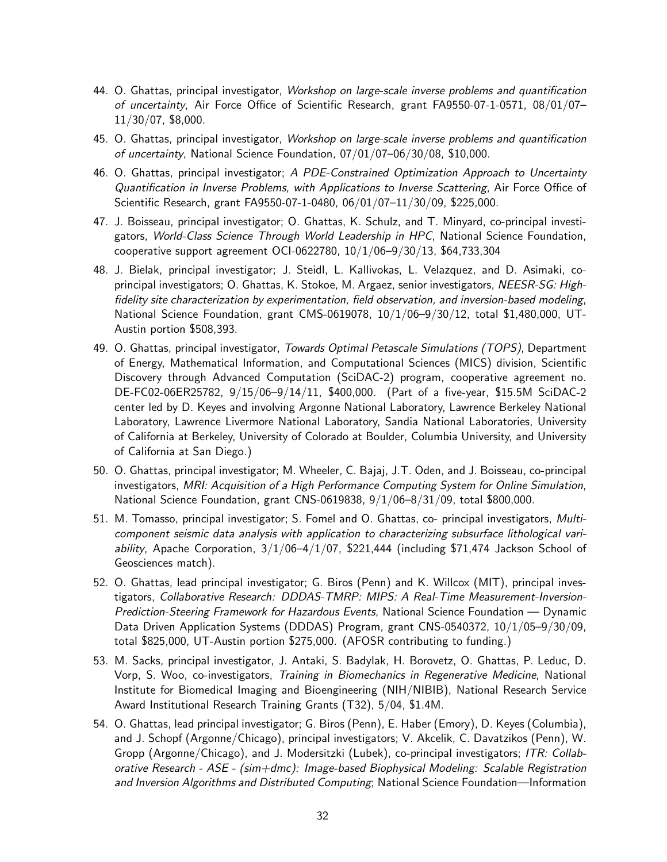- 44. O. Ghattas, principal investigator, Workshop on large-scale inverse problems and quantification of uncertainty, Air Force Office of Scientific Research, grant FA9550-07-1-0571, 08/01/07– 11/30/07, \$8,000.
- 45. O. Ghattas, principal investigator, Workshop on large-scale inverse problems and quantification of uncertainty, National Science Foundation, 07/01/07–06/30/08, \$10,000.
- 46. O. Ghattas, principal investigator; A PDE-Constrained Optimization Approach to Uncertainty Quantification in Inverse Problems, with Applications to Inverse Scattering, Air Force Office of Scientific Research, grant FA9550-07-1-0480, 06/01/07–11/30/09, \$225,000.
- 47. J. Boisseau, principal investigator; O. Ghattas, K. Schulz, and T. Minyard, co-principal investigators, World-Class Science Through World Leadership in HPC, National Science Foundation, cooperative support agreement OCI-0622780, 10/1/06–9/30/13, \$64,733,304
- 48. J. Bielak, principal investigator; J. Steidl, L. Kallivokas, L. Velazquez, and D. Asimaki, coprincipal investigators; O. Ghattas, K. Stokoe, M. Argaez, senior investigators, NEESR-SG: Highfidelity site characterization by experimentation, field observation, and inversion-based modeling, National Science Foundation, grant CMS-0619078, 10/1/06–9/30/12, total \$1,480,000, UT-Austin portion \$508,393.
- 49. O. Ghattas, principal investigator, Towards Optimal Petascale Simulations (TOPS), Department of Energy, Mathematical Information, and Computational Sciences (MICS) division, Scientific Discovery through Advanced Computation (SciDAC-2) program, cooperative agreement no. DE-FC02-06ER25782, 9/15/06–9/14/11, \$400,000. (Part of a five-year, \$15.5M SciDAC-2 center led by D. Keyes and involving Argonne National Laboratory, Lawrence Berkeley National Laboratory, Lawrence Livermore National Laboratory, Sandia National Laboratories, University of California at Berkeley, University of Colorado at Boulder, Columbia University, and University of California at San Diego.)
- 50. O. Ghattas, principal investigator; M. Wheeler, C. Bajaj, J.T. Oden, and J. Boisseau, co-principal investigators, MRI: Acquisition of a High Performance Computing System for Online Simulation, National Science Foundation, grant CNS-0619838, 9/1/06–8/31/09, total \$800,000.
- 51. M. Tomasso, principal investigator; S. Fomel and O. Ghattas, co- principal investigators, Multicomponent seismic data analysis with application to characterizing subsurface lithological vari*ability*, Apache Corporation,  $3/1/06-4/1/07$ , \$221,444 (including \$71,474 Jackson School of Geosciences match).
- 52. O. Ghattas, lead principal investigator; G. Biros (Penn) and K. Willcox (MIT), principal investigators, Collaborative Research: DDDAS-TMRP: MIPS: A Real-Time Measurement-Inversion-Prediction-Steering Framework for Hazardous Events, National Science Foundation — Dynamic Data Driven Application Systems (DDDAS) Program, grant CNS-0540372, 10/1/05–9/30/09, total \$825,000, UT-Austin portion \$275,000. (AFOSR contributing to funding.)
- 53. M. Sacks, principal investigator, J. Antaki, S. Badylak, H. Borovetz, O. Ghattas, P. Leduc, D. Vorp, S. Woo, co-investigators, Training in Biomechanics in Regenerative Medicine, National Institute for Biomedical Imaging and Bioengineering (NIH/NIBIB), National Research Service Award Institutional Research Training Grants (T32), 5/04, \$1.4M.
- 54. O. Ghattas, lead principal investigator; G. Biros (Penn), E. Haber (Emory), D. Keyes (Columbia), and J. Schopf (Argonne/Chicago), principal investigators; V. Akcelik, C. Davatzikos (Penn), W. Gropp (Argonne/Chicago), and J. Modersitzki (Lubek), co-principal investigators; ITR: Collaborative Research - ASE - (sim+dmc): Image-based Biophysical Modeling: Scalable Registration and Inversion Algorithms and Distributed Computing; National Science Foundation—Information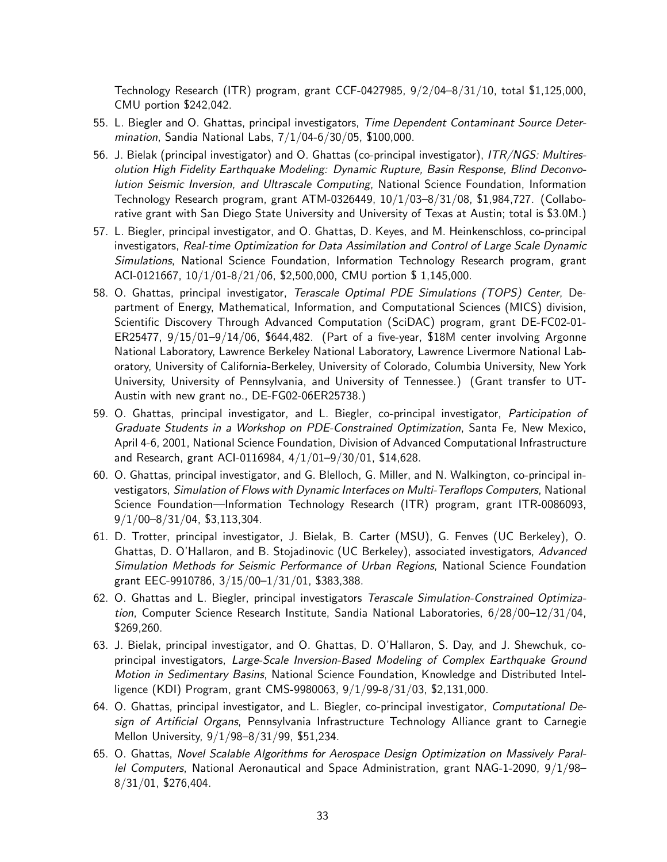Technology Research (ITR) program, grant CCF-0427985, 9/2/04–8/31/10, total \$1,125,000, CMU portion \$242,042.

- 55. L. Biegler and O. Ghattas, principal investigators, Time Dependent Contaminant Source Determination, Sandia National Labs, 7/1/04-6/30/05, \$100,000.
- 56. J. Bielak (principal investigator) and O. Ghattas (co-principal investigator), ITR/NGS: Multiresolution High Fidelity Earthquake Modeling: Dynamic Rupture, Basin Response, Blind Deconvolution Seismic Inversion, and Ultrascale Computing, National Science Foundation, Information Technology Research program, grant ATM-0326449, 10/1/03–8/31/08, \$1,984,727. (Collaborative grant with San Diego State University and University of Texas at Austin; total is \$3.0M.)
- 57. L. Biegler, principal investigator, and O. Ghattas, D. Keyes, and M. Heinkenschloss, co-principal investigators, Real-time Optimization for Data Assimilation and Control of Large Scale Dynamic Simulations, National Science Foundation, Information Technology Research program, grant ACI-0121667, 10/1/01-8/21/06, \$2,500,000, CMU portion \$ 1,145,000.
- 58. O. Ghattas, principal investigator, Terascale Optimal PDE Simulations (TOPS) Center, Department of Energy, Mathematical, Information, and Computational Sciences (MICS) division, Scientific Discovery Through Advanced Computation (SciDAC) program, grant DE-FC02-01- ER25477, 9/15/01–9/14/06, \$644,482. (Part of a five-year, \$18M center involving Argonne National Laboratory, Lawrence Berkeley National Laboratory, Lawrence Livermore National Laboratory, University of California-Berkeley, University of Colorado, Columbia University, New York University, University of Pennsylvania, and University of Tennessee.) (Grant transfer to UT-Austin with new grant no., DE-FG02-06ER25738.)
- 59. O. Ghattas, principal investigator, and L. Biegler, co-principal investigator, Participation of Graduate Students in a Workshop on PDE-Constrained Optimization, Santa Fe, New Mexico, April 4-6, 2001, National Science Foundation, Division of Advanced Computational Infrastructure and Research, grant ACI-0116984, 4/1/01–9/30/01, \$14,628.
- 60. O. Ghattas, principal investigator, and G. Blelloch, G. Miller, and N. Walkington, co-principal investigators, Simulation of Flows with Dynamic Interfaces on Multi-Teraflops Computers, National Science Foundation—Information Technology Research (ITR) program, grant ITR-0086093, 9/1/00–8/31/04, \$3,113,304.
- 61. D. Trotter, principal investigator, J. Bielak, B. Carter (MSU), G. Fenves (UC Berkeley), O. Ghattas, D. O'Hallaron, and B. Stojadinovic (UC Berkeley), associated investigators, Advanced Simulation Methods for Seismic Performance of Urban Regions, National Science Foundation grant EEC-9910786, 3/15/00–1/31/01, \$383,388.
- 62. O. Ghattas and L. Biegler, principal investigators Terascale Simulation-Constrained Optimization, Computer Science Research Institute, Sandia National Laboratories, 6/28/00–12/31/04, \$269,260.
- 63. J. Bielak, principal investigator, and O. Ghattas, D. O'Hallaron, S. Day, and J. Shewchuk, coprincipal investigators, Large-Scale Inversion-Based Modeling of Complex Earthquake Ground Motion in Sedimentary Basins, National Science Foundation, Knowledge and Distributed Intelligence (KDI) Program, grant CMS-9980063, 9/1/99-8/31/03, \$2,131,000.
- 64. O. Ghattas, principal investigator, and L. Biegler, co-principal investigator, Computational Design of Artificial Organs, Pennsylvania Infrastructure Technology Alliance grant to Carnegie Mellon University, 9/1/98–8/31/99, \$51,234.
- 65. O. Ghattas, Novel Scalable Algorithms for Aerospace Design Optimization on Massively Parallel Computers, National Aeronautical and Space Administration, grant NAG-1-2090, 9/1/98– 8/31/01, \$276,404.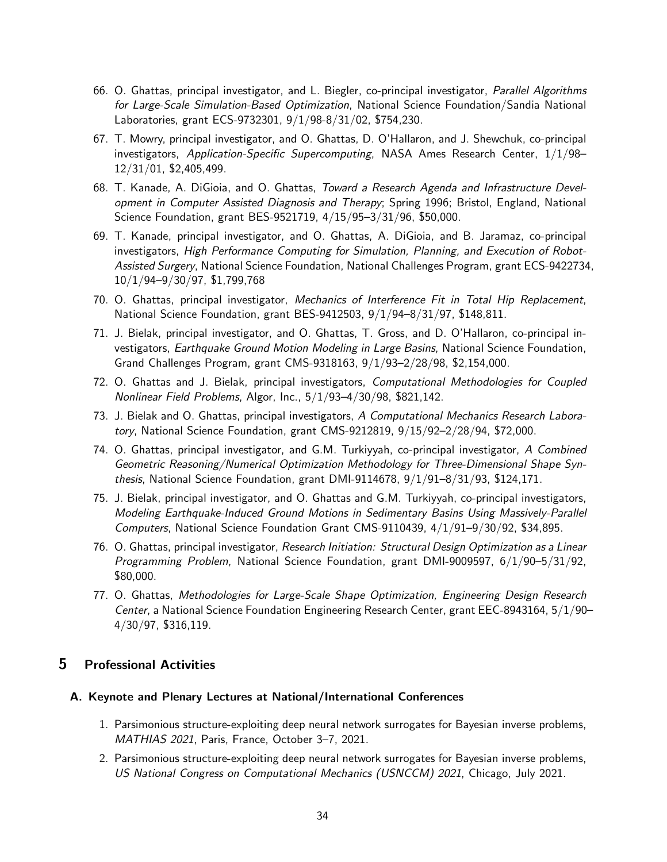- 66. O. Ghattas, principal investigator, and L. Biegler, co-principal investigator, Parallel Algorithms for Large-Scale Simulation-Based Optimization, National Science Foundation/Sandia National Laboratories, grant ECS-9732301, 9/1/98-8/31/02, \$754,230.
- 67. T. Mowry, principal investigator, and O. Ghattas, D. O'Hallaron, and J. Shewchuk, co-principal investigators, Application-Specific Supercomputing, NASA Ames Research Center,  $1/1/98-$ 12/31/01, \$2,405,499.
- 68. T. Kanade, A. DiGioia, and O. Ghattas, Toward a Research Agenda and Infrastructure Development in Computer Assisted Diagnosis and Therapy; Spring 1996; Bristol, England, National Science Foundation, grant BES-9521719, 4/15/95–3/31/96, \$50,000.
- 69. T. Kanade, principal investigator, and O. Ghattas, A. DiGioia, and B. Jaramaz, co-principal investigators, High Performance Computing for Simulation, Planning, and Execution of Robot-Assisted Surgery, National Science Foundation, National Challenges Program, grant ECS-9422734, 10/1/94–9/30/97, \$1,799,768
- 70. O. Ghattas, principal investigator, Mechanics of Interference Fit in Total Hip Replacement, National Science Foundation, grant BES-9412503, 9/1/94–8/31/97, \$148,811.
- 71. J. Bielak, principal investigator, and O. Ghattas, T. Gross, and D. O'Hallaron, co-principal investigators, Earthquake Ground Motion Modeling in Large Basins, National Science Foundation, Grand Challenges Program, grant CMS-9318163, 9/1/93–2/28/98, \$2,154,000.
- 72. O. Ghattas and J. Bielak, principal investigators, Computational Methodologies for Coupled Nonlinear Field Problems, Algor, Inc., 5/1/93–4/30/98, \$821,142.
- 73. J. Bielak and O. Ghattas, principal investigators, A Computational Mechanics Research Laboratory, National Science Foundation, grant CMS-9212819, 9/15/92–2/28/94, \$72,000.
- 74. O. Ghattas, principal investigator, and G.M. Turkiyyah, co-principal investigator, A Combined Geometric Reasoning/Numerical Optimization Methodology for Three-Dimensional Shape Synthesis, National Science Foundation, grant DMI-9114678, 9/1/91–8/31/93, \$124,171.
- 75. J. Bielak, principal investigator, and O. Ghattas and G.M. Turkiyyah, co-principal investigators, Modeling Earthquake-Induced Ground Motions in Sedimentary Basins Using Massively-Parallel Computers, National Science Foundation Grant CMS-9110439, 4/1/91–9/30/92, \$34,895.
- 76. O. Ghattas, principal investigator, Research Initiation: Structural Design Optimization as a Linear Programming Problem, National Science Foundation, grant DMI-9009597, 6/1/90–5/31/92, \$80,000.
- 77. O. Ghattas, Methodologies for Large-Scale Shape Optimization, Engineering Design Research Center, a National Science Foundation Engineering Research Center, grant EEC-8943164, 5/1/90– 4/30/97, \$316,119.

## <span id="page-33-0"></span>5 Professional Activities

#### A. Keynote and Plenary Lectures at National/International Conferences

- 1. Parsimonious structure-exploiting deep neural network surrogates for Bayesian inverse problems, MATHIAS 2021, Paris, France, October 3–7, 2021.
- 2. Parsimonious structure-exploiting deep neural network surrogates for Bayesian inverse problems, US National Congress on Computational Mechanics (USNCCM) 2021, Chicago, July 2021.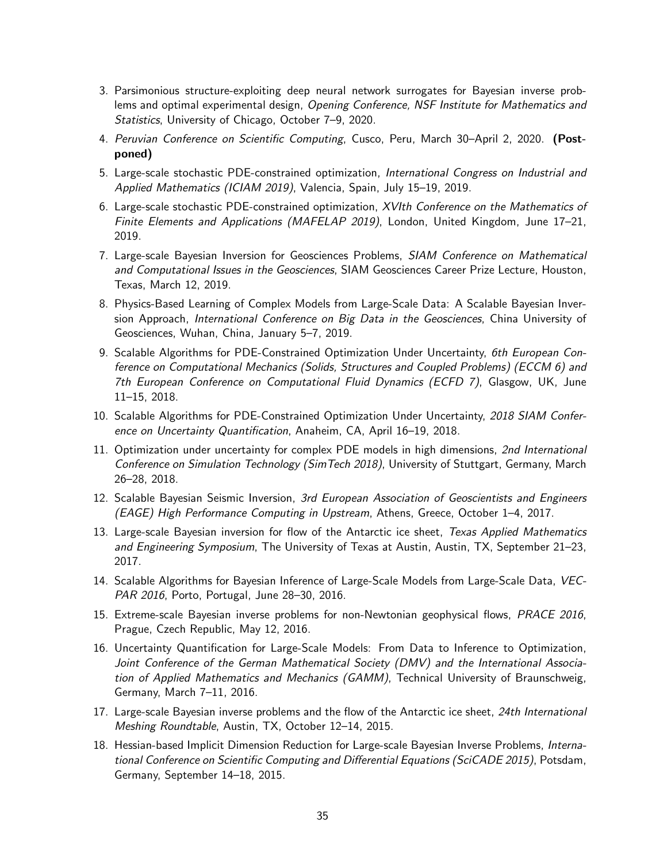- 3. Parsimonious structure-exploiting deep neural network surrogates for Bayesian inverse problems and optimal experimental design, Opening Conference, NSF Institute for Mathematics and Statistics, University of Chicago, October 7–9, 2020.
- 4. Peruvian Conference on Scientific Computing, Cusco, Peru, March 30-April 2, 2020. (Postponed)
- 5. Large-scale stochastic PDE-constrained optimization, International Congress on Industrial and Applied Mathematics (ICIAM 2019), Valencia, Spain, July 15–19, 2019.
- 6. Large-scale stochastic PDE-constrained optimization, XVIth Conference on the Mathematics of Finite Elements and Applications (MAFELAP 2019), London, United Kingdom, June 17-21, 2019.
- 7. Large-scale Bayesian Inversion for Geosciences Problems, SIAM Conference on Mathematical and Computational Issues in the Geosciences, SIAM Geosciences Career Prize Lecture, Houston, Texas, March 12, 2019.
- 8. Physics-Based Learning of Complex Models from Large-Scale Data: A Scalable Bayesian Inversion Approach, International Conference on Big Data in the Geosciences, China University of Geosciences, Wuhan, China, January 5–7, 2019.
- 9. Scalable Algorithms for PDE-Constrained Optimization Under Uncertainty, 6th European Conference on Computational Mechanics (Solids, Structures and Coupled Problems) (ECCM 6) and 7th European Conference on Computational Fluid Dynamics (ECFD 7), Glasgow, UK, June 11–15, 2018.
- 10. Scalable Algorithms for PDE-Constrained Optimization Under Uncertainty, 2018 SIAM Conference on Uncertainty Quantification, Anaheim, CA, April 16–19, 2018.
- 11. Optimization under uncertainty for complex PDE models in high dimensions, 2nd International Conference on Simulation Technology (SimTech 2018), University of Stuttgart, Germany, March 26–28, 2018.
- 12. Scalable Bayesian Seismic Inversion, 3rd European Association of Geoscientists and Engineers (EAGE) High Performance Computing in Upstream, Athens, Greece, October 1–4, 2017.
- 13. Large-scale Bayesian inversion for flow of the Antarctic ice sheet, Texas Applied Mathematics and Engineering Symposium, The University of Texas at Austin, Austin, TX, September 21–23, 2017.
- 14. Scalable Algorithms for Bayesian Inference of Large-Scale Models from Large-Scale Data, VEC-PAR 2016, Porto, Portugal, June 28–30, 2016.
- 15. Extreme-scale Bayesian inverse problems for non-Newtonian geophysical flows, PRACE 2016, Prague, Czech Republic, May 12, 2016.
- 16. Uncertainty Quantification for Large-Scale Models: From Data to Inference to Optimization, Joint Conference of the German Mathematical Society (DMV) and the International Association of Applied Mathematics and Mechanics (GAMM), Technical University of Braunschweig, Germany, March 7–11, 2016.
- 17. Large-scale Bayesian inverse problems and the flow of the Antarctic ice sheet, 24th International Meshing Roundtable, Austin, TX, October 12–14, 2015.
- 18. Hessian-based Implicit Dimension Reduction for Large-scale Bayesian Inverse Problems, International Conference on Scientific Computing and Differential Equations (SciCADE 2015), Potsdam, Germany, September 14–18, 2015.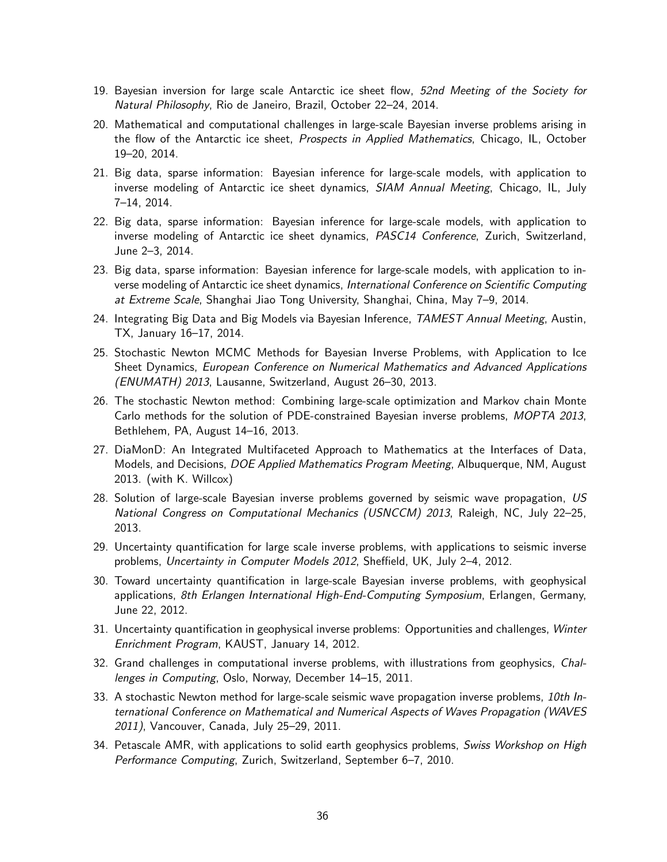- 19. Bayesian inversion for large scale Antarctic ice sheet flow, 52nd Meeting of the Society for Natural Philosophy, Rio de Janeiro, Brazil, October 22–24, 2014.
- 20. Mathematical and computational challenges in large-scale Bayesian inverse problems arising in the flow of the Antarctic ice sheet, Prospects in Applied Mathematics, Chicago, IL, October 19–20, 2014.
- 21. Big data, sparse information: Bayesian inference for large-scale models, with application to inverse modeling of Antarctic ice sheet dynamics, SIAM Annual Meeting, Chicago, IL, July 7–14, 2014.
- 22. Big data, sparse information: Bayesian inference for large-scale models, with application to inverse modeling of Antarctic ice sheet dynamics, PASC14 Conference, Zurich, Switzerland, June 2–3, 2014.
- 23. Big data, sparse information: Bayesian inference for large-scale models, with application to inverse modeling of Antarctic ice sheet dynamics, International Conference on Scientific Computing at Extreme Scale, Shanghai Jiao Tong University, Shanghai, China, May 7–9, 2014.
- 24. Integrating Big Data and Big Models via Bayesian Inference, TAMEST Annual Meeting, Austin, TX, January 16–17, 2014.
- 25. Stochastic Newton MCMC Methods for Bayesian Inverse Problems, with Application to Ice Sheet Dynamics, European Conference on Numerical Mathematics and Advanced Applications (ENUMATH) 2013, Lausanne, Switzerland, August 26–30, 2013.
- 26. The stochastic Newton method: Combining large-scale optimization and Markov chain Monte Carlo methods for the solution of PDE-constrained Bayesian inverse problems, MOPTA 2013, Bethlehem, PA, August 14–16, 2013.
- 27. DiaMonD: An Integrated Multifaceted Approach to Mathematics at the Interfaces of Data, Models, and Decisions, DOE Applied Mathematics Program Meeting, Albuquerque, NM, August 2013. (with K. Willcox)
- 28. Solution of large-scale Bayesian inverse problems governed by seismic wave propagation, US National Congress on Computational Mechanics (USNCCM) 2013, Raleigh, NC, July 22–25, 2013.
- 29. Uncertainty quantification for large scale inverse problems, with applications to seismic inverse problems, Uncertainty in Computer Models 2012, Sheffield, UK, July 2–4, 2012.
- 30. Toward uncertainty quantification in large-scale Bayesian inverse problems, with geophysical applications, 8th Erlangen International High-End-Computing Symposium, Erlangen, Germany, June 22, 2012.
- 31. Uncertainty quantification in geophysical inverse problems: Opportunities and challenges, Winter Enrichment Program, KAUST, January 14, 2012.
- 32. Grand challenges in computational inverse problems, with illustrations from geophysics, Challenges in Computing, Oslo, Norway, December 14–15, 2011.
- 33. A stochastic Newton method for large-scale seismic wave propagation inverse problems, 10th International Conference on Mathematical and Numerical Aspects of Waves Propagation (WAVES 2011), Vancouver, Canada, July 25–29, 2011.
- 34. Petascale AMR, with applications to solid earth geophysics problems, Swiss Workshop on High Performance Computing, Zurich, Switzerland, September 6–7, 2010.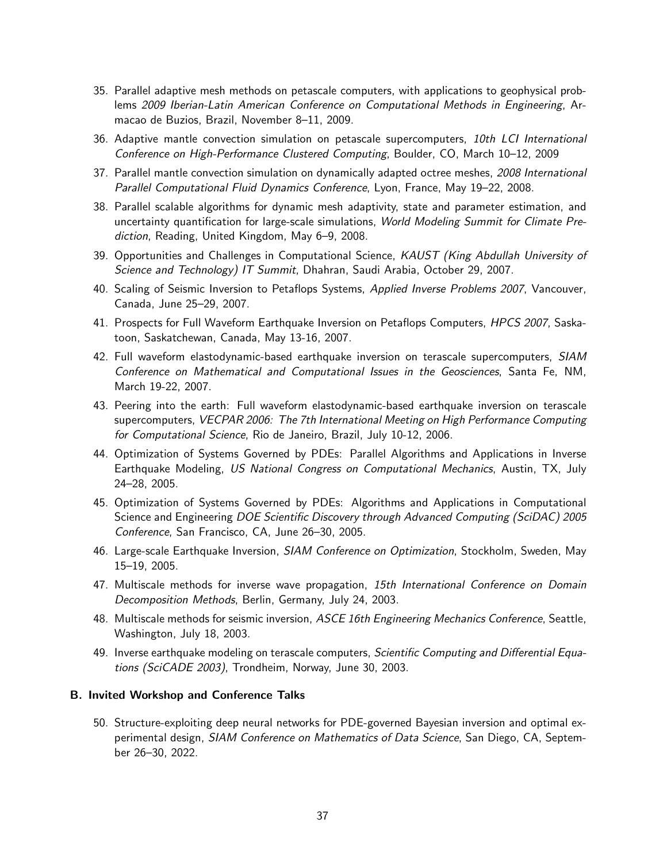- 35. Parallel adaptive mesh methods on petascale computers, with applications to geophysical problems 2009 Iberian-Latin American Conference on Computational Methods in Engineering, Armacao de Buzios, Brazil, November 8–11, 2009.
- 36. Adaptive mantle convection simulation on petascale supercomputers, 10th LCI International Conference on High-Performance Clustered Computing, Boulder, CO, March 10–12, 2009
- 37. Parallel mantle convection simulation on dynamically adapted octree meshes, 2008 International Parallel Computational Fluid Dynamics Conference, Lyon, France, May 19–22, 2008.
- 38. Parallel scalable algorithms for dynamic mesh adaptivity, state and parameter estimation, and uncertainty quantification for large-scale simulations, World Modeling Summit for Climate Prediction, Reading, United Kingdom, May 6–9, 2008.
- 39. Opportunities and Challenges in Computational Science, KAUST (King Abdullah University of Science and Technology) IT Summit, Dhahran, Saudi Arabia, October 29, 2007.
- 40. Scaling of Seismic Inversion to Petaflops Systems, Applied Inverse Problems 2007, Vancouver, Canada, June 25–29, 2007.
- 41. Prospects for Full Waveform Earthquake Inversion on Petaflops Computers, HPCS 2007, Saskatoon, Saskatchewan, Canada, May 13-16, 2007.
- 42. Full waveform elastodynamic-based earthquake inversion on terascale supercomputers, SIAM Conference on Mathematical and Computational Issues in the Geosciences, Santa Fe, NM, March 19-22, 2007.
- 43. Peering into the earth: Full waveform elastodynamic-based earthquake inversion on terascale supercomputers, VECPAR 2006: The 7th International Meeting on High Performance Computing for Computational Science, Rio de Janeiro, Brazil, July 10-12, 2006.
- 44. Optimization of Systems Governed by PDEs: Parallel Algorithms and Applications in Inverse Earthquake Modeling, US National Congress on Computational Mechanics, Austin, TX, July 24–28, 2005.
- 45. Optimization of Systems Governed by PDEs: Algorithms and Applications in Computational Science and Engineering DOE Scientific Discovery through Advanced Computing (SciDAC) 2005 Conference, San Francisco, CA, June 26–30, 2005.
- 46. Large-scale Earthquake Inversion, SIAM Conference on Optimization, Stockholm, Sweden, May 15–19, 2005.
- 47. Multiscale methods for inverse wave propagation, 15th International Conference on Domain Decomposition Methods, Berlin, Germany, July 24, 2003.
- 48. Multiscale methods for seismic inversion, ASCE 16th Engineering Mechanics Conference, Seattle, Washington, July 18, 2003.
- 49. Inverse earthquake modeling on terascale computers, Scientific Computing and Differential Equations (SciCADE 2003), Trondheim, Norway, June 30, 2003.

# B. Invited Workshop and Conference Talks

50. Structure-exploiting deep neural networks for PDE-governed Bayesian inversion and optimal experimental design, *SIAM Conference on Mathematics of Data Science*, San Diego, CA, September 26–30, 2022.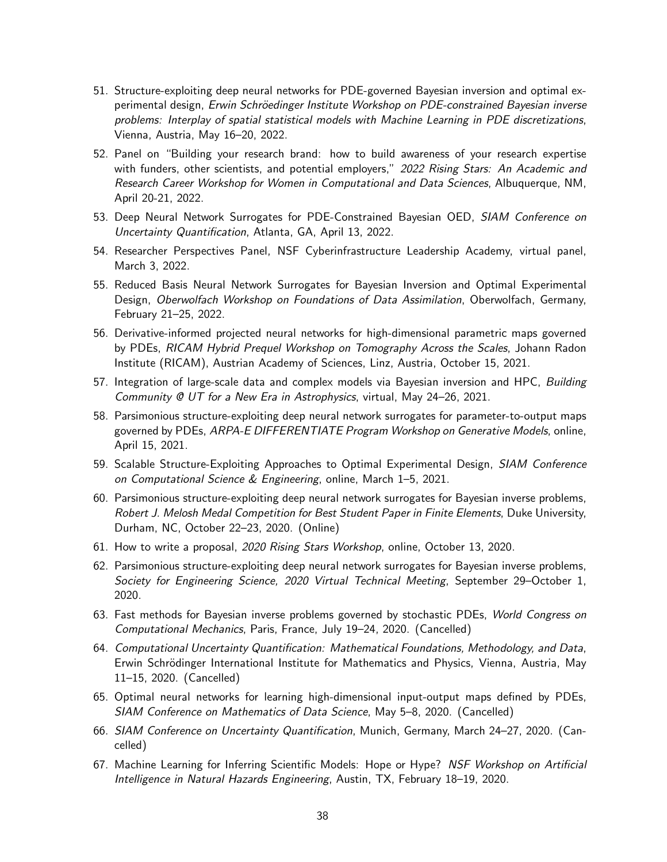- 51. Structure-exploiting deep neural networks for PDE-governed Bayesian inversion and optimal experimental design, Erwin Schröedinger Institute Workshop on PDE-constrained Bayesian inverse problems: Interplay of spatial statistical models with Machine Learning in PDE discretizations, Vienna, Austria, May 16–20, 2022.
- 52. Panel on "Building your research brand: how to build awareness of your research expertise with funders, other scientists, and potential employers," 2022 Rising Stars: An Academic and Research Career Workshop for Women in Computational and Data Sciences, Albuquerque, NM, April 20-21, 2022.
- 53. Deep Neural Network Surrogates for PDE-Constrained Bayesian OED, SIAM Conference on Uncertainty Quantification, Atlanta, GA, April 13, 2022.
- 54. Researcher Perspectives Panel, NSF Cyberinfrastructure Leadership Academy, virtual panel, March 3, 2022.
- 55. Reduced Basis Neural Network Surrogates for Bayesian Inversion and Optimal Experimental Design, Oberwolfach Workshop on Foundations of Data Assimilation, Oberwolfach, Germany, February 21–25, 2022.
- 56. Derivative-informed projected neural networks for high-dimensional parametric maps governed by PDEs, RICAM Hybrid Prequel Workshop on Tomography Across the Scales, Johann Radon Institute (RICAM), Austrian Academy of Sciences, Linz, Austria, October 15, 2021.
- 57. Integration of large-scale data and complex models via Bayesian inversion and HPC, Building Community @ UT for a New Era in Astrophysics, virtual, May 24–26, 2021.
- 58. Parsimonious structure-exploiting deep neural network surrogates for parameter-to-output maps governed by PDEs, ARPA-E DIFFERENTIATE Program Workshop on Generative Models, online, April 15, 2021.
- 59. Scalable Structure-Exploiting Approaches to Optimal Experimental Design, SIAM Conference on Computational Science & Engineering, online, March 1–5, 2021.
- 60. Parsimonious structure-exploiting deep neural network surrogates for Bayesian inverse problems, Robert J. Melosh Medal Competition for Best Student Paper in Finite Elements, Duke University, Durham, NC, October 22–23, 2020. (Online)
- 61. How to write a proposal, 2020 Rising Stars Workshop, online, October 13, 2020.
- 62. Parsimonious structure-exploiting deep neural network surrogates for Bayesian inverse problems, Society for Engineering Science, 2020 Virtual Technical Meeting, September 29–October 1, 2020.
- 63. Fast methods for Bayesian inverse problems governed by stochastic PDEs, World Congress on Computational Mechanics, Paris, France, July 19–24, 2020. (Cancelled)
- 64. Computational Uncertainty Quantification: Mathematical Foundations, Methodology, and Data, Erwin Schrödinger International Institute for Mathematics and Physics, Vienna, Austria, May 11–15, 2020. (Cancelled)
- 65. Optimal neural networks for learning high-dimensional input-output maps defined by PDEs, SIAM Conference on Mathematics of Data Science, May 5–8, 2020. (Cancelled)
- 66. SIAM Conference on Uncertainty Quantification, Munich, Germany, March 24–27, 2020. (Cancelled)
- 67. Machine Learning for Inferring Scientific Models: Hope or Hype? NSF Workshop on Artificial Intelligence in Natural Hazards Engineering, Austin, TX, February 18–19, 2020.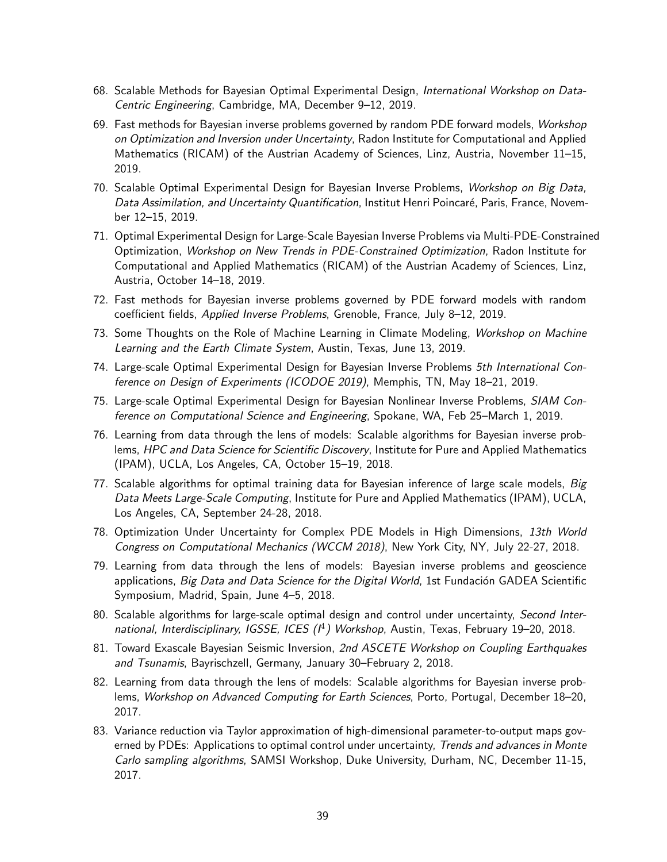- 68. Scalable Methods for Bayesian Optimal Experimental Design, International Workshop on Data-Centric Engineering, Cambridge, MA, December 9–12, 2019.
- 69. Fast methods for Bayesian inverse problems governed by random PDE forward models, Workshop on Optimization and Inversion under Uncertainty, Radon Institute for Computational and Applied Mathematics (RICAM) of the Austrian Academy of Sciences, Linz, Austria, November 11–15, 2019.
- 70. Scalable Optimal Experimental Design for Bayesian Inverse Problems, Workshop on Big Data, Data Assimilation, and Uncertainty Quantification, Institut Henri Poincaré, Paris, France, November 12–15, 2019.
- 71. Optimal Experimental Design for Large-Scale Bayesian Inverse Problems via Multi-PDE-Constrained Optimization, Workshop on New Trends in PDE-Constrained Optimization, Radon Institute for Computational and Applied Mathematics (RICAM) of the Austrian Academy of Sciences, Linz, Austria, October 14–18, 2019.
- 72. Fast methods for Bayesian inverse problems governed by PDE forward models with random coefficient fields, Applied Inverse Problems, Grenoble, France, July 8–12, 2019.
- 73. Some Thoughts on the Role of Machine Learning in Climate Modeling, Workshop on Machine Learning and the Earth Climate System, Austin, Texas, June 13, 2019.
- 74. Large-scale Optimal Experimental Design for Bayesian Inverse Problems 5th International Conference on Design of Experiments (ICODOE 2019), Memphis, TN, May 18–21, 2019.
- 75. Large-scale Optimal Experimental Design for Bayesian Nonlinear Inverse Problems, SIAM Conference on Computational Science and Engineering, Spokane, WA, Feb 25–March 1, 2019.
- 76. Learning from data through the lens of models: Scalable algorithms for Bayesian inverse problems, HPC and Data Science for Scientific Discovery, Institute for Pure and Applied Mathematics (IPAM), UCLA, Los Angeles, CA, October 15–19, 2018.
- 77. Scalable algorithms for optimal training data for Bayesian inference of large scale models, Big Data Meets Large-Scale Computing, Institute for Pure and Applied Mathematics (IPAM), UCLA, Los Angeles, CA, September 24-28, 2018.
- 78. Optimization Under Uncertainty for Complex PDE Models in High Dimensions, 13th World Congress on Computational Mechanics (WCCM 2018), New York City, NY, July 22-27, 2018.
- 79. Learning from data through the lens of models: Bayesian inverse problems and geoscience applications, Big Data and Data Science for the Digital World, 1st Fundación GADEA Scientific Symposium, Madrid, Spain, June 4–5, 2018.
- 80. Scalable algorithms for large-scale optimal design and control under uncertainty, Second International, Interdisciplinary, IGSSE, ICES  $(1^4)$  Workshop, Austin, Texas, February 19-20, 2018.
- 81. Toward Exascale Bayesian Seismic Inversion, 2nd ASCETE Workshop on Coupling Earthquakes and Tsunamis, Bayrischzell, Germany, January 30–February 2, 2018.
- 82. Learning from data through the lens of models: Scalable algorithms for Bayesian inverse problems, Workshop on Advanced Computing for Earth Sciences, Porto, Portugal, December 18-20, 2017.
- 83. Variance reduction via Taylor approximation of high-dimensional parameter-to-output maps governed by PDEs: Applications to optimal control under uncertainty, Trends and advances in Monte Carlo sampling algorithms, SAMSI Workshop, Duke University, Durham, NC, December 11-15, 2017.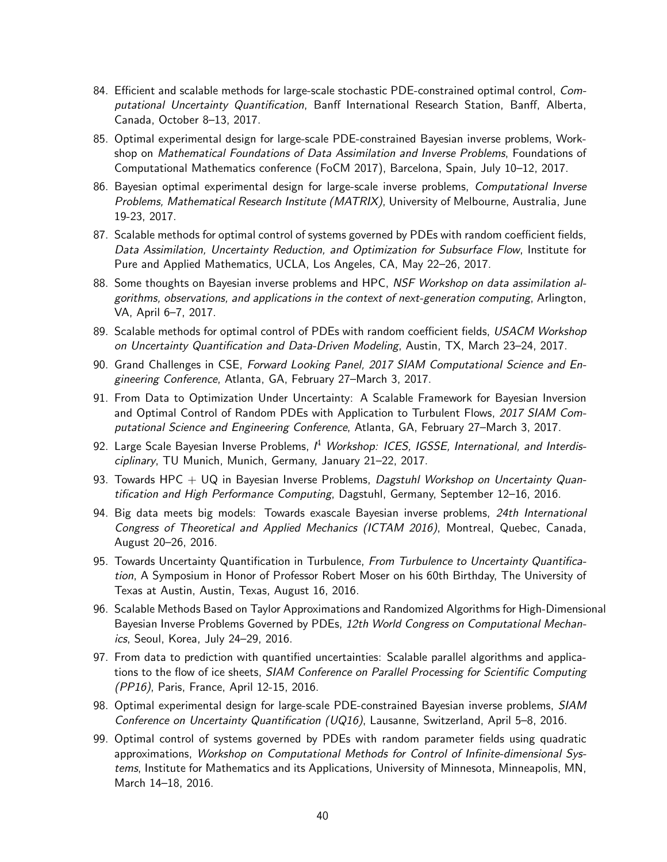- 84. Efficient and scalable methods for large-scale stochastic PDE-constrained optimal control, Computational Uncertainty Quantification, Banff International Research Station, Banff, Alberta, Canada, October 8–13, 2017.
- 85. Optimal experimental design for large-scale PDE-constrained Bayesian inverse problems, Workshop on Mathematical Foundations of Data Assimilation and Inverse Problems, Foundations of Computational Mathematics conference (FoCM 2017), Barcelona, Spain, July 10–12, 2017.
- 86. Bayesian optimal experimental design for large-scale inverse problems, Computational Inverse Problems, Mathematical Research Institute (MATRIX), University of Melbourne, Australia, June 19-23, 2017.
- 87. Scalable methods for optimal control of systems governed by PDEs with random coefficient fields, Data Assimilation, Uncertainty Reduction, and Optimization for Subsurface Flow, Institute for Pure and Applied Mathematics, UCLA, Los Angeles, CA, May 22–26, 2017.
- 88. Some thoughts on Bayesian inverse problems and HPC, NSF Workshop on data assimilation algorithms, observations, and applications in the context of next-generation computing, Arlington, VA, April 6–7, 2017.
- 89. Scalable methods for optimal control of PDEs with random coefficient fields, USACM Workshop on Uncertainty Quantification and Data-Driven Modeling, Austin, TX, March 23–24, 2017.
- 90. Grand Challenges in CSE, Forward Looking Panel, 2017 SIAM Computational Science and Engineering Conference, Atlanta, GA, February 27–March 3, 2017.
- 91. From Data to Optimization Under Uncertainty: A Scalable Framework for Bayesian Inversion and Optimal Control of Random PDEs with Application to Turbulent Flows, 2017 SIAM Computational Science and Engineering Conference, Atlanta, GA, February 27–March 3, 2017.
- 92. Large Scale Bayesian Inverse Problems,  $I^4$  Workshop: ICES, IGSSE, International, and Interdisciplinary, TU Munich, Munich, Germany, January 21–22, 2017.
- 93. Towards HPC  $+$  UQ in Bayesian Inverse Problems, Dagstuhl Workshop on Uncertainty Quantification and High Performance Computing, Dagstuhl, Germany, September 12–16, 2016.
- 94. Big data meets big models: Towards exascale Bayesian inverse problems, 24th International Congress of Theoretical and Applied Mechanics (ICTAM 2016), Montreal, Quebec, Canada, August 20–26, 2016.
- 95. Towards Uncertainty Quantification in Turbulence, From Turbulence to Uncertainty Quantification, A Symposium in Honor of Professor Robert Moser on his 60th Birthday, The University of Texas at Austin, Austin, Texas, August 16, 2016.
- 96. Scalable Methods Based on Taylor Approximations and Randomized Algorithms for High-Dimensional Bayesian Inverse Problems Governed by PDEs, 12th World Congress on Computational Mechanics, Seoul, Korea, July 24–29, 2016.
- 97. From data to prediction with quantified uncertainties: Scalable parallel algorithms and applications to the flow of ice sheets, SIAM Conference on Parallel Processing for Scientific Computing (PP16), Paris, France, April 12-15, 2016.
- 98. Optimal experimental design for large-scale PDE-constrained Bayesian inverse problems, SIAM Conference on Uncertainty Quantification (UQ16), Lausanne, Switzerland, April 5–8, 2016.
- 99. Optimal control of systems governed by PDEs with random parameter fields using quadratic approximations, Workshop on Computational Methods for Control of Infinite-dimensional Systems, Institute for Mathematics and its Applications, University of Minnesota, Minneapolis, MN, March 14–18, 2016.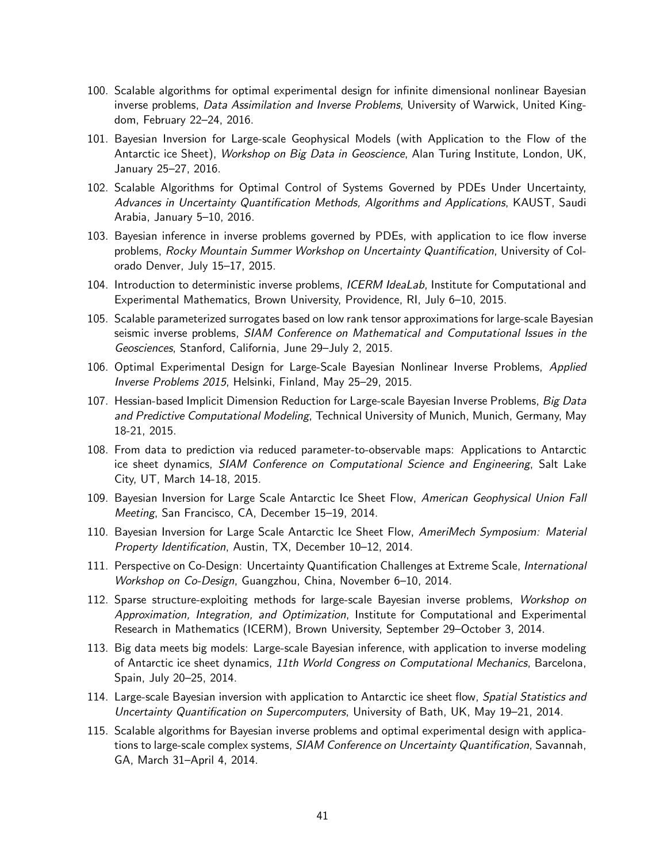- 100. Scalable algorithms for optimal experimental design for infinite dimensional nonlinear Bayesian inverse problems, *Data Assimilation and Inverse Problems*, University of Warwick, United Kingdom, February 22–24, 2016.
- 101. Bayesian Inversion for Large-scale Geophysical Models (with Application to the Flow of the Antarctic ice Sheet), Workshop on Big Data in Geoscience, Alan Turing Institute, London, UK, January 25–27, 2016.
- 102. Scalable Algorithms for Optimal Control of Systems Governed by PDEs Under Uncertainty, Advances in Uncertainty Quantification Methods, Algorithms and Applications, KAUST, Saudi Arabia, January 5–10, 2016.
- 103. Bayesian inference in inverse problems governed by PDEs, with application to ice flow inverse problems, Rocky Mountain Summer Workshop on Uncertainty Quantification, University of Colorado Denver, July 15–17, 2015.
- 104. Introduction to deterministic inverse problems, *ICERM IdeaLab*, Institute for Computational and Experimental Mathematics, Brown University, Providence, RI, July 6–10, 2015.
- 105. Scalable parameterized surrogates based on low rank tensor approximations for large-scale Bayesian seismic inverse problems, SIAM Conference on Mathematical and Computational Issues in the Geosciences, Stanford, California, June 29–July 2, 2015.
- 106. Optimal Experimental Design for Large-Scale Bayesian Nonlinear Inverse Problems, Applied Inverse Problems 2015, Helsinki, Finland, May 25–29, 2015.
- 107. Hessian-based Implicit Dimension Reduction for Large-scale Bayesian Inverse Problems, Big Data and Predictive Computational Modeling, Technical University of Munich, Munich, Germany, May 18-21, 2015.
- 108. From data to prediction via reduced parameter-to-observable maps: Applications to Antarctic ice sheet dynamics, SIAM Conference on Computational Science and Engineering, Salt Lake City, UT, March 14-18, 2015.
- 109. Bayesian Inversion for Large Scale Antarctic Ice Sheet Flow, American Geophysical Union Fall Meeting, San Francisco, CA, December 15–19, 2014.
- 110. Bayesian Inversion for Large Scale Antarctic Ice Sheet Flow, AmeriMech Symposium: Material Property Identification, Austin, TX, December 10–12, 2014.
- 111. Perspective on Co-Design: Uncertainty Quantification Challenges at Extreme Scale, International Workshop on Co-Design, Guangzhou, China, November 6–10, 2014.
- 112. Sparse structure-exploiting methods for large-scale Bayesian inverse problems, Workshop on Approximation, Integration, and Optimization, Institute for Computational and Experimental Research in Mathematics (ICERM), Brown University, September 29–October 3, 2014.
- 113. Big data meets big models: Large-scale Bayesian inference, with application to inverse modeling of Antarctic ice sheet dynamics, 11th World Congress on Computational Mechanics, Barcelona, Spain, July 20–25, 2014.
- 114. Large-scale Bayesian inversion with application to Antarctic ice sheet flow, Spatial Statistics and Uncertainty Quantification on Supercomputers, University of Bath, UK, May 19–21, 2014.
- 115. Scalable algorithms for Bayesian inverse problems and optimal experimental design with applications to large-scale complex systems, SIAM Conference on Uncertainty Quantification, Savannah, GA, March 31–April 4, 2014.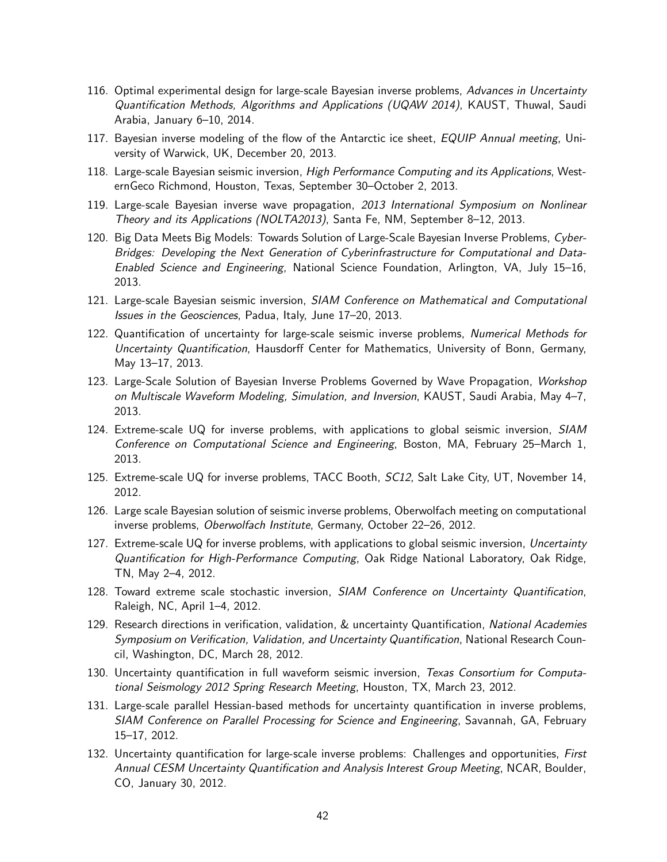- 116. Optimal experimental design for large-scale Bayesian inverse problems, Advances in Uncertainty Quantification Methods, Algorithms and Applications (UQAW 2014), KAUST, Thuwal, Saudi Arabia, January 6–10, 2014.
- 117. Bayesian inverse modeling of the flow of the Antarctic ice sheet, EQUIP Annual meeting, University of Warwick, UK, December 20, 2013.
- 118. Large-scale Bayesian seismic inversion, High Performance Computing and its Applications, WesternGeco Richmond, Houston, Texas, September 30–October 2, 2013.
- 119. Large-scale Bayesian inverse wave propagation, 2013 International Symposium on Nonlinear Theory and its Applications (NOLTA2013), Santa Fe, NM, September 8–12, 2013.
- 120. Big Data Meets Big Models: Towards Solution of Large-Scale Bayesian Inverse Problems, Cyber-Bridges: Developing the Next Generation of Cyberinfrastructure for Computational and Data-Enabled Science and Engineering, National Science Foundation, Arlington, VA, July 15–16, 2013.
- 121. Large-scale Bayesian seismic inversion, *SIAM Conference on Mathematical and Computational* Issues in the Geosciences, Padua, Italy, June 17–20, 2013.
- 122. Quantification of uncertainty for large-scale seismic inverse problems, Numerical Methods for Uncertainty Quantification, Hausdorff Center for Mathematics, University of Bonn, Germany, May 13–17, 2013.
- 123. Large-Scale Solution of Bayesian Inverse Problems Governed by Wave Propagation, Workshop on Multiscale Waveform Modeling, Simulation, and Inversion, KAUST, Saudi Arabia, May 4–7, 2013.
- 124. Extreme-scale UQ for inverse problems, with applications to global seismic inversion, SIAM Conference on Computational Science and Engineering, Boston, MA, February 25–March 1, 2013.
- 125. Extreme-scale UQ for inverse problems, TACC Booth, SC12, Salt Lake City, UT, November 14, 2012.
- 126. Large scale Bayesian solution of seismic inverse problems, Oberwolfach meeting on computational inverse problems, Oberwolfach Institute, Germany, October 22–26, 2012.
- 127. Extreme-scale UQ for inverse problems, with applications to global seismic inversion, Uncertainty Quantification for High-Performance Computing, Oak Ridge National Laboratory, Oak Ridge, TN, May 2–4, 2012.
- 128. Toward extreme scale stochastic inversion, SIAM Conference on Uncertainty Quantification, Raleigh, NC, April 1–4, 2012.
- 129. Research directions in verification, validation, & uncertainty Quantification, National Academies Symposium on Verification, Validation, and Uncertainty Quantification, National Research Council, Washington, DC, March 28, 2012.
- 130. Uncertainty quantification in full waveform seismic inversion, Texas Consortium for Computational Seismology 2012 Spring Research Meeting, Houston, TX, March 23, 2012.
- 131. Large-scale parallel Hessian-based methods for uncertainty quantification in inverse problems, SIAM Conference on Parallel Processing for Science and Engineering, Savannah, GA, February 15–17, 2012.
- 132. Uncertainty quantification for large-scale inverse problems: Challenges and opportunities, First Annual CESM Uncertainty Quantification and Analysis Interest Group Meeting, NCAR, Boulder, CO, January 30, 2012.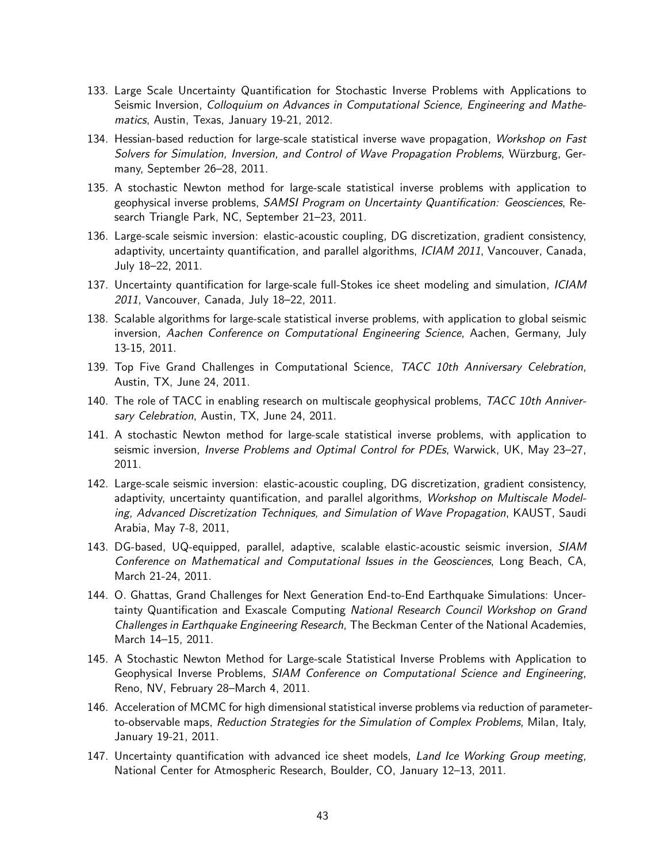- 133. Large Scale Uncertainty Quantification for Stochastic Inverse Problems with Applications to Seismic Inversion, Colloquium on Advances in Computational Science, Engineering and Mathematics, Austin, Texas, January 19-21, 2012.
- 134. Hessian-based reduction for large-scale statistical inverse wave propagation, Workshop on Fast Solvers for Simulation, Inversion, and Control of Wave Propagation Problems, Würzburg, Germany, September 26–28, 2011.
- 135. A stochastic Newton method for large-scale statistical inverse problems with application to geophysical inverse problems, SAMSI Program on Uncertainty Quantification: Geosciences, Research Triangle Park, NC, September 21–23, 2011.
- 136. Large-scale seismic inversion: elastic-acoustic coupling, DG discretization, gradient consistency, adaptivity, uncertainty quantification, and parallel algorithms, ICIAM 2011, Vancouver, Canada, July 18–22, 2011.
- 137. Uncertainty quantification for large-scale full-Stokes ice sheet modeling and simulation, ICIAM 2011, Vancouver, Canada, July 18–22, 2011.
- 138. Scalable algorithms for large-scale statistical inverse problems, with application to global seismic inversion, Aachen Conference on Computational Engineering Science, Aachen, Germany, July 13-15, 2011.
- 139. Top Five Grand Challenges in Computational Science, TACC 10th Anniversary Celebration, Austin, TX, June 24, 2011.
- 140. The role of TACC in enabling research on multiscale geophysical problems, TACC 10th Anniversary Celebration, Austin, TX, June 24, 2011.
- 141. A stochastic Newton method for large-scale statistical inverse problems, with application to seismic inversion, *Inverse Problems and Optimal Control for PDEs*, Warwick, UK, May 23–27, 2011.
- 142. Large-scale seismic inversion: elastic-acoustic coupling, DG discretization, gradient consistency, adaptivity, uncertainty quantification, and parallel algorithms, Workshop on Multiscale Modeling, Advanced Discretization Techniques, and Simulation of Wave Propagation, KAUST, Saudi Arabia, May 7-8, 2011,
- 143. DG-based, UQ-equipped, parallel, adaptive, scalable elastic-acoustic seismic inversion, SIAM Conference on Mathematical and Computational Issues in the Geosciences, Long Beach, CA, March 21-24, 2011.
- 144. O. Ghattas, Grand Challenges for Next Generation End-to-End Earthquake Simulations: Uncertainty Quantification and Exascale Computing National Research Council Workshop on Grand Challenges in Earthquake Engineering Research, The Beckman Center of the National Academies, March 14–15, 2011.
- 145. A Stochastic Newton Method for Large-scale Statistical Inverse Problems with Application to Geophysical Inverse Problems, SIAM Conference on Computational Science and Engineering, Reno, NV, February 28–March 4, 2011.
- 146. Acceleration of MCMC for high dimensional statistical inverse problems via reduction of parameterto-observable maps, Reduction Strategies for the Simulation of Complex Problems, Milan, Italy, January 19-21, 2011.
- 147. Uncertainty quantification with advanced ice sheet models, Land Ice Working Group meeting, National Center for Atmospheric Research, Boulder, CO, January 12–13, 2011.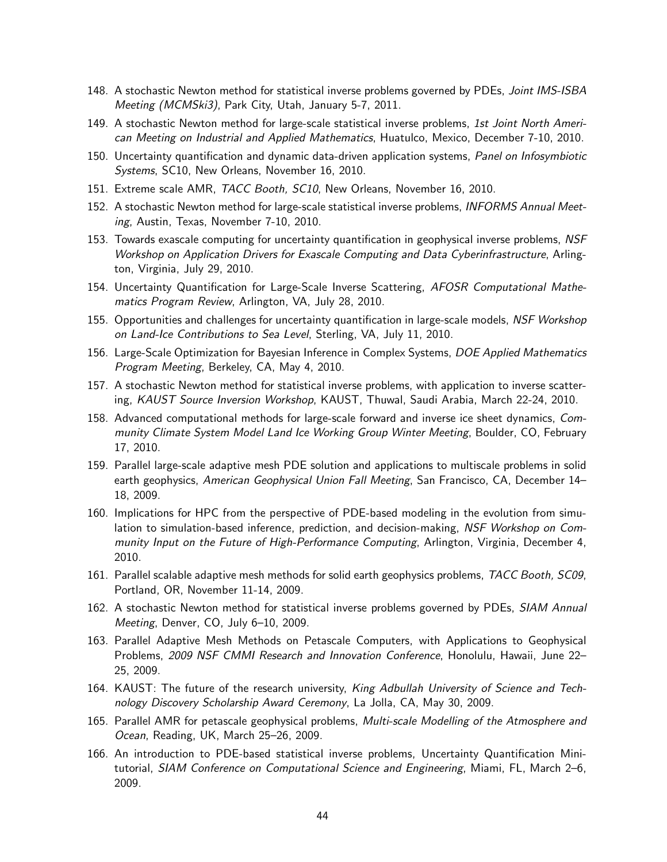- 148. A stochastic Newton method for statistical inverse problems governed by PDEs, Joint IMS-ISBA Meeting (MCMSki3), Park City, Utah, January 5-7, 2011.
- 149. A stochastic Newton method for large-scale statistical inverse problems, 1st Joint North American Meeting on Industrial and Applied Mathematics, Huatulco, Mexico, December 7-10, 2010.
- 150. Uncertainty quantification and dynamic data-driven application systems, Panel on Infosymbiotic Systems, SC10, New Orleans, November 16, 2010.
- 151. Extreme scale AMR, TACC Booth, SC10, New Orleans, November 16, 2010.
- 152. A stochastic Newton method for large-scale statistical inverse problems, INFORMS Annual Meeting, Austin, Texas, November 7-10, 2010.
- 153. Towards exascale computing for uncertainty quantification in geophysical inverse problems, NSF Workshop on Application Drivers for Exascale Computing and Data Cyberinfrastructure, Arlington, Virginia, July 29, 2010.
- 154. Uncertainty Quantification for Large-Scale Inverse Scattering, AFOSR Computational Mathematics Program Review, Arlington, VA, July 28, 2010.
- 155. Opportunities and challenges for uncertainty quantification in large-scale models, NSF Workshop on Land-Ice Contributions to Sea Level, Sterling, VA, July 11, 2010.
- 156. Large-Scale Optimization for Bayesian Inference in Complex Systems, DOE Applied Mathematics Program Meeting, Berkeley, CA, May 4, 2010.
- 157. A stochastic Newton method for statistical inverse problems, with application to inverse scattering, KAUST Source Inversion Workshop, KAUST, Thuwal, Saudi Arabia, March 22-24, 2010.
- 158. Advanced computational methods for large-scale forward and inverse ice sheet dynamics, Community Climate System Model Land Ice Working Group Winter Meeting, Boulder, CO, February 17, 2010.
- 159. Parallel large-scale adaptive mesh PDE solution and applications to multiscale problems in solid earth geophysics, American Geophysical Union Fall Meeting, San Francisco, CA, December 14– 18, 2009.
- 160. Implications for HPC from the perspective of PDE-based modeling in the evolution from simulation to simulation-based inference, prediction, and decision-making, NSF Workshop on Community Input on the Future of High-Performance Computing, Arlington, Virginia, December 4, 2010.
- 161. Parallel scalable adaptive mesh methods for solid earth geophysics problems, TACC Booth, SC09, Portland, OR, November 11-14, 2009.
- 162. A stochastic Newton method for statistical inverse problems governed by PDEs, *SIAM Annual* Meeting, Denver, CO, July 6–10, 2009.
- 163. Parallel Adaptive Mesh Methods on Petascale Computers, with Applications to Geophysical Problems, 2009 NSF CMMI Research and Innovation Conference, Honolulu, Hawaii, June 22– 25, 2009.
- 164. KAUST: The future of the research university, King Adbullah University of Science and Technology Discovery Scholarship Award Ceremony, La Jolla, CA, May 30, 2009.
- 165. Parallel AMR for petascale geophysical problems, Multi-scale Modelling of the Atmosphere and Ocean, Reading, UK, March 25–26, 2009.
- 166. An introduction to PDE-based statistical inverse problems, Uncertainty Quantification Minitutorial, SIAM Conference on Computational Science and Engineering, Miami, FL, March 2–6, 2009.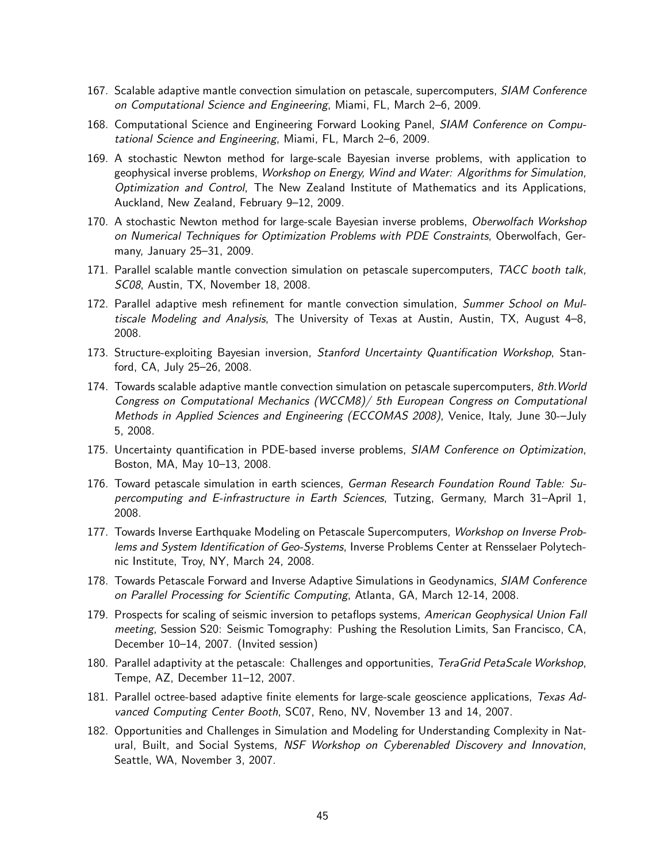- 167. Scalable adaptive mantle convection simulation on petascale, supercomputers, SIAM Conference on Computational Science and Engineering, Miami, FL, March 2–6, 2009.
- 168. Computational Science and Engineering Forward Looking Panel, SIAM Conference on Computational Science and Engineering, Miami, FL, March 2–6, 2009.
- 169. A stochastic Newton method for large-scale Bayesian inverse problems, with application to geophysical inverse problems, Workshop on Energy, Wind and Water: Algorithms for Simulation, Optimization and Control, The New Zealand Institute of Mathematics and its Applications, Auckland, New Zealand, February 9–12, 2009.
- 170. A stochastic Newton method for large-scale Bayesian inverse problems, Oberwolfach Workshop on Numerical Techniques for Optimization Problems with PDE Constraints, Oberwolfach, Germany, January 25–31, 2009.
- 171. Parallel scalable mantle convection simulation on petascale supercomputers, TACC booth talk, SC08, Austin, TX, November 18, 2008.
- 172. Parallel adaptive mesh refinement for mantle convection simulation, Summer School on Multiscale Modeling and Analysis, The University of Texas at Austin, Austin, TX, August 4–8, 2008.
- 173. Structure-exploiting Bayesian inversion, Stanford Uncertainty Quantification Workshop, Stanford, CA, July 25–26, 2008.
- 174. Towards scalable adaptive mantle convection simulation on petascale supercomputers, 8th. World Congress on Computational Mechanics (WCCM8)/ 5th European Congress on Computational Methods in Applied Sciences and Engineering (ECCOMAS 2008), Venice, Italy, June 30-–July 5, 2008.
- 175. Uncertainty quantification in PDE-based inverse problems, SIAM Conference on Optimization, Boston, MA, May 10–13, 2008.
- 176. Toward petascale simulation in earth sciences, German Research Foundation Round Table: Supercomputing and E-infrastructure in Earth Sciences, Tutzing, Germany, March 31–April 1, 2008.
- 177. Towards Inverse Earthquake Modeling on Petascale Supercomputers, Workshop on Inverse Problems and System Identification of Geo-Systems, Inverse Problems Center at Rensselaer Polytechnic Institute, Troy, NY, March 24, 2008.
- 178. Towards Petascale Forward and Inverse Adaptive Simulations in Geodynamics, SIAM Conference on Parallel Processing for Scientific Computing, Atlanta, GA, March 12-14, 2008.
- 179. Prospects for scaling of seismic inversion to petaflops systems, American Geophysical Union Fall meeting, Session S20: Seismic Tomography: Pushing the Resolution Limits, San Francisco, CA, December 10–14, 2007. (Invited session)
- 180. Parallel adaptivity at the petascale: Challenges and opportunities, TeraGrid PetaScale Workshop, Tempe, AZ, December 11–12, 2007.
- 181. Parallel octree-based adaptive finite elements for large-scale geoscience applications, Texas Advanced Computing Center Booth, SC07, Reno, NV, November 13 and 14, 2007.
- 182. Opportunities and Challenges in Simulation and Modeling for Understanding Complexity in Natural, Built, and Social Systems, NSF Workshop on Cyberenabled Discovery and Innovation, Seattle, WA, November 3, 2007.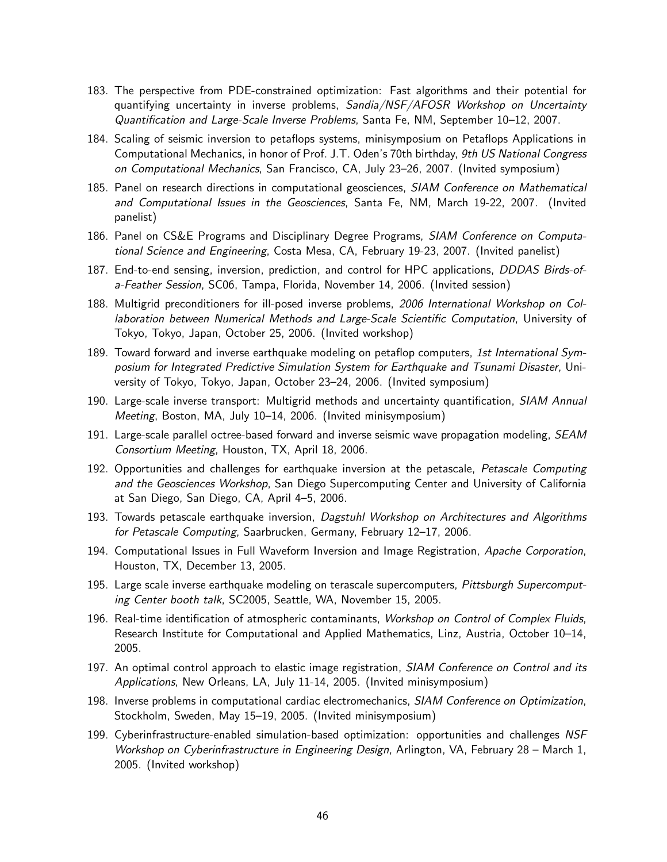- 183. The perspective from PDE-constrained optimization: Fast algorithms and their potential for quantifying uncertainty in inverse problems, Sandia/NSF/AFOSR Workshop on Uncertainty Quantification and Large-Scale Inverse Problems, Santa Fe, NM, September 10–12, 2007.
- 184. Scaling of seismic inversion to petaflops systems, minisymposium on Petaflops Applications in Computational Mechanics, in honor of Prof. J.T. Oden's 70th birthday, 9th US National Congress on Computational Mechanics, San Francisco, CA, July 23–26, 2007. (Invited symposium)
- 185. Panel on research directions in computational geosciences, SIAM Conference on Mathematical and Computational Issues in the Geosciences, Santa Fe, NM, March 19-22, 2007. (Invited panelist)
- 186. Panel on CS&E Programs and Disciplinary Degree Programs, SIAM Conference on Computational Science and Engineering, Costa Mesa, CA, February 19-23, 2007. (Invited panelist)
- 187. End-to-end sensing, inversion, prediction, and control for HPC applications, *DDDAS Birds-of*a-Feather Session, SC06, Tampa, Florida, November 14, 2006. (Invited session)
- 188. Multigrid preconditioners for ill-posed inverse problems, 2006 International Workshop on Collaboration between Numerical Methods and Large-Scale Scientific Computation, University of Tokyo, Tokyo, Japan, October 25, 2006. (Invited workshop)
- 189. Toward forward and inverse earthquake modeling on petaflop computers, 1st International Symposium for Integrated Predictive Simulation System for Earthquake and Tsunami Disaster, University of Tokyo, Tokyo, Japan, October 23–24, 2006. (Invited symposium)
- 190. Large-scale inverse transport: Multigrid methods and uncertainty quantification, SIAM Annual Meeting, Boston, MA, July 10–14, 2006. (Invited minisymposium)
- 191. Large-scale parallel octree-based forward and inverse seismic wave propagation modeling, SEAM Consortium Meeting, Houston, TX, April 18, 2006.
- 192. Opportunities and challenges for earthquake inversion at the petascale, Petascale Computing and the Geosciences Workshop, San Diego Supercomputing Center and University of California at San Diego, San Diego, CA, April 4–5, 2006.
- 193. Towards petascale earthquake inversion, Dagstuhl Workshop on Architectures and Algorithms for Petascale Computing, Saarbrucken, Germany, February 12–17, 2006.
- 194. Computational Issues in Full Waveform Inversion and Image Registration, Apache Corporation, Houston, TX, December 13, 2005.
- 195. Large scale inverse earthquake modeling on terascale supercomputers, Pittsburgh Supercomputing Center booth talk, SC2005, Seattle, WA, November 15, 2005.
- 196. Real-time identification of atmospheric contaminants, Workshop on Control of Complex Fluids, Research Institute for Computational and Applied Mathematics, Linz, Austria, October 10–14, 2005.
- 197. An optimal control approach to elastic image registration, SIAM Conference on Control and its Applications, New Orleans, LA, July 11-14, 2005. (Invited minisymposium)
- 198. Inverse problems in computational cardiac electromechanics, SIAM Conference on Optimization, Stockholm, Sweden, May 15–19, 2005. (Invited minisymposium)
- 199. Cyberinfrastructure-enabled simulation-based optimization: opportunities and challenges NSF Workshop on Cyberinfrastructure in Engineering Design, Arlington, VA, February 28 – March 1, 2005. (Invited workshop)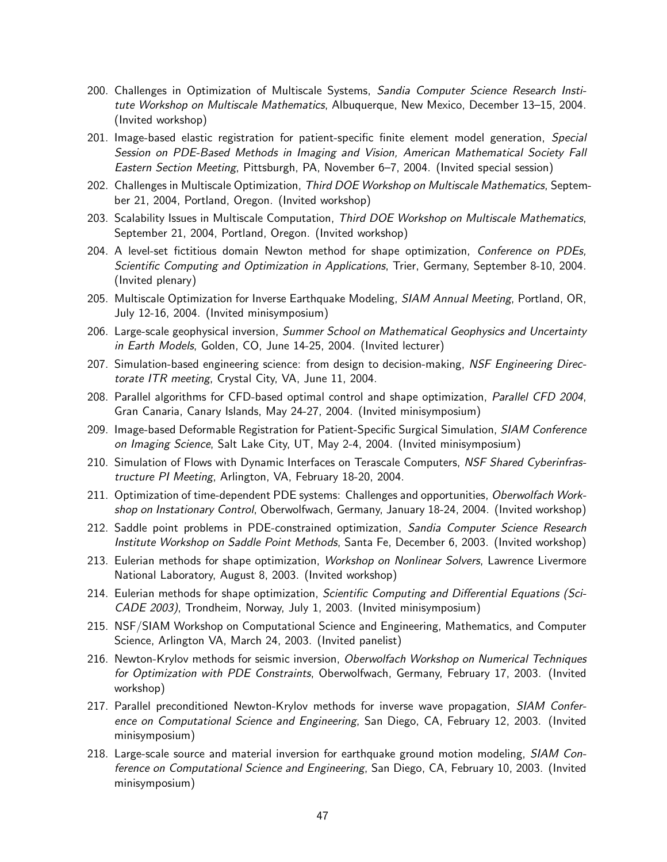- 200. Challenges in Optimization of Multiscale Systems, Sandia Computer Science Research Institute Workshop on Multiscale Mathematics, Albuquerque, New Mexico, December 13–15, 2004. (Invited workshop)
- 201. Image-based elastic registration for patient-specific finite element model generation, Special Session on PDE-Based Methods in Imaging and Vision, American Mathematical Society Fall Eastern Section Meeting, Pittsburgh, PA, November 6–7, 2004. (Invited special session)
- 202. Challenges in Multiscale Optimization, Third DOE Workshop on Multiscale Mathematics, September 21, 2004, Portland, Oregon. (Invited workshop)
- 203. Scalability Issues in Multiscale Computation, Third DOE Workshop on Multiscale Mathematics, September 21, 2004, Portland, Oregon. (Invited workshop)
- 204. A level-set fictitious domain Newton method for shape optimization, Conference on PDEs, Scientific Computing and Optimization in Applications, Trier, Germany, September 8-10, 2004. (Invited plenary)
- 205. Multiscale Optimization for Inverse Earthquake Modeling, SIAM Annual Meeting, Portland, OR, July 12-16, 2004. (Invited minisymposium)
- 206. Large-scale geophysical inversion, Summer School on Mathematical Geophysics and Uncertainty in Earth Models, Golden, CO, June 14-25, 2004. (Invited lecturer)
- 207. Simulation-based engineering science: from design to decision-making, NSF Engineering Directorate ITR meeting, Crystal City, VA, June 11, 2004.
- 208. Parallel algorithms for CFD-based optimal control and shape optimization, Parallel CFD 2004, Gran Canaria, Canary Islands, May 24-27, 2004. (Invited minisymposium)
- 209. Image-based Deformable Registration for Patient-Specific Surgical Simulation, SIAM Conference on Imaging Science, Salt Lake City, UT, May 2-4, 2004. (Invited minisymposium)
- 210. Simulation of Flows with Dynamic Interfaces on Terascale Computers, NSF Shared Cyberinfrastructure PI Meeting, Arlington, VA, February 18-20, 2004.
- 211. Optimization of time-dependent PDE systems: Challenges and opportunities, Oberwolfach Workshop on Instationary Control, Oberwolfwach, Germany, January 18-24, 2004. (Invited workshop)
- 212. Saddle point problems in PDE-constrained optimization, Sandia Computer Science Research Institute Workshop on Saddle Point Methods, Santa Fe, December 6, 2003. (Invited workshop)
- 213. Eulerian methods for shape optimization, Workshop on Nonlinear Solvers, Lawrence Livermore National Laboratory, August 8, 2003. (Invited workshop)
- 214. Eulerian methods for shape optimization, Scientific Computing and Differential Equations (Sci-CADE 2003), Trondheim, Norway, July 1, 2003. (Invited minisymposium)
- 215. NSF/SIAM Workshop on Computational Science and Engineering, Mathematics, and Computer Science, Arlington VA, March 24, 2003. (Invited panelist)
- 216. Newton-Krylov methods for seismic inversion, Oberwolfach Workshop on Numerical Techniques for Optimization with PDE Constraints, Oberwolfwach, Germany, February 17, 2003. (Invited workshop)
- 217. Parallel preconditioned Newton-Krylov methods for inverse wave propagation, SIAM Conference on Computational Science and Engineering, San Diego, CA, February 12, 2003. (Invited minisymposium)
- 218. Large-scale source and material inversion for earthquake ground motion modeling, SIAM Conference on Computational Science and Engineering, San Diego, CA, February 10, 2003. (Invited minisymposium)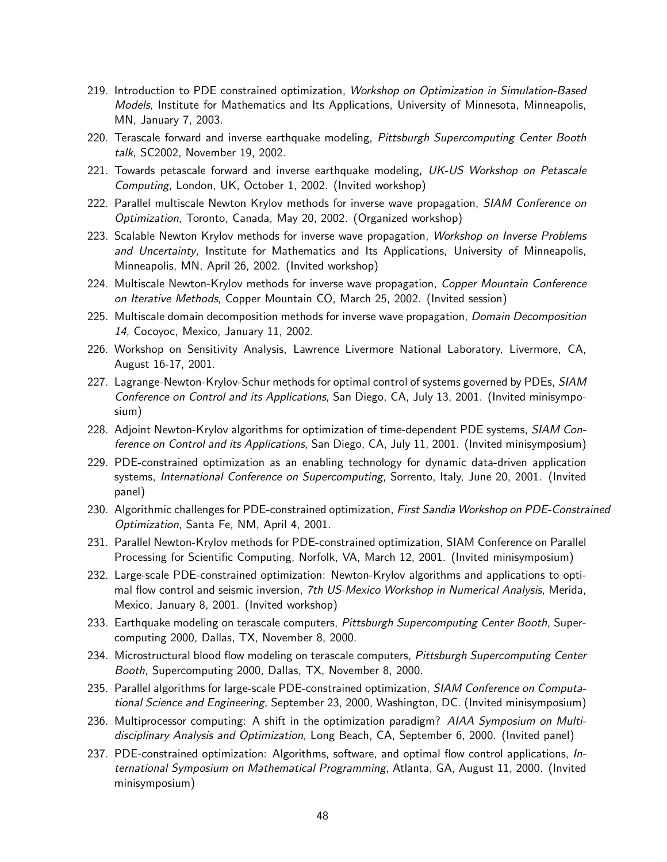- 219. Introduction to PDE constrained optimization, Workshop on Optimization in Simulation-Based Models, Institute for Mathematics and Its Applications, University of Minnesota, Minneapolis, MN, January 7, 2003.
- 220. Terascale forward and inverse earthquake modeling, Pittsburgh Supercomputing Center Booth talk, SC2002, November 19, 2002.
- 221. Towards petascale forward and inverse earthquake modeling, UK-US Workshop on Petascale Computing, London, UK, October 1, 2002. (Invited workshop)
- 222. Parallel multiscale Newton Krylov methods for inverse wave propagation, SIAM Conference on Optimization, Toronto, Canada, May 20, 2002. (Organized workshop)
- 223. Scalable Newton Krylov methods for inverse wave propagation, Workshop on Inverse Problems and Uncertainty, Institute for Mathematics and Its Applications, University of Minneapolis, Minneapolis, MN, April 26, 2002. (Invited workshop)
- 224. Multiscale Newton-Krylov methods for inverse wave propagation, Copper Mountain Conference on Iterative Methods, Copper Mountain CO, March 25, 2002. (Invited session)
- 225. Multiscale domain decomposition methods for inverse wave propagation, *Domain Decomposition* 14, Cocoyoc, Mexico, January 11, 2002.
- 226. Workshop on Sensitivity Analysis, Lawrence Livermore National Laboratory, Livermore, CA, August 16-17, 2001.
- 227. Lagrange-Newton-Krylov-Schur methods for optimal control of systems governed by PDEs, SIAM Conference on Control and its Applications, San Diego, CA, July 13, 2001. (Invited minisymposium)
- 228. Adjoint Newton-Krylov algorithms for optimization of time-dependent PDE systems, SIAM Conference on Control and its Applications, San Diego, CA, July 11, 2001. (Invited minisymposium)
- 229. PDE-constrained optimization as an enabling technology for dynamic data-driven application systems, International Conference on Supercomputing, Sorrento, Italy, June 20, 2001. (Invited panel)
- 230. Algorithmic challenges for PDE-constrained optimization, First Sandia Workshop on PDE-Constrained Optimization, Santa Fe, NM, April 4, 2001.
- 231. Parallel Newton-Krylov methods for PDE-constrained optimization, SIAM Conference on Parallel Processing for Scientific Computing, Norfolk, VA, March 12, 2001. (Invited minisymposium)
- 232. Large-scale PDE-constrained optimization: Newton-Krylov algorithms and applications to optimal flow control and seismic inversion, 7th US-Mexico Workshop in Numerical Analysis, Merida, Mexico, January 8, 2001. (Invited workshop)
- 233. Earthquake modeling on terascale computers, Pittsburgh Supercomputing Center Booth, Supercomputing 2000, Dallas, TX, November 8, 2000.
- 234. Microstructural blood flow modeling on terascale computers, Pittsburgh Supercomputing Center Booth, Supercomputing 2000, Dallas, TX, November 8, 2000.
- 235. Parallel algorithms for large-scale PDE-constrained optimization, SIAM Conference on Computational Science and Engineering, September 23, 2000, Washington, DC. (Invited minisymposium)
- 236. Multiprocessor computing: A shift in the optimization paradigm? AIAA Symposium on Multidisciplinary Analysis and Optimization, Long Beach, CA, September 6, 2000. (Invited panel)
- 237. PDE-constrained optimization: Algorithms, software, and optimal flow control applications, International Symposium on Mathematical Programming, Atlanta, GA, August 11, 2000. (Invited minisymposium)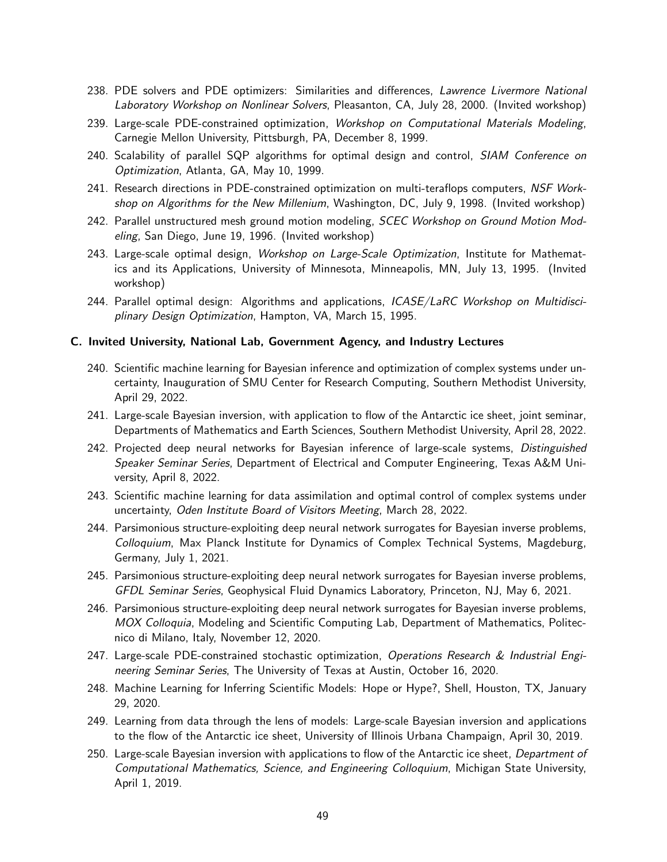- 238. PDE solvers and PDE optimizers: Similarities and differences, Lawrence Livermore National Laboratory Workshop on Nonlinear Solvers, Pleasanton, CA, July 28, 2000. (Invited workshop)
- 239. Large-scale PDE-constrained optimization, Workshop on Computational Materials Modeling, Carnegie Mellon University, Pittsburgh, PA, December 8, 1999.
- 240. Scalability of parallel SQP algorithms for optimal design and control, SIAM Conference on Optimization, Atlanta, GA, May 10, 1999.
- 241. Research directions in PDE-constrained optimization on multi-teraflops computers, NSF Workshop on Algorithms for the New Millenium, Washington, DC, July 9, 1998. (Invited workshop)
- 242. Parallel unstructured mesh ground motion modeling, SCEC Workshop on Ground Motion Modeling, San Diego, June 19, 1996. (Invited workshop)
- 243. Large-scale optimal design, Workshop on Large-Scale Optimization, Institute for Mathematics and its Applications, University of Minnesota, Minneapolis, MN, July 13, 1995. (Invited workshop)
- 244. Parallel optimal design: Algorithms and applications, ICASE/LaRC Workshop on Multidisciplinary Design Optimization, Hampton, VA, March 15, 1995.

### C. Invited University, National Lab, Government Agency, and Industry Lectures

- 240. Scientific machine learning for Bayesian inference and optimization of complex systems under uncertainty, Inauguration of SMU Center for Research Computing, Southern Methodist University, April 29, 2022.
- 241. Large-scale Bayesian inversion, with application to flow of the Antarctic ice sheet, joint seminar, Departments of Mathematics and Earth Sciences, Southern Methodist University, April 28, 2022.
- 242. Projected deep neural networks for Bayesian inference of large-scale systems, Distinguished Speaker Seminar Series, Department of Electrical and Computer Engineering, Texas A&M University, April 8, 2022.
- 243. Scientific machine learning for data assimilation and optimal control of complex systems under uncertainty, Oden Institute Board of Visitors Meeting, March 28, 2022.
- 244. Parsimonious structure-exploiting deep neural network surrogates for Bayesian inverse problems, Colloquium, Max Planck Institute for Dynamics of Complex Technical Systems, Magdeburg, Germany, July 1, 2021.
- 245. Parsimonious structure-exploiting deep neural network surrogates for Bayesian inverse problems, GFDL Seminar Series, Geophysical Fluid Dynamics Laboratory, Princeton, NJ, May 6, 2021.
- 246. Parsimonious structure-exploiting deep neural network surrogates for Bayesian inverse problems, MOX Colloquia, Modeling and Scientific Computing Lab, Department of Mathematics, Politecnico di Milano, Italy, November 12, 2020.
- 247. Large-scale PDE-constrained stochastic optimization, Operations Research & Industrial Engineering Seminar Series, The University of Texas at Austin, October 16, 2020.
- 248. Machine Learning for Inferring Scientific Models: Hope or Hype?, Shell, Houston, TX, January 29, 2020.
- 249. Learning from data through the lens of models: Large-scale Bayesian inversion and applications to the flow of the Antarctic ice sheet, University of Illinois Urbana Champaign, April 30, 2019.
- 250. Large-scale Bayesian inversion with applications to flow of the Antarctic ice sheet, Department of Computational Mathematics, Science, and Engineering Colloquium, Michigan State University, April 1, 2019.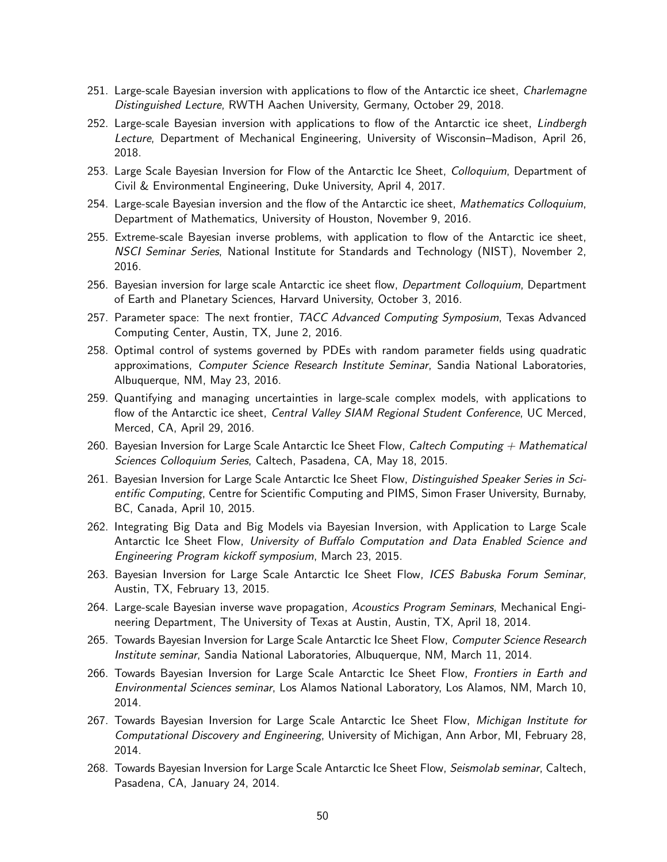- 251. Large-scale Bayesian inversion with applications to flow of the Antarctic ice sheet, *Charlemagne* Distinguished Lecture, RWTH Aachen University, Germany, October 29, 2018.
- 252. Large-scale Bayesian inversion with applications to flow of the Antarctic ice sheet, Lindbergh Lecture, Department of Mechanical Engineering, University of Wisconsin–Madison, April 26, 2018.
- 253. Large Scale Bayesian Inversion for Flow of the Antarctic Ice Sheet, Colloquium, Department of Civil & Environmental Engineering, Duke University, April 4, 2017.
- 254. Large-scale Bayesian inversion and the flow of the Antarctic ice sheet, Mathematics Colloquium, Department of Mathematics, University of Houston, November 9, 2016.
- 255. Extreme-scale Bayesian inverse problems, with application to flow of the Antarctic ice sheet, NSCI Seminar Series, National Institute for Standards and Technology (NIST), November 2, 2016.
- 256. Bayesian inversion for large scale Antarctic ice sheet flow, *Department Colloquium*, Department of Earth and Planetary Sciences, Harvard University, October 3, 2016.
- 257. Parameter space: The next frontier, TACC Advanced Computing Symposium, Texas Advanced Computing Center, Austin, TX, June 2, 2016.
- 258. Optimal control of systems governed by PDEs with random parameter fields using quadratic approximations, Computer Science Research Institute Seminar, Sandia National Laboratories, Albuquerque, NM, May 23, 2016.
- 259. Quantifying and managing uncertainties in large-scale complex models, with applications to flow of the Antarctic ice sheet, *Central Valley SIAM Regional Student Conference*, UC Merced, Merced, CA, April 29, 2016.
- 260. Bayesian Inversion for Large Scale Antarctic Ice Sheet Flow, Caltech Computing  $+$  Mathematical Sciences Colloquium Series, Caltech, Pasadena, CA, May 18, 2015.
- 261. Bayesian Inversion for Large Scale Antarctic Ice Sheet Flow, Distinguished Speaker Series in Scientific Computing, Centre for Scientific Computing and PIMS, Simon Fraser University, Burnaby, BC, Canada, April 10, 2015.
- 262. Integrating Big Data and Big Models via Bayesian Inversion, with Application to Large Scale Antarctic Ice Sheet Flow, University of Buffalo Computation and Data Enabled Science and Engineering Program kickoff symposium, March 23, 2015.
- 263. Bayesian Inversion for Large Scale Antarctic Ice Sheet Flow, ICES Babuska Forum Seminar, Austin, TX, February 13, 2015.
- 264. Large-scale Bayesian inverse wave propagation, Acoustics Program Seminars, Mechanical Engineering Department, The University of Texas at Austin, Austin, TX, April 18, 2014.
- 265. Towards Bayesian Inversion for Large Scale Antarctic Ice Sheet Flow, Computer Science Research Institute seminar, Sandia National Laboratories, Albuquerque, NM, March 11, 2014.
- 266. Towards Bayesian Inversion for Large Scale Antarctic Ice Sheet Flow, Frontiers in Earth and Environmental Sciences seminar, Los Alamos National Laboratory, Los Alamos, NM, March 10, 2014.
- 267. Towards Bayesian Inversion for Large Scale Antarctic Ice Sheet Flow, Michigan Institute for Computational Discovery and Engineering, University of Michigan, Ann Arbor, MI, February 28, 2014.
- 268. Towards Bayesian Inversion for Large Scale Antarctic Ice Sheet Flow, Seismolab seminar, Caltech, Pasadena, CA, January 24, 2014.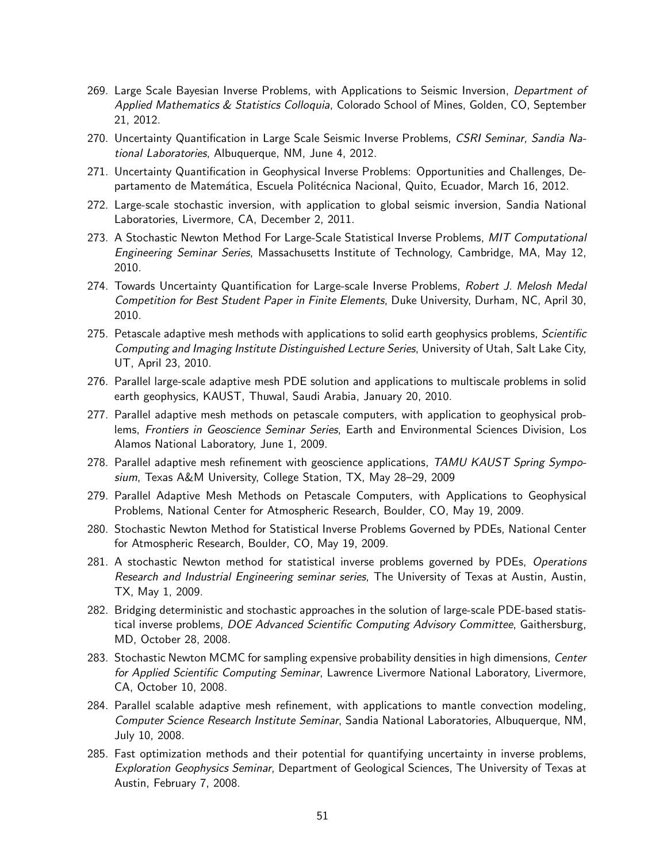- 269. Large Scale Bayesian Inverse Problems, with Applications to Seismic Inversion, Department of Applied Mathematics & Statistics Colloquia, Colorado School of Mines, Golden, CO, September 21, 2012.
- 270. Uncertainty Quantification in Large Scale Seismic Inverse Problems, CSRI Seminar, Sandia National Laboratories, Albuquerque, NM, June 4, 2012.
- 271. Uncertainty Quantification in Geophysical Inverse Problems: Opportunities and Challenges, Departamento de Matemática, Escuela Politécnica Nacional, Quito, Ecuador, March 16, 2012.
- 272. Large-scale stochastic inversion, with application to global seismic inversion, Sandia National Laboratories, Livermore, CA, December 2, 2011.
- 273. A Stochastic Newton Method For Large-Scale Statistical Inverse Problems, MIT Computational Engineering Seminar Series, Massachusetts Institute of Technology, Cambridge, MA, May 12, 2010.
- 274. Towards Uncertainty Quantification for Large-scale Inverse Problems, Robert J. Melosh Medal Competition for Best Student Paper in Finite Elements, Duke University, Durham, NC, April 30, 2010.
- 275. Petascale adaptive mesh methods with applications to solid earth geophysics problems, Scientific Computing and Imaging Institute Distinguished Lecture Series, University of Utah, Salt Lake City, UT, April 23, 2010.
- 276. Parallel large-scale adaptive mesh PDE solution and applications to multiscale problems in solid earth geophysics, KAUST, Thuwal, Saudi Arabia, January 20, 2010.
- 277. Parallel adaptive mesh methods on petascale computers, with application to geophysical problems, Frontiers in Geoscience Seminar Series, Earth and Environmental Sciences Division, Los Alamos National Laboratory, June 1, 2009.
- 278. Parallel adaptive mesh refinement with geoscience applications, TAMU KAUST Spring Symposium, Texas A&M University, College Station, TX, May 28–29, 2009
- 279. Parallel Adaptive Mesh Methods on Petascale Computers, with Applications to Geophysical Problems, National Center for Atmospheric Research, Boulder, CO, May 19, 2009.
- 280. Stochastic Newton Method for Statistical Inverse Problems Governed by PDEs, National Center for Atmospheric Research, Boulder, CO, May 19, 2009.
- 281. A stochastic Newton method for statistical inverse problems governed by PDEs, Operations Research and Industrial Engineering seminar series, The University of Texas at Austin, Austin, TX, May 1, 2009.
- 282. Bridging deterministic and stochastic approaches in the solution of large-scale PDE-based statistical inverse problems, DOE Advanced Scientific Computing Advisory Committee, Gaithersburg, MD, October 28, 2008.
- 283. Stochastic Newton MCMC for sampling expensive probability densities in high dimensions, Center for Applied Scientific Computing Seminar, Lawrence Livermore National Laboratory, Livermore, CA, October 10, 2008.
- 284. Parallel scalable adaptive mesh refinement, with applications to mantle convection modeling, Computer Science Research Institute Seminar, Sandia National Laboratories, Albuquerque, NM, July 10, 2008.
- 285. Fast optimization methods and their potential for quantifying uncertainty in inverse problems, Exploration Geophysics Seminar, Department of Geological Sciences, The University of Texas at Austin, February 7, 2008.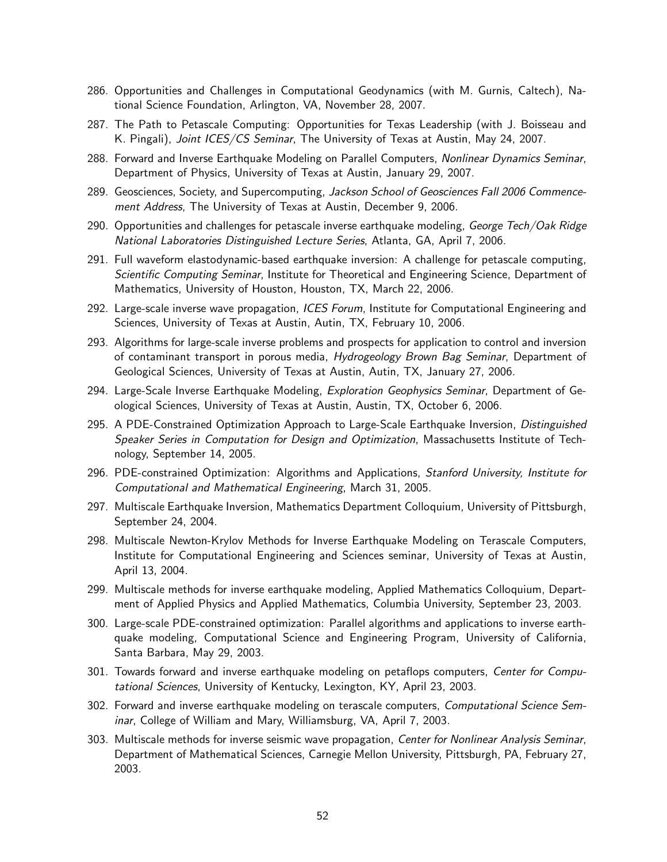- 286. Opportunities and Challenges in Computational Geodynamics (with M. Gurnis, Caltech), National Science Foundation, Arlington, VA, November 28, 2007.
- 287. The Path to Petascale Computing: Opportunities for Texas Leadership (with J. Boisseau and K. Pingali), Joint ICES/CS Seminar, The University of Texas at Austin, May 24, 2007.
- 288. Forward and Inverse Earthquake Modeling on Parallel Computers, Nonlinear Dynamics Seminar, Department of Physics, University of Texas at Austin, January 29, 2007.
- 289. Geosciences, Society, and Supercomputing, Jackson School of Geosciences Fall 2006 Commencement Address, The University of Texas at Austin, December 9, 2006.
- 290. Opportunities and challenges for petascale inverse earthquake modeling, George Tech/Oak Ridge National Laboratories Distinguished Lecture Series, Atlanta, GA, April 7, 2006.
- 291. Full waveform elastodynamic-based earthquake inversion: A challenge for petascale computing, Scientific Computing Seminar, Institute for Theoretical and Engineering Science, Department of Mathematics, University of Houston, Houston, TX, March 22, 2006.
- 292. Large-scale inverse wave propagation, ICES Forum, Institute for Computational Engineering and Sciences, University of Texas at Austin, Autin, TX, February 10, 2006.
- 293. Algorithms for large-scale inverse problems and prospects for application to control and inversion of contaminant transport in porous media, Hydrogeology Brown Bag Seminar, Department of Geological Sciences, University of Texas at Austin, Autin, TX, January 27, 2006.
- 294. Large-Scale Inverse Earthquake Modeling, *Exploration Geophysics Seminar*, Department of Geological Sciences, University of Texas at Austin, Austin, TX, October 6, 2006.
- 295. A PDE-Constrained Optimization Approach to Large-Scale Earthquake Inversion, Distinguished Speaker Series in Computation for Design and Optimization, Massachusetts Institute of Technology, September 14, 2005.
- 296. PDE-constrained Optimization: Algorithms and Applications, Stanford University, Institute for Computational and Mathematical Engineering, March 31, 2005.
- 297. Multiscale Earthquake Inversion, Mathematics Department Colloquium, University of Pittsburgh, September 24, 2004.
- 298. Multiscale Newton-Krylov Methods for Inverse Earthquake Modeling on Terascale Computers, Institute for Computational Engineering and Sciences seminar, University of Texas at Austin, April 13, 2004.
- 299. Multiscale methods for inverse earthquake modeling, Applied Mathematics Colloquium, Department of Applied Physics and Applied Mathematics, Columbia University, September 23, 2003.
- 300. Large-scale PDE-constrained optimization: Parallel algorithms and applications to inverse earthquake modeling, Computational Science and Engineering Program, University of California, Santa Barbara, May 29, 2003.
- 301. Towards forward and inverse earthquake modeling on petaflops computers, Center for Computational Sciences, University of Kentucky, Lexington, KY, April 23, 2003.
- 302. Forward and inverse earthquake modeling on terascale computers, Computational Science Seminar, College of William and Mary, Williamsburg, VA, April 7, 2003.
- 303. Multiscale methods for inverse seismic wave propagation, Center for Nonlinear Analysis Seminar, Department of Mathematical Sciences, Carnegie Mellon University, Pittsburgh, PA, February 27, 2003.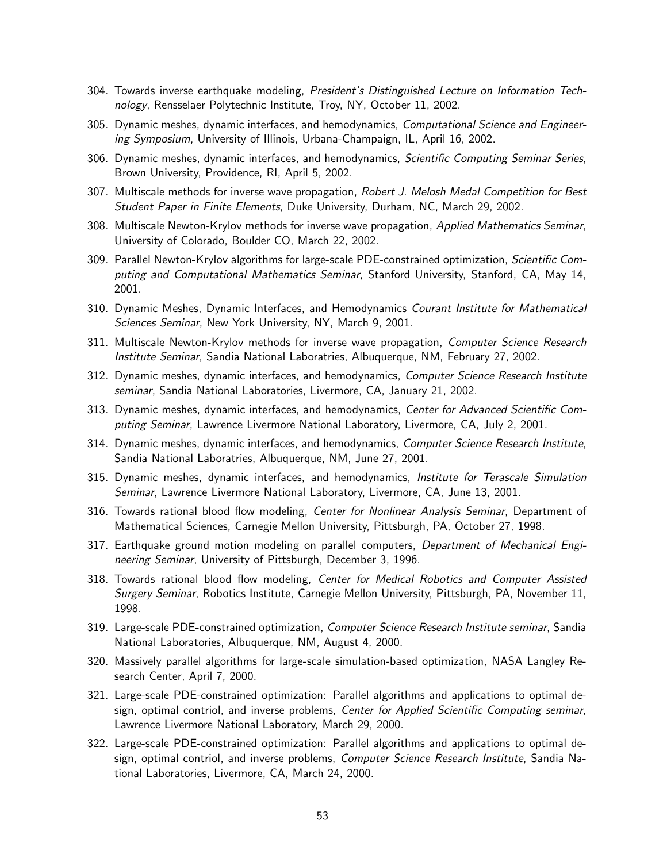- 304. Towards inverse earthquake modeling, President's Distinguished Lecture on Information Technology, Rensselaer Polytechnic Institute, Troy, NY, October 11, 2002.
- 305. Dynamic meshes, dynamic interfaces, and hemodynamics, Computational Science and Engineering Symposium, University of Illinois, Urbana-Champaign, IL, April 16, 2002.
- 306. Dynamic meshes, dynamic interfaces, and hemodynamics, *Scientific Computing Seminar Series*, Brown University, Providence, RI, April 5, 2002.
- 307. Multiscale methods for inverse wave propagation, Robert J. Melosh Medal Competition for Best Student Paper in Finite Elements, Duke University, Durham, NC, March 29, 2002.
- 308. Multiscale Newton-Krylov methods for inverse wave propagation, Applied Mathematics Seminar, University of Colorado, Boulder CO, March 22, 2002.
- 309. Parallel Newton-Krylov algorithms for large-scale PDE-constrained optimization, Scientific Computing and Computational Mathematics Seminar, Stanford University, Stanford, CA, May 14, 2001.
- 310. Dynamic Meshes, Dynamic Interfaces, and Hemodynamics Courant Institute for Mathematical Sciences Seminar, New York University, NY, March 9, 2001.
- 311. Multiscale Newton-Krylov methods for inverse wave propagation, Computer Science Research Institute Seminar, Sandia National Laboratries, Albuquerque, NM, February 27, 2002.
- 312. Dynamic meshes, dynamic interfaces, and hemodynamics, Computer Science Research Institute seminar, Sandia National Laboratories, Livermore, CA, January 21, 2002.
- 313. Dynamic meshes, dynamic interfaces, and hemodynamics, Center for Advanced Scientific Computing Seminar, Lawrence Livermore National Laboratory, Livermore, CA, July 2, 2001.
- 314. Dynamic meshes, dynamic interfaces, and hemodynamics, Computer Science Research Institute, Sandia National Laboratries, Albuquerque, NM, June 27, 2001.
- 315. Dynamic meshes, dynamic interfaces, and hemodynamics, Institute for Terascale Simulation Seminar, Lawrence Livermore National Laboratory, Livermore, CA, June 13, 2001.
- 316. Towards rational blood flow modeling, Center for Nonlinear Analysis Seminar, Department of Mathematical Sciences, Carnegie Mellon University, Pittsburgh, PA, October 27, 1998.
- 317. Earthquake ground motion modeling on parallel computers, Department of Mechanical Engineering Seminar, University of Pittsburgh, December 3, 1996.
- 318. Towards rational blood flow modeling, Center for Medical Robotics and Computer Assisted Surgery Seminar, Robotics Institute, Carnegie Mellon University, Pittsburgh, PA, November 11, 1998.
- 319. Large-scale PDE-constrained optimization, Computer Science Research Institute seminar, Sandia National Laboratories, Albuquerque, NM, August 4, 2000.
- 320. Massively parallel algorithms for large-scale simulation-based optimization, NASA Langley Research Center, April 7, 2000.
- 321. Large-scale PDE-constrained optimization: Parallel algorithms and applications to optimal design, optimal contriol, and inverse problems, Center for Applied Scientific Computing seminar, Lawrence Livermore National Laboratory, March 29, 2000.
- 322. Large-scale PDE-constrained optimization: Parallel algorithms and applications to optimal design, optimal contriol, and inverse problems, Computer Science Research Institute, Sandia National Laboratories, Livermore, CA, March 24, 2000.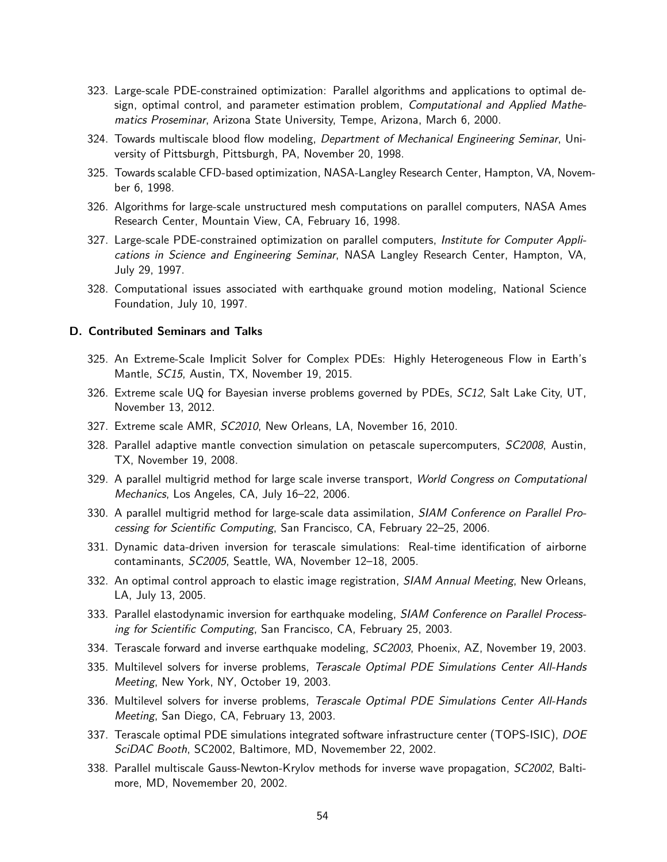- 323. Large-scale PDE-constrained optimization: Parallel algorithms and applications to optimal design, optimal control, and parameter estimation problem, *Computational and Applied Mathe*matics Proseminar, Arizona State University, Tempe, Arizona, March 6, 2000.
- 324. Towards multiscale blood flow modeling, Department of Mechanical Engineering Seminar, University of Pittsburgh, Pittsburgh, PA, November 20, 1998.
- 325. Towards scalable CFD-based optimization, NASA-Langley Research Center, Hampton, VA, November 6, 1998.
- 326. Algorithms for large-scale unstructured mesh computations on parallel computers, NASA Ames Research Center, Mountain View, CA, February 16, 1998.
- 327. Large-scale PDE-constrained optimization on parallel computers, *Institute for Computer Appli*cations in Science and Engineering Seminar, NASA Langley Research Center, Hampton, VA, July 29, 1997.
- 328. Computational issues associated with earthquake ground motion modeling, National Science Foundation, July 10, 1997.

### D. Contributed Seminars and Talks

- 325. An Extreme-Scale Implicit Solver for Complex PDEs: Highly Heterogeneous Flow in Earth's Mantle, SC15, Austin, TX, November 19, 2015.
- 326. Extreme scale UQ for Bayesian inverse problems governed by PDEs, SC12, Salt Lake City, UT, November 13, 2012.
- 327. Extreme scale AMR, SC2010, New Orleans, LA, November 16, 2010.
- 328. Parallel adaptive mantle convection simulation on petascale supercomputers, SC2008, Austin, TX, November 19, 2008.
- 329. A parallel multigrid method for large scale inverse transport, World Congress on Computational Mechanics, Los Angeles, CA, July 16–22, 2006.
- 330. A parallel multigrid method for large-scale data assimilation, SIAM Conference on Parallel Processing for Scientific Computing, San Francisco, CA, February 22–25, 2006.
- 331. Dynamic data-driven inversion for terascale simulations: Real-time identification of airborne contaminants, SC2005, Seattle, WA, November 12–18, 2005.
- 332. An optimal control approach to elastic image registration, SIAM Annual Meeting, New Orleans, LA, July 13, 2005.
- 333. Parallel elastodynamic inversion for earthquake modeling, SIAM Conference on Parallel Processing for Scientific Computing, San Francisco, CA, February 25, 2003.
- 334. Terascale forward and inverse earthquake modeling, SC2003, Phoenix, AZ, November 19, 2003.
- 335. Multilevel solvers for inverse problems, Terascale Optimal PDE Simulations Center All-Hands Meeting, New York, NY, October 19, 2003.
- 336. Multilevel solvers for inverse problems, Terascale Optimal PDE Simulations Center All-Hands Meeting, San Diego, CA, February 13, 2003.
- 337. Terascale optimal PDE simulations integrated software infrastructure center (TOPS-ISIC), DOE SciDAC Booth, SC2002, Baltimore, MD, Novemember 22, 2002.
- 338. Parallel multiscale Gauss-Newton-Krylov methods for inverse wave propagation, SC2002, Baltimore, MD, Novemember 20, 2002.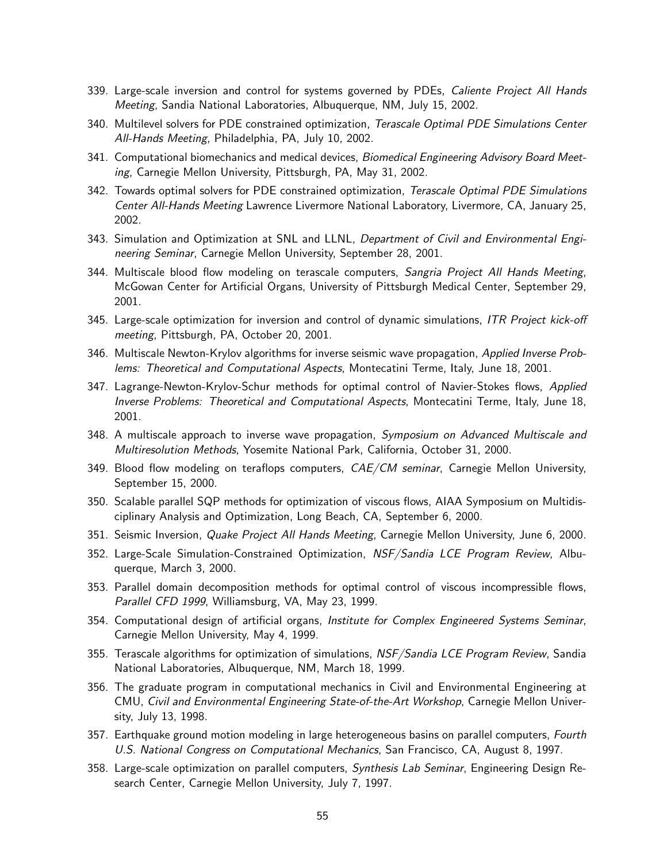- 339. Large-scale inversion and control for systems governed by PDEs, Caliente Project All Hands Meeting, Sandia National Laboratories, Albuquerque, NM, July 15, 2002.
- 340. Multilevel solvers for PDE constrained optimization, Terascale Optimal PDE Simulations Center All-Hands Meeting, Philadelphia, PA, July 10, 2002.
- 341. Computational biomechanics and medical devices, *Biomedical Engineering Advisory Board Meet*ing, Carnegie Mellon University, Pittsburgh, PA, May 31, 2002.
- 342. Towards optimal solvers for PDE constrained optimization, Terascale Optimal PDE Simulations Center All-Hands Meeting Lawrence Livermore National Laboratory, Livermore, CA, January 25, 2002.
- 343. Simulation and Optimization at SNL and LLNL, Department of Civil and Environmental Engineering Seminar, Carnegie Mellon University, September 28, 2001.
- 344. Multiscale blood flow modeling on terascale computers, Sangria Project All Hands Meeting, McGowan Center for Artificial Organs, University of Pittsburgh Medical Center, September 29, 2001.
- 345. Large-scale optimization for inversion and control of dynamic simulations, ITR Project kick-off meeting, Pittsburgh, PA, October 20, 2001.
- 346. Multiscale Newton-Krylov algorithms for inverse seismic wave propagation, Applied Inverse Problems: Theoretical and Computational Aspects, Montecatini Terme, Italy, June 18, 2001.
- 347. Lagrange-Newton-Krylov-Schur methods for optimal control of Navier-Stokes flows, Applied Inverse Problems: Theoretical and Computational Aspects, Montecatini Terme, Italy, June 18, 2001.
- 348. A multiscale approach to inverse wave propagation, Symposium on Advanced Multiscale and Multiresolution Methods, Yosemite National Park, California, October 31, 2000.
- 349. Blood flow modeling on teraflops computers, *CAE/CM seminar*, Carnegie Mellon University, September 15, 2000.
- 350. Scalable parallel SQP methods for optimization of viscous flows, AIAA Symposium on Multidisciplinary Analysis and Optimization, Long Beach, CA, September 6, 2000.
- 351. Seismic Inversion, Quake Project All Hands Meeting, Carnegie Mellon University, June 6, 2000.
- 352. Large-Scale Simulation-Constrained Optimization, NSF/Sandia LCE Program Review, Albuquerque, March 3, 2000.
- 353. Parallel domain decomposition methods for optimal control of viscous incompressible flows, Parallel CFD 1999, Williamsburg, VA, May 23, 1999.
- 354. Computational design of artificial organs, Institute for Complex Engineered Systems Seminar, Carnegie Mellon University, May 4, 1999.
- 355. Terascale algorithms for optimization of simulations, NSF/Sandia LCE Program Review, Sandia National Laboratories, Albuquerque, NM, March 18, 1999.
- 356. The graduate program in computational mechanics in Civil and Environmental Engineering at CMU, Civil and Environmental Engineering State-of-the-Art Workshop, Carnegie Mellon University, July 13, 1998.
- 357. Earthquake ground motion modeling in large heterogeneous basins on parallel computers, Fourth U.S. National Congress on Computational Mechanics, San Francisco, CA, August 8, 1997.
- 358. Large-scale optimization on parallel computers, Synthesis Lab Seminar, Engineering Design Research Center, Carnegie Mellon University, July 7, 1997.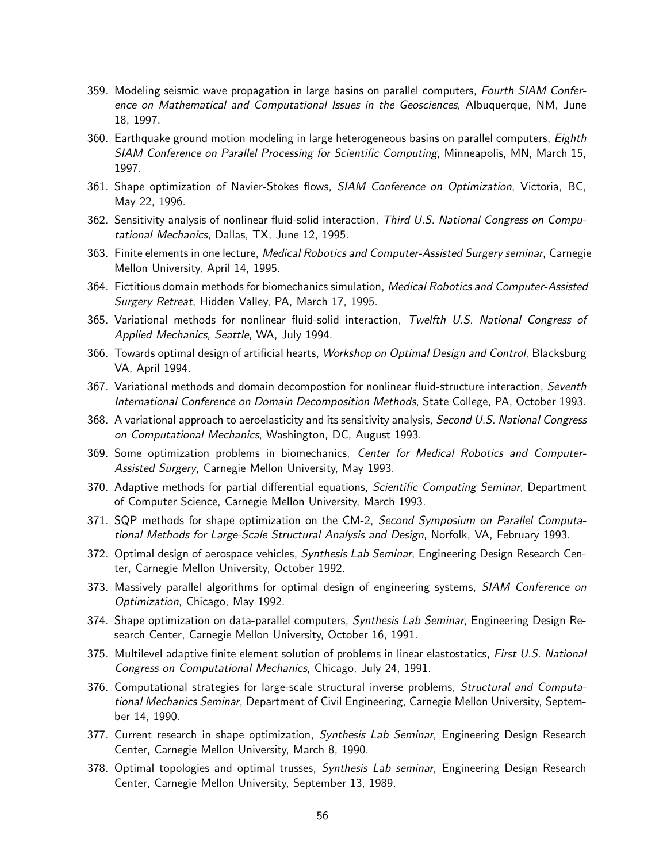- 359. Modeling seismic wave propagation in large basins on parallel computers, *Fourth SIAM Confer*ence on Mathematical and Computational Issues in the Geosciences, Albuquerque, NM, June 18, 1997.
- 360. Earthquake ground motion modeling in large heterogeneous basins on parallel computers, Eighth SIAM Conference on Parallel Processing for Scientific Computing, Minneapolis, MN, March 15, 1997.
- 361. Shape optimization of Navier-Stokes flows, SIAM Conference on Optimization, Victoria, BC, May 22, 1996.
- 362. Sensitivity analysis of nonlinear fluid-solid interaction, Third U.S. National Congress on Computational Mechanics, Dallas, TX, June 12, 1995.
- 363. Finite elements in one lecture, Medical Robotics and Computer-Assisted Surgery seminar, Carnegie Mellon University, April 14, 1995.
- 364. Fictitious domain methods for biomechanics simulation, Medical Robotics and Computer-Assisted Surgery Retreat, Hidden Valley, PA, March 17, 1995.
- 365. Variational methods for nonlinear fluid-solid interaction, Twelfth U.S. National Congress of Applied Mechanics, Seattle, WA, July 1994.
- 366. Towards optimal design of artificial hearts, Workshop on Optimal Design and Control, Blacksburg VA, April 1994.
- 367. Variational methods and domain decompostion for nonlinear fluid-structure interaction, Seventh International Conference on Domain Decomposition Methods, State College, PA, October 1993.
- 368. A variational approach to aeroelasticity and its sensitivity analysis, Second U.S. National Congress on Computational Mechanics, Washington, DC, August 1993.
- 369. Some optimization problems in biomechanics, Center for Medical Robotics and Computer-Assisted Surgery, Carnegie Mellon University, May 1993.
- 370. Adaptive methods for partial differential equations, *Scientific Computing Seminar*, Department of Computer Science, Carnegie Mellon University, March 1993.
- 371. SQP methods for shape optimization on the CM-2, Second Symposium on Parallel Computational Methods for Large-Scale Structural Analysis and Design, Norfolk, VA, February 1993.
- 372. Optimal design of aerospace vehicles, Synthesis Lab Seminar, Engineering Design Research Center, Carnegie Mellon University, October 1992.
- 373. Massively parallel algorithms for optimal design of engineering systems, SIAM Conference on Optimization, Chicago, May 1992.
- 374. Shape optimization on data-parallel computers, *Synthesis Lab Seminar*, Engineering Design Research Center, Carnegie Mellon University, October 16, 1991.
- 375. Multilevel adaptive finite element solution of problems in linear elastostatics, *First U.S. National* Congress on Computational Mechanics, Chicago, July 24, 1991.
- 376. Computational strategies for large-scale structural inverse problems, Structural and Computational Mechanics Seminar, Department of Civil Engineering, Carnegie Mellon University, September 14, 1990.
- 377. Current research in shape optimization, Synthesis Lab Seminar, Engineering Design Research Center, Carnegie Mellon University, March 8, 1990.
- 378. Optimal topologies and optimal trusses, Synthesis Lab seminar, Engineering Design Research Center, Carnegie Mellon University, September 13, 1989.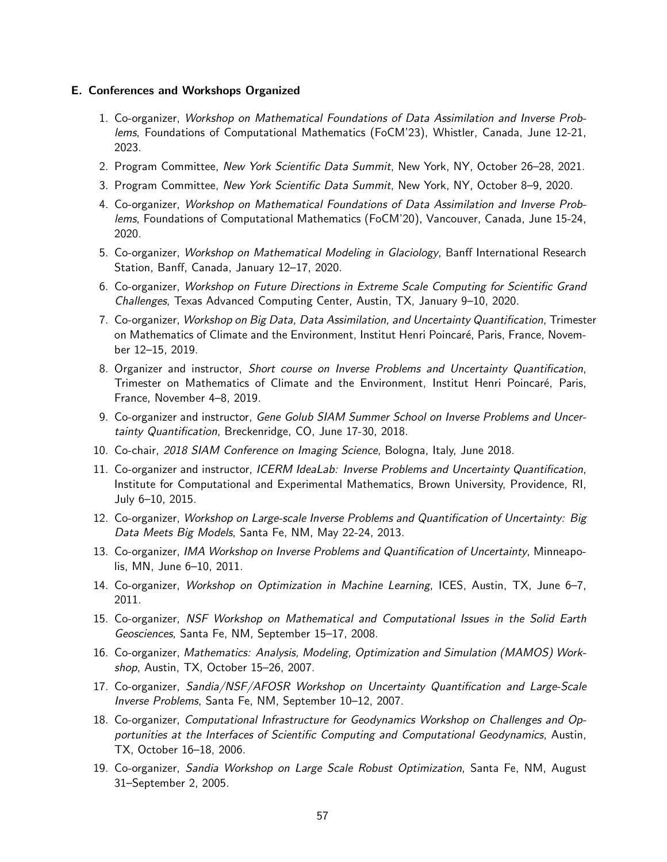#### E. Conferences and Workshops Organized

- 1. Co-organizer, Workshop on Mathematical Foundations of Data Assimilation and Inverse Problems, Foundations of Computational Mathematics (FoCM'23), Whistler, Canada, June 12-21, 2023.
- 2. Program Committee, New York Scientific Data Summit, New York, NY, October 26-28, 2021.
- 3. Program Committee, New York Scientific Data Summit, New York, NY, October 8–9, 2020.
- 4. Co-organizer, Workshop on Mathematical Foundations of Data Assimilation and Inverse Problems, Foundations of Computational Mathematics (FoCM'20), Vancouver, Canada, June 15-24, 2020.
- 5. Co-organizer, Workshop on Mathematical Modeling in Glaciology, Banff International Research Station, Banff, Canada, January 12–17, 2020.
- 6. Co-organizer, Workshop on Future Directions in Extreme Scale Computing for Scientific Grand Challenges, Texas Advanced Computing Center, Austin, TX, January 9–10, 2020.
- 7. Co-organizer, Workshop on Big Data, Data Assimilation, and Uncertainty Quantification, Trimester on Mathematics of Climate and the Environment, Institut Henri Poincaré, Paris, France, November 12–15, 2019.
- 8. Organizer and instructor, Short course on Inverse Problems and Uncertainty Quantification, Trimester on Mathematics of Climate and the Environment, Institut Henri Poincaré, Paris, France, November 4–8, 2019.
- 9. Co-organizer and instructor, Gene Golub SIAM Summer School on Inverse Problems and Uncertainty Quantification, Breckenridge, CO, June 17-30, 2018.
- 10. Co-chair, 2018 SIAM Conference on Imaging Science, Bologna, Italy, June 2018.
- 11. Co-organizer and instructor, ICERM IdeaLab: Inverse Problems and Uncertainty Quantification, Institute for Computational and Experimental Mathematics, Brown University, Providence, RI, July 6–10, 2015.
- 12. Co-organizer, Workshop on Large-scale Inverse Problems and Quantification of Uncertainty: Big Data Meets Big Models, Santa Fe, NM, May 22-24, 2013.
- 13. Co-organizer, IMA Workshop on Inverse Problems and Quantification of Uncertainty, Minneapolis, MN, June 6–10, 2011.
- 14. Co-organizer, Workshop on Optimization in Machine Learning, ICES, Austin, TX, June 6-7, 2011.
- 15. Co-organizer, NSF Workshop on Mathematical and Computational Issues in the Solid Earth Geosciences, Santa Fe, NM, September 15–17, 2008.
- 16. Co-organizer, Mathematics: Analysis, Modeling, Optimization and Simulation (MAMOS) Workshop, Austin, TX, October 15–26, 2007.
- 17. Co-organizer, Sandia/NSF/AFOSR Workshop on Uncertainty Quantification and Large-Scale Inverse Problems, Santa Fe, NM, September 10–12, 2007.
- 18. Co-organizer, Computational Infrastructure for Geodynamics Workshop on Challenges and Opportunities at the Interfaces of Scientific Computing and Computational Geodynamics, Austin, TX, October 16–18, 2006.
- 19. Co-organizer, Sandia Workshop on Large Scale Robust Optimization, Santa Fe, NM, August 31–September 2, 2005.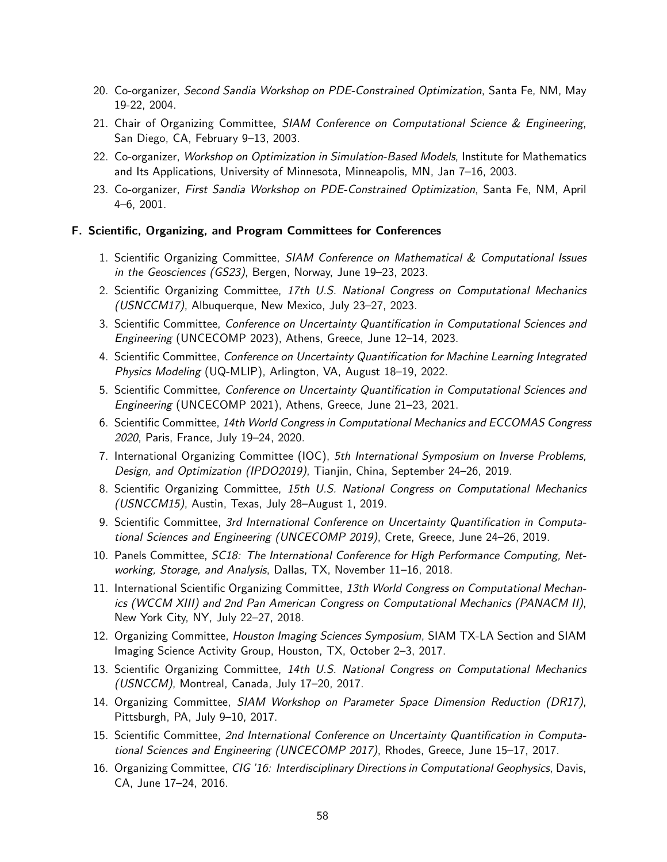- 20. Co-organizer, Second Sandia Workshop on PDE-Constrained Optimization, Santa Fe, NM, May 19-22, 2004.
- 21. Chair of Organizing Committee, SIAM Conference on Computational Science & Engineering, San Diego, CA, February 9–13, 2003.
- 22. Co-organizer, Workshop on Optimization in Simulation-Based Models, Institute for Mathematics and Its Applications, University of Minnesota, Minneapolis, MN, Jan 7–16, 2003.
- 23. Co-organizer, First Sandia Workshop on PDE-Constrained Optimization, Santa Fe, NM, April 4–6, 2001.

#### F. Scientific, Organizing, and Program Committees for Conferences

- 1. Scientific Organizing Committee, SIAM Conference on Mathematical & Computational Issues in the Geosciences (GS23), Bergen, Norway, June 19–23, 2023.
- 2. Scientific Organizing Committee, 17th U.S. National Congress on Computational Mechanics (USNCCM17), Albuquerque, New Mexico, July 23–27, 2023.
- 3. Scientific Committee, Conference on Uncertainty Quantification in Computational Sciences and Engineering (UNCECOMP 2023), Athens, Greece, June 12–14, 2023.
- 4. Scientific Committee, Conference on Uncertainty Quantification for Machine Learning Integrated Physics Modeling (UQ-MLIP), Arlington, VA, August 18–19, 2022.
- 5. Scientific Committee, Conference on Uncertainty Quantification in Computational Sciences and Engineering (UNCECOMP 2021), Athens, Greece, June 21–23, 2021.
- 6. Scientific Committee, 14th World Congress in Computational Mechanics and ECCOMAS Congress 2020, Paris, France, July 19–24, 2020.
- 7. International Organizing Committee (IOC), 5th International Symposium on Inverse Problems, Design, and Optimization (IPDO2019), Tianjin, China, September 24–26, 2019.
- 8. Scientific Organizing Committee, 15th U.S. National Congress on Computational Mechanics (USNCCM15), Austin, Texas, July 28–August 1, 2019.
- 9. Scientific Committee, 3rd International Conference on Uncertainty Quantification in Computational Sciences and Engineering (UNCECOMP 2019), Crete, Greece, June 24–26, 2019.
- 10. Panels Committee, SC18: The International Conference for High Performance Computing, Networking, Storage, and Analysis, Dallas, TX, November 11–16, 2018.
- 11. International Scientific Organizing Committee, 13th World Congress on Computational Mechanics (WCCM XIII) and 2nd Pan American Congress on Computational Mechanics (PANACM II), New York City, NY, July 22–27, 2018.
- 12. Organizing Committee, Houston Imaging Sciences Symposium, SIAM TX-LA Section and SIAM Imaging Science Activity Group, Houston, TX, October 2–3, 2017.
- 13. Scientific Organizing Committee, 14th U.S. National Congress on Computational Mechanics (USNCCM), Montreal, Canada, July 17–20, 2017.
- 14. Organizing Committee, SIAM Workshop on Parameter Space Dimension Reduction (DR17), Pittsburgh, PA, July 9–10, 2017.
- 15. Scientific Committee, 2nd International Conference on Uncertainty Quantification in Computational Sciences and Engineering (UNCECOMP 2017), Rhodes, Greece, June 15–17, 2017.
- 16. Organizing Committee, CIG '16: Interdisciplinary Directions in Computational Geophysics, Davis, CA, June 17–24, 2016.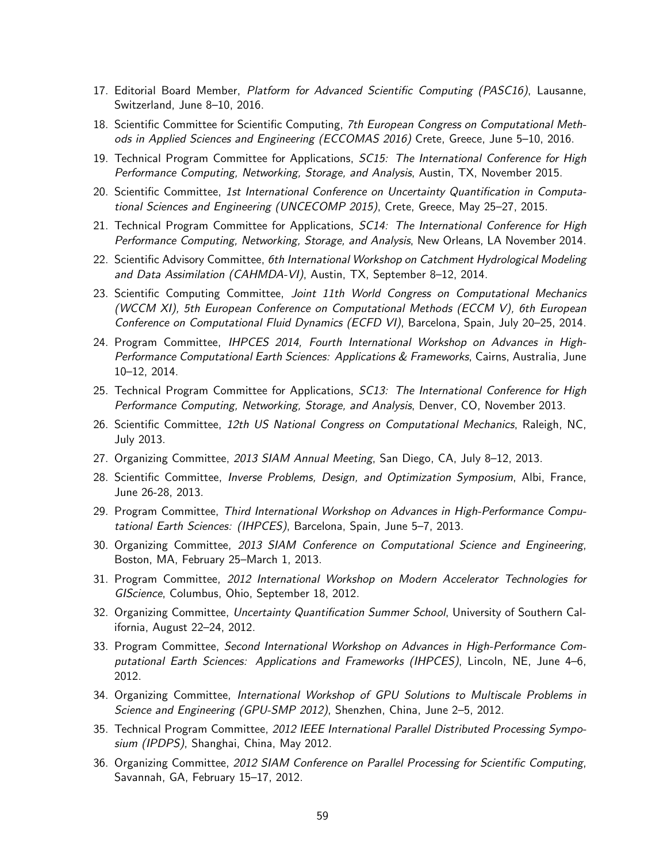- 17. Editorial Board Member, Platform for Advanced Scientific Computing (PASC16), Lausanne, Switzerland, June 8–10, 2016.
- 18. Scientific Committee for Scientific Computing, 7th European Congress on Computational Methods in Applied Sciences and Engineering (ECCOMAS 2016) Crete, Greece, June 5–10, 2016.
- 19. Technical Program Committee for Applications, SC15: The International Conference for High Performance Computing, Networking, Storage, and Analysis, Austin, TX, November 2015.
- 20. Scientific Committee, 1st International Conference on Uncertainty Quantification in Computational Sciences and Engineering (UNCECOMP 2015), Crete, Greece, May 25–27, 2015.
- 21. Technical Program Committee for Applications, *SC14: The International Conference for High* Performance Computing, Networking, Storage, and Analysis, New Orleans, LA November 2014.
- 22. Scientific Advisory Committee, 6th International Workshop on Catchment Hydrological Modeling and Data Assimilation (CAHMDA-VI), Austin, TX, September 8–12, 2014.
- 23. Scientific Computing Committee, Joint 11th World Congress on Computational Mechanics (WCCM XI), 5th European Conference on Computational Methods (ECCM V), 6th European Conference on Computational Fluid Dynamics (ECFD VI), Barcelona, Spain, July 20–25, 2014.
- 24. Program Committee, IHPCES 2014, Fourth International Workshop on Advances in High-Performance Computational Earth Sciences: Applications & Frameworks, Cairns, Australia, June 10–12, 2014.
- 25. Technical Program Committee for Applications, *SC13: The International Conference for High* Performance Computing, Networking, Storage, and Analysis, Denver, CO, November 2013.
- 26. Scientific Committee, 12th US National Congress on Computational Mechanics, Raleigh, NC, July 2013.
- 27. Organizing Committee, 2013 SIAM Annual Meeting, San Diego, CA, July 8–12, 2013.
- 28. Scientific Committee, Inverse Problems, Design, and Optimization Symposium, Albi, France, June 26-28, 2013.
- 29. Program Committee, Third International Workshop on Advances in High-Performance Computational Earth Sciences: (IHPCES), Barcelona, Spain, June 5–7, 2013.
- 30. Organizing Committee, 2013 SIAM Conference on Computational Science and Engineering, Boston, MA, February 25–March 1, 2013.
- 31. Program Committee, 2012 International Workshop on Modern Accelerator Technologies for GIScience, Columbus, Ohio, September 18, 2012.
- 32. Organizing Committee, Uncertainty Quantification Summer School, University of Southern California, August 22–24, 2012.
- 33. Program Committee, Second International Workshop on Advances in High-Performance Computational Earth Sciences: Applications and Frameworks (IHPCES), Lincoln, NE, June 4–6, 2012.
- 34. Organizing Committee, International Workshop of GPU Solutions to Multiscale Problems in Science and Engineering (GPU-SMP 2012), Shenzhen, China, June 2–5, 2012.
- 35. Technical Program Committee, 2012 IEEE International Parallel Distributed Processing Symposium (IPDPS), Shanghai, China, May 2012.
- 36. Organizing Committee, 2012 SIAM Conference on Parallel Processing for Scientific Computing, Savannah, GA, February 15–17, 2012.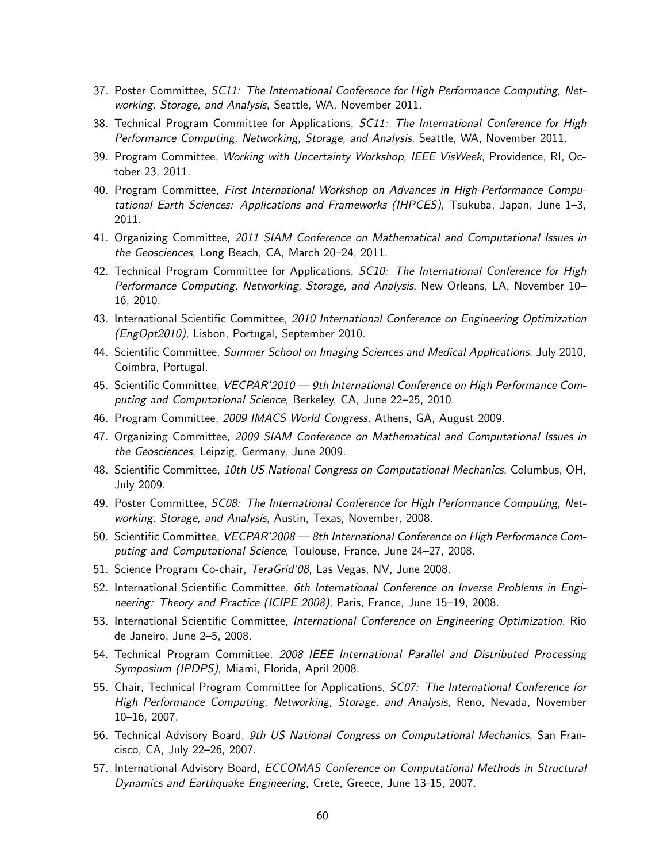- 37. Poster Committee, SC11: The International Conference for High Performance Computing, Networking, Storage, and Analysis, Seattle, WA, November 2011.
- 38. Technical Program Committee for Applications, *SC11: The International Conference for High* Performance Computing, Networking, Storage, and Analysis, Seattle, WA, November 2011.
- 39. Program Committee, Working with Uncertainty Workshop, IEEE VisWeek, Providence, RI, October 23, 2011.
- 40. Program Committee, First International Workshop on Advances in High-Performance Computational Earth Sciences: Applications and Frameworks (IHPCES), Tsukuba, Japan, June 1–3, 2011.
- 41. Organizing Committee, 2011 SIAM Conference on Mathematical and Computational Issues in the Geosciences, Long Beach, CA, March 20–24, 2011.
- 42. Technical Program Committee for Applications, *SC10: The International Conference for High* Performance Computing, Networking, Storage, and Analysis, New Orleans, LA, November 10– 16, 2010.
- 43. International Scientific Committee, 2010 International Conference on Engineering Optimization (EngOpt2010), Lisbon, Portugal, September 2010.
- 44. Scientific Committee, Summer School on Imaging Sciences and Medical Applications, July 2010, Coimbra, Portugal.
- 45. Scientific Committee, VECPAR'2010 9th International Conference on High Performance Computing and Computational Science, Berkeley, CA, June 22–25, 2010.
- 46. Program Committee, 2009 IMACS World Congress, Athens, GA, August 2009.
- 47. Organizing Committee, 2009 SIAM Conference on Mathematical and Computational Issues in the Geosciences, Leipzig, Germany, June 2009.
- 48. Scientific Committee, 10th US National Congress on Computational Mechanics, Columbus, OH, July 2009.
- 49. Poster Committee, SC08: The International Conference for High Performance Computing, Networking, Storage, and Analysis, Austin, Texas, November, 2008.
- 50. Scientific Committee, VECPAR'2008 8th International Conference on High Performance Computing and Computational Science, Toulouse, France, June 24–27, 2008.
- 51. Science Program Co-chair, TeraGrid'08, Las Vegas, NV, June 2008.
- 52. International Scientific Committee, 6th International Conference on Inverse Problems in Engineering: Theory and Practice (ICIPE 2008), Paris, France, June 15–19, 2008.
- 53. International Scientific Committee, International Conference on Engineering Optimization, Rio de Janeiro, June 2–5, 2008.
- 54. Technical Program Committee, 2008 IEEE International Parallel and Distributed Processing Symposium (IPDPS), Miami, Florida, April 2008.
- 55. Chair, Technical Program Committee for Applications, SC07: The International Conference for High Performance Computing, Networking, Storage, and Analysis, Reno, Nevada, November 10–16, 2007.
- 56. Technical Advisory Board, 9th US National Congress on Computational Mechanics, San Francisco, CA, July 22–26, 2007.
- 57. International Advisory Board, ECCOMAS Conference on Computational Methods in Structural Dynamics and Earthquake Engineering, Crete, Greece, June 13-15, 2007.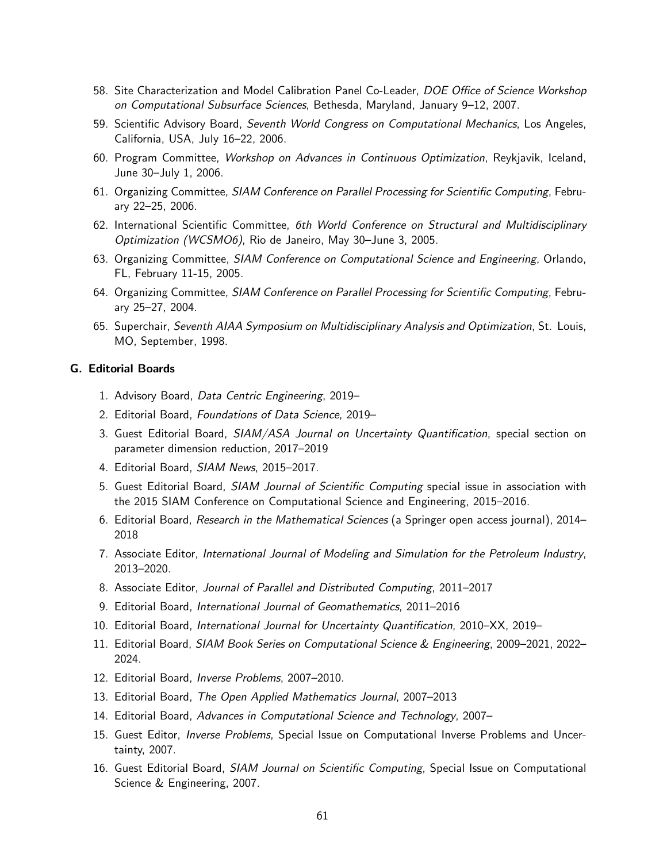- 58. Site Characterization and Model Calibration Panel Co-Leader, DOE Office of Science Workshop on Computational Subsurface Sciences, Bethesda, Maryland, January 9–12, 2007.
- 59. Scientific Advisory Board, Seventh World Congress on Computational Mechanics, Los Angeles, California, USA, July 16–22, 2006.
- 60. Program Committee, Workshop on Advances in Continuous Optimization, Reykjavik, Iceland, June 30–July 1, 2006.
- 61. Organizing Committee, SIAM Conference on Parallel Processing for Scientific Computing, February 22–25, 2006.
- 62. International Scientific Committee, 6th World Conference on Structural and Multidisciplinary Optimization (WCSMO6), Rio de Janeiro, May 30–June 3, 2005.
- 63. Organizing Committee, SIAM Conference on Computational Science and Engineering, Orlando, FL, February 11-15, 2005.
- 64. Organizing Committee, SIAM Conference on Parallel Processing for Scientific Computing, February 25–27, 2004.
- 65. Superchair, Seventh AIAA Symposium on Multidisciplinary Analysis and Optimization, St. Louis, MO, September, 1998.

### G. Editorial Boards

- 1. Advisory Board, Data Centric Engineering, 2019–
- 2. Editorial Board, Foundations of Data Science, 2019–
- 3. Guest Editorial Board, SIAM/ASA Journal on Uncertainty Quantification, special section on parameter dimension reduction, 2017–2019
- 4. Editorial Board, SIAM News, 2015–2017.
- 5. Guest Editorial Board, SIAM Journal of Scientific Computing special issue in association with the 2015 SIAM Conference on Computational Science and Engineering, 2015–2016.
- 6. Editorial Board, Research in the Mathematical Sciences (a Springer open access journal), 2014– 2018
- 7. Associate Editor, International Journal of Modeling and Simulation for the Petroleum Industry, 2013–2020.
- 8. Associate Editor, Journal of Parallel and Distributed Computing, 2011–2017
- 9. Editorial Board, International Journal of Geomathematics, 2011–2016
- 10. Editorial Board, International Journal for Uncertainty Quantification, 2010–XX, 2019–
- 11. Editorial Board, SIAM Book Series on Computational Science & Engineering, 2009–2021, 2022– 2024.
- 12. Editorial Board, Inverse Problems, 2007–2010.
- 13. Editorial Board, The Open Applied Mathematics Journal, 2007–2013
- 14. Editorial Board, Advances in Computational Science and Technology, 2007–
- 15. Guest Editor, *Inverse Problems*, Special Issue on Computational Inverse Problems and Uncertainty, 2007.
- 16. Guest Editorial Board, SIAM Journal on Scientific Computing, Special Issue on Computational Science & Engineering, 2007.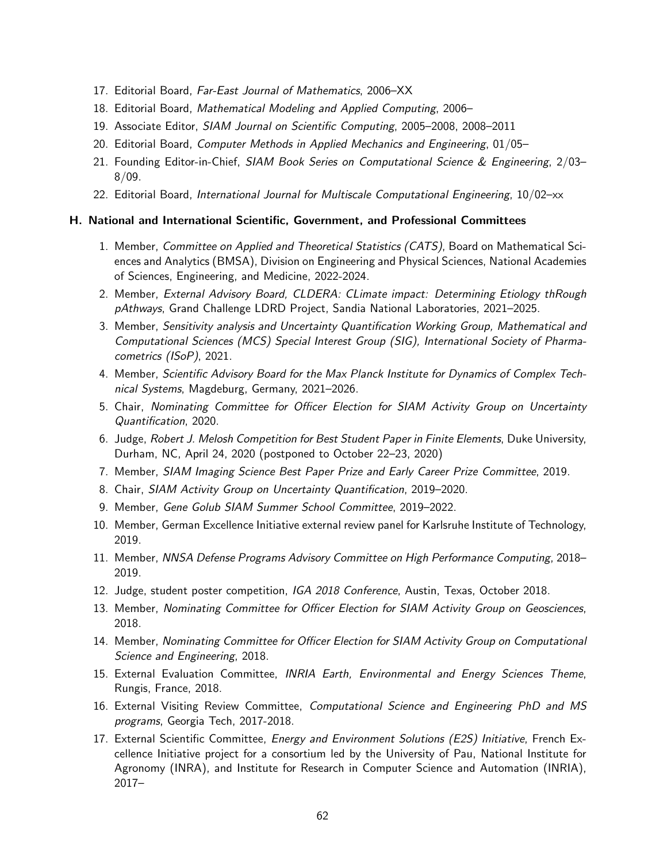- 17. Editorial Board, Far-East Journal of Mathematics, 2006–XX
- 18. Editorial Board, Mathematical Modeling and Applied Computing, 2006–
- 19. Associate Editor, SIAM Journal on Scientific Computing, 2005–2008, 2008–2011
- 20. Editorial Board, Computer Methods in Applied Mechanics and Engineering, 01/05–
- 21. Founding Editor-in-Chief, SIAM Book Series on Computational Science & Engineering, 2/03– 8/09.
- 22. Editorial Board, International Journal for Multiscale Computational Engineering, 10/02–xx

### H. National and International Scientific, Government, and Professional Committees

- 1. Member, Committee on Applied and Theoretical Statistics (CATS), Board on Mathematical Sciences and Analytics (BMSA), Division on Engineering and Physical Sciences, National Academies of Sciences, Engineering, and Medicine, 2022-2024.
- 2. Member, External Advisory Board, CLDERA: CLimate impact: Determining Etiology thRough pAthways, Grand Challenge LDRD Project, Sandia National Laboratories, 2021–2025.
- 3. Member, Sensitivity analysis and Uncertainty Quantification Working Group, Mathematical and Computational Sciences (MCS) Special Interest Group (SIG), International Society of Pharmacometrics (ISoP), 2021.
- 4. Member, Scientific Advisory Board for the Max Planck Institute for Dynamics of Complex Technical Systems, Magdeburg, Germany, 2021–2026.
- 5. Chair, Nominating Committee for Officer Election for SIAM Activity Group on Uncertainty Quantification, 2020.
- 6. Judge, Robert J. Melosh Competition for Best Student Paper in Finite Elements, Duke University, Durham, NC, April 24, 2020 (postponed to October 22–23, 2020)
- 7. Member, SIAM Imaging Science Best Paper Prize and Early Career Prize Committee, 2019.
- 8. Chair, SIAM Activity Group on Uncertainty Quantification, 2019–2020.
- 9. Member, Gene Golub SIAM Summer School Committee, 2019–2022.
- 10. Member, German Excellence Initiative external review panel for Karlsruhe Institute of Technology, 2019.
- 11. Member, NNSA Defense Programs Advisory Committee on High Performance Computing, 2018– 2019.
- 12. Judge, student poster competition, IGA 2018 Conference, Austin, Texas, October 2018.
- 13. Member, Nominating Committee for Officer Election for SIAM Activity Group on Geosciences, 2018.
- 14. Member, Nominating Committee for Officer Election for SIAM Activity Group on Computational Science and Engineering, 2018.
- 15. External Evaluation Committee, INRIA Earth, Environmental and Energy Sciences Theme, Rungis, France, 2018.
- 16. External Visiting Review Committee, Computational Science and Engineering PhD and MS programs, Georgia Tech, 2017-2018.
- 17. External Scientific Committee, *Energy and Environment Solutions (E2S) Initiative*, French Excellence Initiative project for a consortium led by the University of Pau, National Institute for Agronomy (INRA), and Institute for Research in Computer Science and Automation (INRIA), 2017–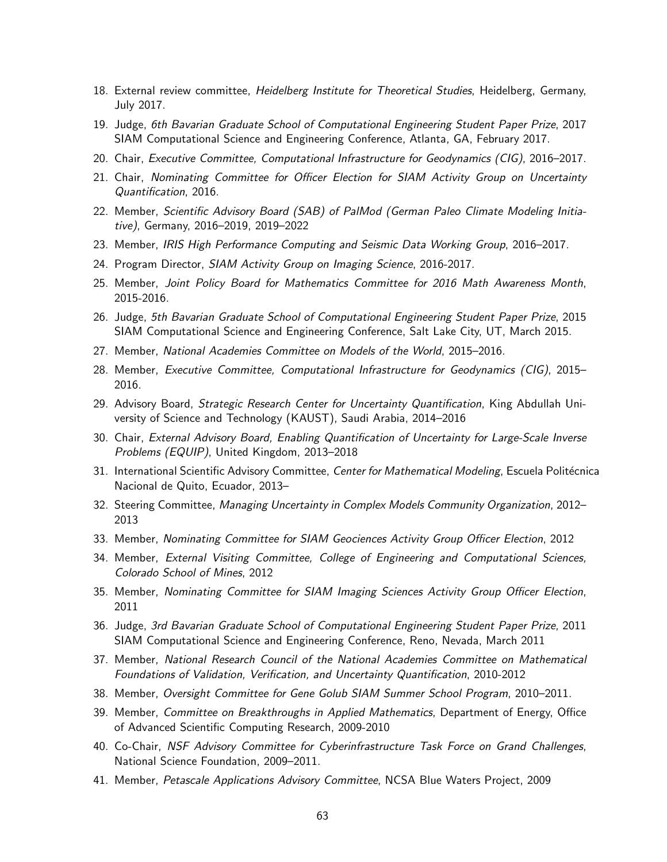- 18. External review committee, *Heidelberg Institute for Theoretical Studies*, Heidelberg, Germany, July 2017.
- 19. Judge, 6th Bavarian Graduate School of Computational Engineering Student Paper Prize, 2017 SIAM Computational Science and Engineering Conference, Atlanta, GA, February 2017.
- 20. Chair, Executive Committee, Computational Infrastructure for Geodynamics (CIG), 2016–2017.
- 21. Chair, Nominating Committee for Officer Election for SIAM Activity Group on Uncertainty Quantification, 2016.
- 22. Member, Scientific Advisory Board (SAB) of PalMod (German Paleo Climate Modeling Initiative), Germany, 2016–2019, 2019–2022
- 23. Member, IRIS High Performance Computing and Seismic Data Working Group, 2016–2017.
- 24. Program Director, SIAM Activity Group on Imaging Science, 2016-2017.
- 25. Member, Joint Policy Board for Mathematics Committee for 2016 Math Awareness Month, 2015-2016.
- 26. Judge, 5th Bavarian Graduate School of Computational Engineering Student Paper Prize, 2015 SIAM Computational Science and Engineering Conference, Salt Lake City, UT, March 2015.
- 27. Member, National Academies Committee on Models of the World, 2015–2016.
- 28. Member, Executive Committee, Computational Infrastructure for Geodynamics (CIG), 2015– 2016.
- 29. Advisory Board, Strategic Research Center for Uncertainty Quantification, King Abdullah University of Science and Technology (KAUST), Saudi Arabia, 2014–2016
- 30. Chair, External Advisory Board, Enabling Quantification of Uncertainty for Large-Scale Inverse Problems (EQUIP), United Kingdom, 2013–2018
- 31. International Scientific Advisory Committee, Center for Mathematical Modeling, Escuela Politécnica Nacional de Quito, Ecuador, 2013–
- 32. Steering Committee, Managing Uncertainty in Complex Models Community Organization, 2012– 2013
- 33. Member, Nominating Committee for SIAM Geociences Activity Group Officer Election, 2012
- 34. Member, External Visiting Committee, College of Engineering and Computational Sciences, Colorado School of Mines, 2012
- 35. Member, Nominating Committee for SIAM Imaging Sciences Activity Group Officer Election, 2011
- 36. Judge, 3rd Bavarian Graduate School of Computational Engineering Student Paper Prize, 2011 SIAM Computational Science and Engineering Conference, Reno, Nevada, March 2011
- 37. Member, National Research Council of the National Academies Committee on Mathematical Foundations of Validation, Verification, and Uncertainty Quantification, 2010-2012
- 38. Member, Oversight Committee for Gene Golub SIAM Summer School Program, 2010–2011.
- 39. Member, Committee on Breakthroughs in Applied Mathematics, Department of Energy, Office of Advanced Scientific Computing Research, 2009-2010
- 40. Co-Chair, NSF Advisory Committee for Cyberinfrastructure Task Force on Grand Challenges, National Science Foundation, 2009–2011.
- 41. Member, Petascale Applications Advisory Committee, NCSA Blue Waters Project, 2009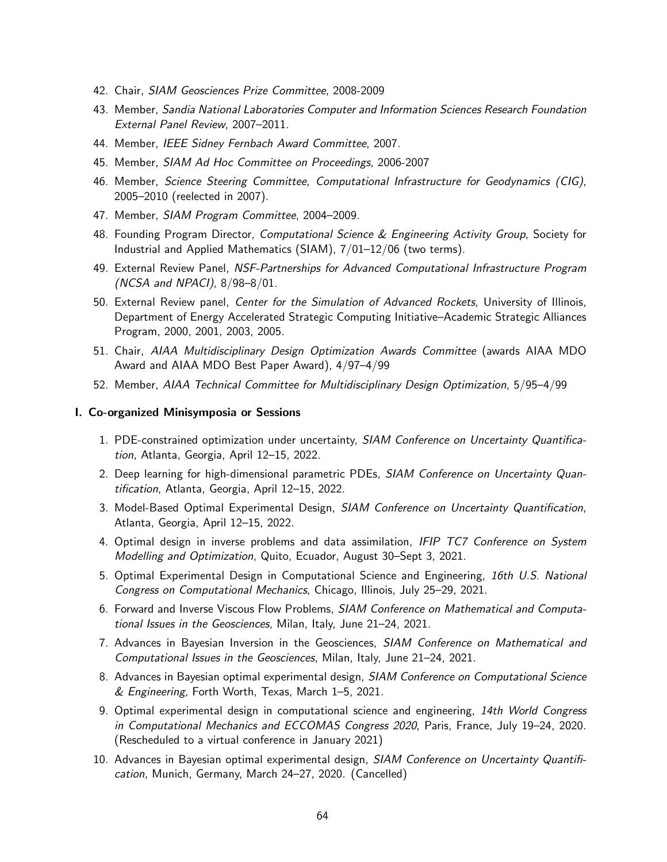- 42. Chair, SIAM Geosciences Prize Committee, 2008-2009
- 43. Member, Sandia National Laboratories Computer and Information Sciences Research Foundation External Panel Review, 2007–2011.
- 44. Member, IEEE Sidney Fernbach Award Committee, 2007.
- 45. Member, SIAM Ad Hoc Committee on Proceedings, 2006-2007
- 46. Member, Science Steering Committee, Computational Infrastructure for Geodynamics (CIG), 2005–2010 (reelected in 2007).
- 47. Member, SIAM Program Committee, 2004–2009.
- 48. Founding Program Director, Computational Science & Engineering Activity Group, Society for Industrial and Applied Mathematics (SIAM), 7/01–12/06 (two terms).
- 49. External Review Panel, NSF-Partnerships for Advanced Computational Infrastructure Program (NCSA and NPACI), 8/98–8/01.
- 50. External Review panel, Center for the Simulation of Advanced Rockets, University of Illinois, Department of Energy Accelerated Strategic Computing Initiative–Academic Strategic Alliances Program, 2000, 2001, 2003, 2005.
- 51. Chair, AIAA Multidisciplinary Design Optimization Awards Committee (awards AIAA MDO Award and AIAA MDO Best Paper Award), 4/97–4/99
- 52. Member, AIAA Technical Committee for Multidisciplinary Design Optimization, 5/95–4/99

### I. Co-organized Minisymposia or Sessions

- 1. PDE-constrained optimization under uncertainty, SIAM Conference on Uncertainty Quantification, Atlanta, Georgia, April 12–15, 2022.
- 2. Deep learning for high-dimensional parametric PDEs, SIAM Conference on Uncertainty Quantification, Atlanta, Georgia, April 12–15, 2022.
- 3. Model-Based Optimal Experimental Design, SIAM Conference on Uncertainty Quantification, Atlanta, Georgia, April 12–15, 2022.
- 4. Optimal design in inverse problems and data assimilation, IFIP TC7 Conference on System Modelling and Optimization, Quito, Ecuador, August 30–Sept 3, 2021.
- 5. Optimal Experimental Design in Computational Science and Engineering, 16th U.S. National Congress on Computational Mechanics, Chicago, Illinois, July 25–29, 2021.
- 6. Forward and Inverse Viscous Flow Problems, SIAM Conference on Mathematical and Computational Issues in the Geosciences, Milan, Italy, June 21–24, 2021.
- 7. Advances in Bayesian Inversion in the Geosciences, SIAM Conference on Mathematical and Computational Issues in the Geosciences, Milan, Italy, June 21–24, 2021.
- 8. Advances in Bayesian optimal experimental design, SIAM Conference on Computational Science & Engineering, Forth Worth, Texas, March 1–5, 2021.
- 9. Optimal experimental design in computational science and engineering, 14th World Congress in Computational Mechanics and ECCOMAS Congress 2020, Paris, France, July 19–24, 2020. (Rescheduled to a virtual conference in January 2021)
- 10. Advances in Bayesian optimal experimental design, SIAM Conference on Uncertainty Quantification, Munich, Germany, March 24–27, 2020. (Cancelled)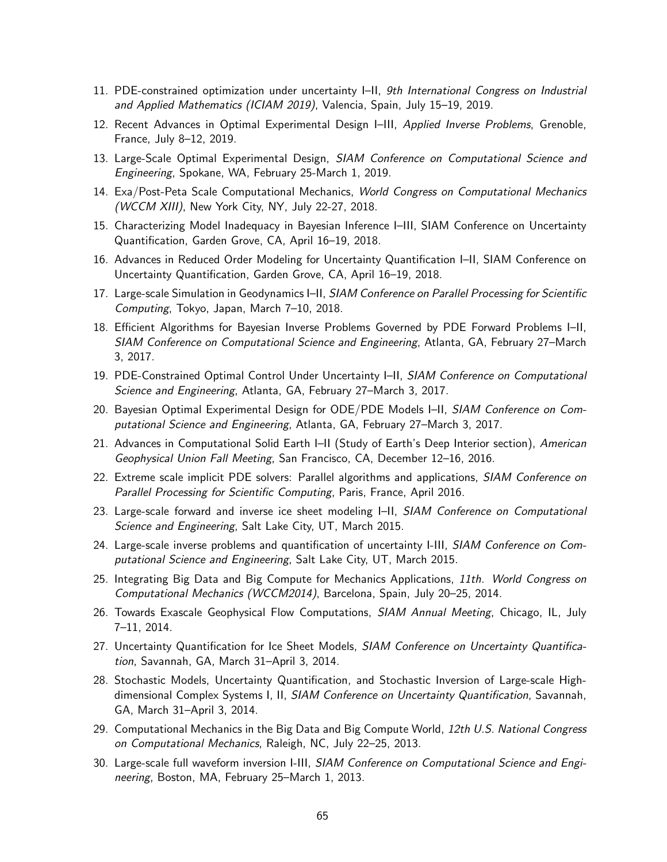- 11. PDE-constrained optimization under uncertainty I–II, 9th International Congress on Industrial and Applied Mathematics (ICIAM 2019), Valencia, Spain, July 15–19, 2019.
- 12. Recent Advances in Optimal Experimental Design I-III, Applied Inverse Problems, Grenoble, France, July 8–12, 2019.
- 13. Large-Scale Optimal Experimental Design, SIAM Conference on Computational Science and Engineering, Spokane, WA, February 25-March 1, 2019.
- 14. Exa/Post-Peta Scale Computational Mechanics, World Congress on Computational Mechanics (WCCM XIII), New York City, NY, July 22-27, 2018.
- 15. Characterizing Model Inadequacy in Bayesian Inference I–III, SIAM Conference on Uncertainty Quantification, Garden Grove, CA, April 16–19, 2018.
- 16. Advances in Reduced Order Modeling for Uncertainty Quantification I–II, SIAM Conference on Uncertainty Quantification, Garden Grove, CA, April 16–19, 2018.
- 17. Large-scale Simulation in Geodynamics I-II, SIAM Conference on Parallel Processing for Scientific Computing, Tokyo, Japan, March 7–10, 2018.
- 18. Efficient Algorithms for Bayesian Inverse Problems Governed by PDE Forward Problems I–II, SIAM Conference on Computational Science and Engineering, Atlanta, GA, February 27–March 3, 2017.
- 19. PDE-Constrained Optimal Control Under Uncertainty I-II, SIAM Conference on Computational Science and Engineering, Atlanta, GA, February 27–March 3, 2017.
- 20. Bayesian Optimal Experimental Design for ODE/PDE Models I–II, SIAM Conference on Computational Science and Engineering, Atlanta, GA, February 27–March 3, 2017.
- 21. Advances in Computational Solid Earth I–II (Study of Earth's Deep Interior section), American Geophysical Union Fall Meeting, San Francisco, CA, December 12–16, 2016.
- 22. Extreme scale implicit PDE solvers: Parallel algorithms and applications, SIAM Conference on Parallel Processing for Scientific Computing, Paris, France, April 2016.
- 23. Large-scale forward and inverse ice sheet modeling I-II, SIAM Conference on Computational Science and Engineering, Salt Lake City, UT, March 2015.
- 24. Large-scale inverse problems and quantification of uncertainty I-III, SIAM Conference on Computational Science and Engineering, Salt Lake City, UT, March 2015.
- 25. Integrating Big Data and Big Compute for Mechanics Applications, 11th. World Congress on Computational Mechanics (WCCM2014), Barcelona, Spain, July 20–25, 2014.
- 26. Towards Exascale Geophysical Flow Computations, SIAM Annual Meeting, Chicago, IL, July 7–11, 2014.
- 27. Uncertainty Quantification for Ice Sheet Models, SIAM Conference on Uncertainty Quantification, Savannah, GA, March 31–April 3, 2014.
- 28. Stochastic Models, Uncertainty Quantification, and Stochastic Inversion of Large-scale Highdimensional Complex Systems I, II, SIAM Conference on Uncertainty Quantification, Savannah, GA, March 31–April 3, 2014.
- 29. Computational Mechanics in the Big Data and Big Compute World, 12th U.S. National Congress on Computational Mechanics, Raleigh, NC, July 22–25, 2013.
- 30. Large-scale full waveform inversion I-III, SIAM Conference on Computational Science and Engineering, Boston, MA, February 25–March 1, 2013.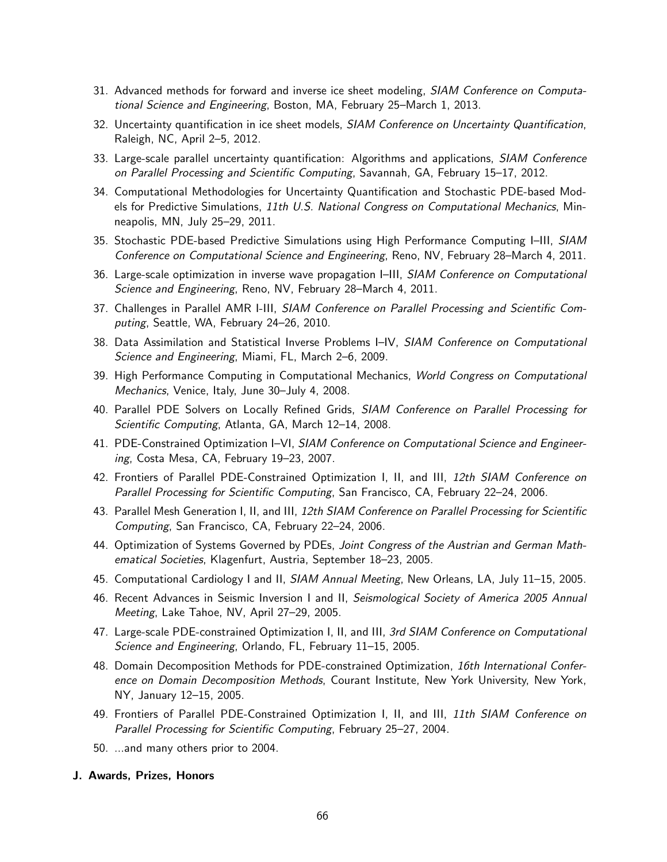- 31. Advanced methods for forward and inverse ice sheet modeling, SIAM Conference on Computational Science and Engineering, Boston, MA, February 25–March 1, 2013.
- 32. Uncertainty quantification in ice sheet models, SIAM Conference on Uncertainty Quantification, Raleigh, NC, April 2–5, 2012.
- 33. Large-scale parallel uncertainty quantification: Algorithms and applications, SIAM Conference on Parallel Processing and Scientific Computing, Savannah, GA, February 15–17, 2012.
- 34. Computational Methodologies for Uncertainty Quantification and Stochastic PDE-based Models for Predictive Simulations, 11th U.S. National Congress on Computational Mechanics, Minneapolis, MN, July 25–29, 2011.
- 35. Stochastic PDE-based Predictive Simulations using High Performance Computing I–III, SIAM Conference on Computational Science and Engineering, Reno, NV, February 28–March 4, 2011.
- 36. Large-scale optimization in inverse wave propagation I–III, SIAM Conference on Computational Science and Engineering, Reno, NV, February 28–March 4, 2011.
- 37. Challenges in Parallel AMR I-III, SIAM Conference on Parallel Processing and Scientific Computing, Seattle, WA, February 24–26, 2010.
- 38. Data Assimilation and Statistical Inverse Problems I-IV, SIAM Conference on Computational Science and Engineering, Miami, FL, March 2–6, 2009.
- 39. High Performance Computing in Computational Mechanics, World Congress on Computational Mechanics, Venice, Italy, June 30–July 4, 2008.
- 40. Parallel PDE Solvers on Locally Refined Grids, SIAM Conference on Parallel Processing for Scientific Computing, Atlanta, GA, March 12–14, 2008.
- 41. PDE-Constrained Optimization I–VI, SIAM Conference on Computational Science and Engineering, Costa Mesa, CA, February 19–23, 2007.
- 42. Frontiers of Parallel PDE-Constrained Optimization I, II, and III, 12th SIAM Conference on Parallel Processing for Scientific Computing, San Francisco, CA, February 22–24, 2006.
- 43. Parallel Mesh Generation I, II, and III, 12th SIAM Conference on Parallel Processing for Scientific Computing, San Francisco, CA, February 22–24, 2006.
- 44. Optimization of Systems Governed by PDEs, Joint Congress of the Austrian and German Mathematical Societies, Klagenfurt, Austria, September 18–23, 2005.
- 45. Computational Cardiology I and II, SIAM Annual Meeting, New Orleans, LA, July 11–15, 2005.
- 46. Recent Advances in Seismic Inversion I and II, Seismological Society of America 2005 Annual Meeting, Lake Tahoe, NV, April 27–29, 2005.
- 47. Large-scale PDE-constrained Optimization I, II, and III, 3rd SIAM Conference on Computational Science and Engineering, Orlando, FL, February 11–15, 2005.
- 48. Domain Decomposition Methods for PDE-constrained Optimization, 16th International Conference on Domain Decomposition Methods, Courant Institute, New York University, New York, NY, January 12–15, 2005.
- 49. Frontiers of Parallel PDE-Constrained Optimization I, II, and III, 11th SIAM Conference on Parallel Processing for Scientific Computing, February 25–27, 2004.
- 50. ...and many others prior to 2004.

#### J. Awards, Prizes, Honors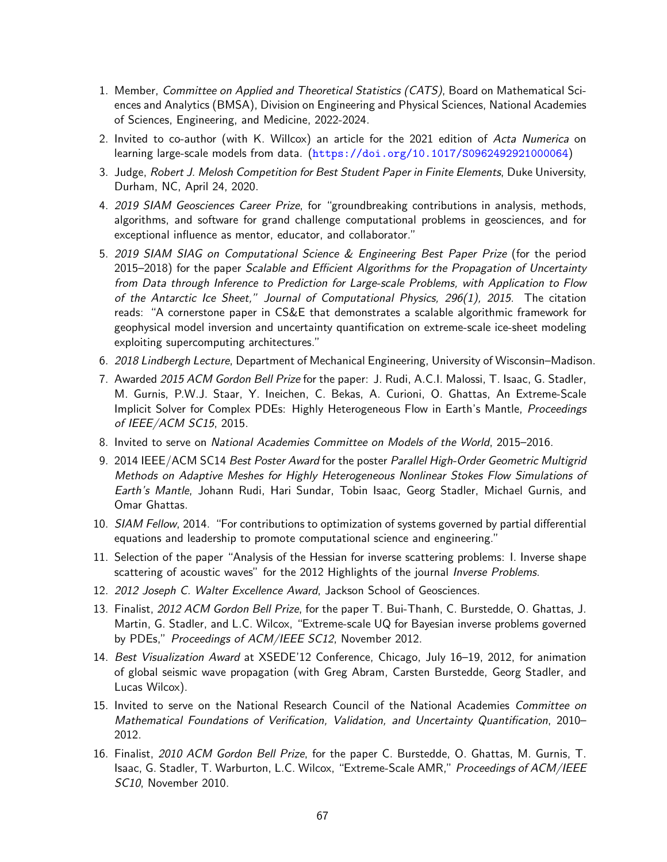- 1. Member, Committee on Applied and Theoretical Statistics (CATS), Board on Mathematical Sciences and Analytics (BMSA), Division on Engineering and Physical Sciences, National Academies of Sciences, Engineering, and Medicine, 2022-2024.
- 2. Invited to co-author (with K. Willcox) an article for the 2021 edition of Acta Numerica on learning large-scale models from data. (<https://doi.org/10.1017/S0962492921000064>)
- 3. Judge, Robert J. Melosh Competition for Best Student Paper in Finite Elements, Duke University, Durham, NC, April 24, 2020.
- 4. 2019 SIAM Geosciences Career Prize, for "groundbreaking contributions in analysis, methods, algorithms, and software for grand challenge computational problems in geosciences, and for exceptional influence as mentor, educator, and collaborator."
- 5. 2019 SIAM SIAG on Computational Science & Engineering Best Paper Prize (for the period 2015–2018) for the paper Scalable and Efficient Algorithms for the Propagation of Uncertainty from Data through Inference to Prediction for Large-scale Problems, with Application to Flow of the Antarctic Ice Sheet," Journal of Computational Physics, 296(1), 2015. The citation reads: "A cornerstone paper in CS&E that demonstrates a scalable algorithmic framework for geophysical model inversion and uncertainty quantification on extreme-scale ice-sheet modeling exploiting supercomputing architectures."
- 6. 2018 Lindbergh Lecture, Department of Mechanical Engineering, University of Wisconsin–Madison.
- 7. Awarded 2015 ACM Gordon Bell Prize for the paper: J. Rudi, A.C.I. Malossi, T. Isaac, G. Stadler, M. Gurnis, P.W.J. Staar, Y. Ineichen, C. Bekas, A. Curioni, O. Ghattas, An Extreme-Scale Implicit Solver for Complex PDEs: Highly Heterogeneous Flow in Earth's Mantle, Proceedings of IEEE/ACM SC15, 2015.
- 8. Invited to serve on National Academies Committee on Models of the World, 2015–2016.
- 9. 2014 IEEE/ACM SC14 Best Poster Award for the poster Parallel High-Order Geometric Multigrid Methods on Adaptive Meshes for Highly Heterogeneous Nonlinear Stokes Flow Simulations of Earth's Mantle, Johann Rudi, Hari Sundar, Tobin Isaac, Georg Stadler, Michael Gurnis, and Omar Ghattas.
- 10. SIAM Fellow, 2014. "For contributions to optimization of systems governed by partial differential equations and leadership to promote computational science and engineering."
- 11. Selection of the paper "Analysis of the Hessian for inverse scattering problems: I. Inverse shape scattering of acoustic waves" for the 2012 Highlights of the journal Inverse Problems.
- 12. 2012 Joseph C. Walter Excellence Award, Jackson School of Geosciences.
- 13. Finalist, 2012 ACM Gordon Bell Prize, for the paper T. Bui-Thanh, C. Burstedde, O. Ghattas, J. Martin, G. Stadler, and L.C. Wilcox, "Extreme-scale UQ for Bayesian inverse problems governed by PDEs," Proceedings of ACM/IEEE SC12, November 2012.
- 14. Best Visualization Award at XSEDE'12 Conference, Chicago, July 16–19, 2012, for animation of global seismic wave propagation (with Greg Abram, Carsten Burstedde, Georg Stadler, and Lucas Wilcox).
- 15. Invited to serve on the National Research Council of the National Academies Committee on Mathematical Foundations of Verification, Validation, and Uncertainty Quantification, 2010– 2012.
- 16. Finalist, 2010 ACM Gordon Bell Prize, for the paper C. Burstedde, O. Ghattas, M. Gurnis, T. Isaac, G. Stadler, T. Warburton, L.C. Wilcox, "Extreme-Scale AMR," Proceedings of ACM/IEEE SC10, November 2010.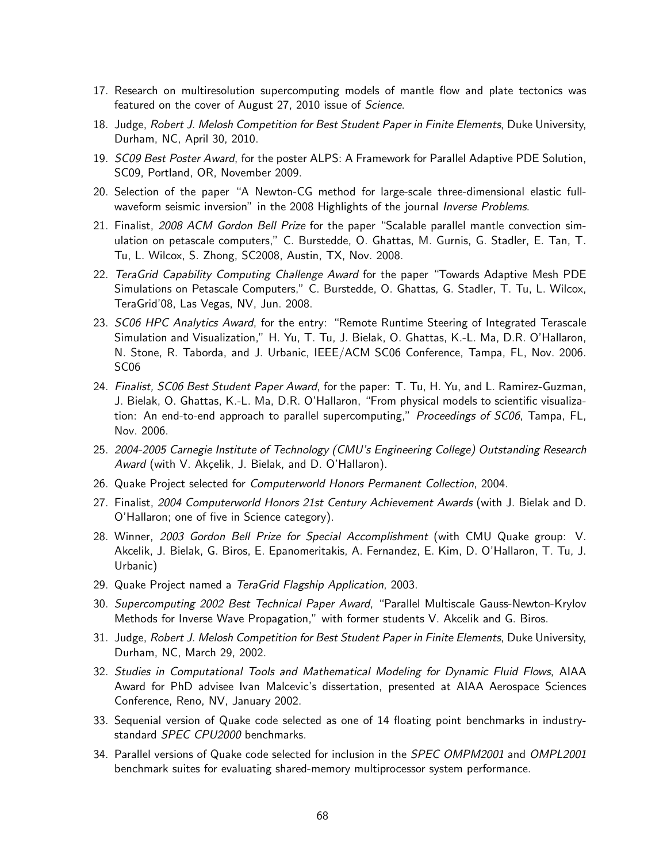- 17. Research on multiresolution supercomputing models of mantle flow and plate tectonics was featured on the cover of August 27, 2010 issue of Science.
- 18. Judge, Robert J. Melosh Competition for Best Student Paper in Finite Elements, Duke University, Durham, NC, April 30, 2010.
- 19. SC09 Best Poster Award, for the poster ALPS: A Framework for Parallel Adaptive PDE Solution, SC09, Portland, OR, November 2009.
- 20. Selection of the paper "A Newton-CG method for large-scale three-dimensional elastic fullwaveform seismic inversion" in the 2008 Highlights of the journal *Inverse Problems*.
- 21. Finalist, 2008 ACM Gordon Bell Prize for the paper "Scalable parallel mantle convection simulation on petascale computers," C. Burstedde, O. Ghattas, M. Gurnis, G. Stadler, E. Tan, T. Tu, L. Wilcox, S. Zhong, SC2008, Austin, TX, Nov. 2008.
- 22. TeraGrid Capability Computing Challenge Award for the paper "Towards Adaptive Mesh PDE Simulations on Petascale Computers," C. Burstedde, O. Ghattas, G. Stadler, T. Tu, L. Wilcox, TeraGrid'08, Las Vegas, NV, Jun. 2008.
- 23. SC06 HPC Analytics Award, for the entry: "Remote Runtime Steering of Integrated Terascale Simulation and Visualization," H. Yu, T. Tu, J. Bielak, O. Ghattas, K.-L. Ma, D.R. O'Hallaron, N. Stone, R. Taborda, and J. Urbanic, IEEE/ACM SC06 Conference, Tampa, FL, Nov. 2006. SC06
- 24. Finalist, SC06 Best Student Paper Award, for the paper: T. Tu, H. Yu, and L. Ramirez-Guzman, J. Bielak, O. Ghattas, K.-L. Ma, D.R. O'Hallaron, "From physical models to scientific visualization: An end-to-end approach to parallel supercomputing," Proceedings of SC06, Tampa, FL, Nov. 2006.
- 25. 2004-2005 Carnegie Institute of Technology (CMU's Engineering College) Outstanding Research Award (with V. Akçelik, J. Bielak, and D. O'Hallaron).
- 26. Quake Project selected for Computerworld Honors Permanent Collection, 2004.
- 27. Finalist, 2004 Computerworld Honors 21st Century Achievement Awards (with J. Bielak and D. O'Hallaron; one of five in Science category).
- 28. Winner, 2003 Gordon Bell Prize for Special Accomplishment (with CMU Quake group: V. Akcelik, J. Bielak, G. Biros, E. Epanomeritakis, A. Fernandez, E. Kim, D. O'Hallaron, T. Tu, J. Urbanic)
- 29. Quake Project named a TeraGrid Flagship Application, 2003.
- 30. Supercomputing 2002 Best Technical Paper Award, "Parallel Multiscale Gauss-Newton-Krylov Methods for Inverse Wave Propagation," with former students V. Akcelik and G. Biros.
- 31. Judge, Robert J. Melosh Competition for Best Student Paper in Finite Elements, Duke University, Durham, NC, March 29, 2002.
- 32. Studies in Computational Tools and Mathematical Modeling for Dynamic Fluid Flows, AIAA Award for PhD advisee Ivan Malcevic's dissertation, presented at AIAA Aerospace Sciences Conference, Reno, NV, January 2002.
- 33. Sequenial version of Quake code selected as one of 14 floating point benchmarks in industrystandard SPEC CPU2000 benchmarks.
- 34. Parallel versions of Quake code selected for inclusion in the SPEC OMPM2001 and OMPL2001 benchmark suites for evaluating shared-memory multiprocessor system performance.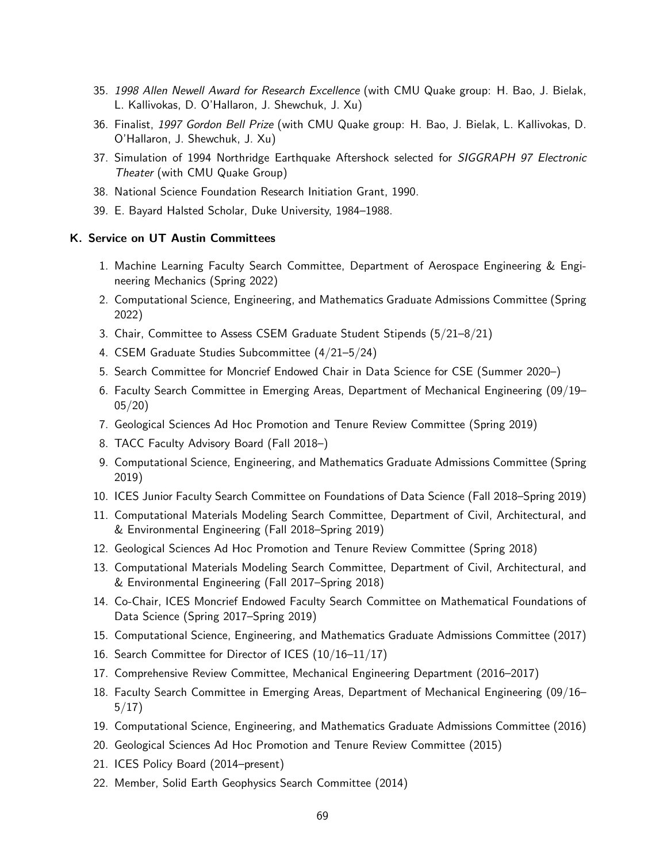- 35. 1998 Allen Newell Award for Research Excellence (with CMU Quake group: H. Bao, J. Bielak, L. Kallivokas, D. O'Hallaron, J. Shewchuk, J. Xu)
- 36. Finalist, 1997 Gordon Bell Prize (with CMU Quake group: H. Bao, J. Bielak, L. Kallivokas, D. O'Hallaron, J. Shewchuk, J. Xu)
- 37. Simulation of 1994 Northridge Earthquake Aftershock selected for SIGGRAPH 97 Electronic Theater (with CMU Quake Group)
- 38. National Science Foundation Research Initiation Grant, 1990.
- 39. E. Bayard Halsted Scholar, Duke University, 1984–1988.

### K. Service on UT Austin Committees

- 1. Machine Learning Faculty Search Committee, Department of Aerospace Engineering & Engineering Mechanics (Spring 2022)
- 2. Computational Science, Engineering, and Mathematics Graduate Admissions Committee (Spring 2022)
- 3. Chair, Committee to Assess CSEM Graduate Student Stipends (5/21–8/21)
- 4. CSEM Graduate Studies Subcommittee (4/21–5/24)
- 5. Search Committee for Moncrief Endowed Chair in Data Science for CSE (Summer 2020–)
- 6. Faculty Search Committee in Emerging Areas, Department of Mechanical Engineering (09/19– 05/20)
- 7. Geological Sciences Ad Hoc Promotion and Tenure Review Committee (Spring 2019)
- 8. TACC Faculty Advisory Board (Fall 2018–)
- 9. Computational Science, Engineering, and Mathematics Graduate Admissions Committee (Spring 2019)
- 10. ICES Junior Faculty Search Committee on Foundations of Data Science (Fall 2018–Spring 2019)
- 11. Computational Materials Modeling Search Committee, Department of Civil, Architectural, and & Environmental Engineering (Fall 2018–Spring 2019)
- 12. Geological Sciences Ad Hoc Promotion and Tenure Review Committee (Spring 2018)
- 13. Computational Materials Modeling Search Committee, Department of Civil, Architectural, and & Environmental Engineering (Fall 2017–Spring 2018)
- 14. Co-Chair, ICES Moncrief Endowed Faculty Search Committee on Mathematical Foundations of Data Science (Spring 2017–Spring 2019)
- 15. Computational Science, Engineering, and Mathematics Graduate Admissions Committee (2017)
- 16. Search Committee for Director of ICES (10/16–11/17)
- 17. Comprehensive Review Committee, Mechanical Engineering Department (2016–2017)
- 18. Faculty Search Committee in Emerging Areas, Department of Mechanical Engineering (09/16– 5/17)
- 19. Computational Science, Engineering, and Mathematics Graduate Admissions Committee (2016)
- 20. Geological Sciences Ad Hoc Promotion and Tenure Review Committee (2015)
- 21. ICES Policy Board (2014–present)
- 22. Member, Solid Earth Geophysics Search Committee (2014)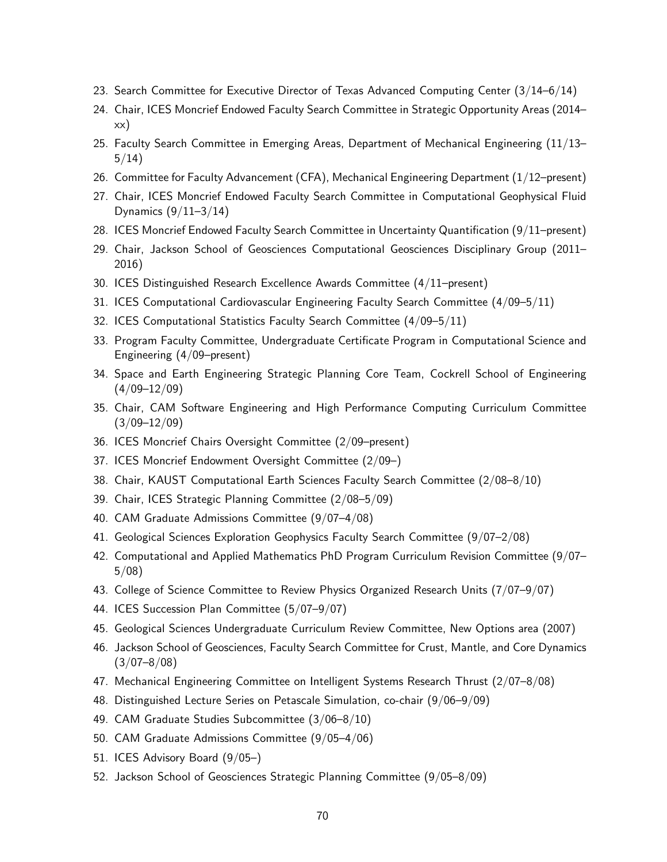- 23. Search Committee for Executive Director of Texas Advanced Computing Center (3/14–6/14)
- 24. Chair, ICES Moncrief Endowed Faculty Search Committee in Strategic Opportunity Areas (2014– xx)
- 25. Faculty Search Committee in Emerging Areas, Department of Mechanical Engineering (11/13– 5/14)
- 26. Committee for Faculty Advancement (CFA), Mechanical Engineering Department (1/12–present)
- 27. Chair, ICES Moncrief Endowed Faculty Search Committee in Computational Geophysical Fluid Dynamics (9/11–3/14)
- 28. ICES Moncrief Endowed Faculty Search Committee in Uncertainty Quantification (9/11–present)
- 29. Chair, Jackson School of Geosciences Computational Geosciences Disciplinary Group (2011– 2016)
- 30. ICES Distinguished Research Excellence Awards Committee (4/11–present)
- 31. ICES Computational Cardiovascular Engineering Faculty Search Committee (4/09–5/11)
- 32. ICES Computational Statistics Faculty Search Committee (4/09–5/11)
- 33. Program Faculty Committee, Undergraduate Certificate Program in Computational Science and Engineering (4/09–present)
- 34. Space and Earth Engineering Strategic Planning Core Team, Cockrell School of Engineering  $(4/09-12/09)$
- 35. Chair, CAM Software Engineering and High Performance Computing Curriculum Committee  $(3/09 - 12/09)$
- 36. ICES Moncrief Chairs Oversight Committee (2/09–present)
- 37. ICES Moncrief Endowment Oversight Committee (2/09–)
- 38. Chair, KAUST Computational Earth Sciences Faculty Search Committee (2/08–8/10)
- 39. Chair, ICES Strategic Planning Committee (2/08–5/09)
- 40. CAM Graduate Admissions Committee (9/07–4/08)
- 41. Geological Sciences Exploration Geophysics Faculty Search Committee (9/07–2/08)
- 42. Computational and Applied Mathematics PhD Program Curriculum Revision Committee (9/07– 5/08)
- 43. College of Science Committee to Review Physics Organized Research Units (7/07–9/07)
- 44. ICES Succession Plan Committee (5/07–9/07)
- 45. Geological Sciences Undergraduate Curriculum Review Committee, New Options area (2007)
- 46. Jackson School of Geosciences, Faculty Search Committee for Crust, Mantle, and Core Dynamics  $(3/07–8/08)$
- 47. Mechanical Engineering Committee on Intelligent Systems Research Thrust (2/07–8/08)
- 48. Distinguished Lecture Series on Petascale Simulation, co-chair (9/06–9/09)
- 49. CAM Graduate Studies Subcommittee (3/06–8/10)
- 50. CAM Graduate Admissions Committee (9/05–4/06)
- 51. ICES Advisory Board (9/05–)
- 52. Jackson School of Geosciences Strategic Planning Committee (9/05–8/09)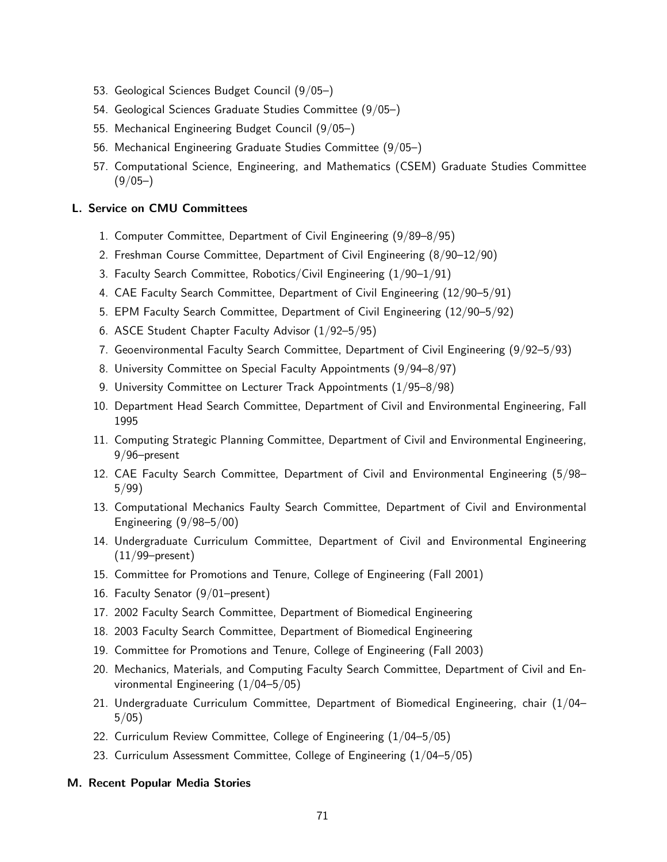- 53. Geological Sciences Budget Council (9/05–)
- 54. Geological Sciences Graduate Studies Committee (9/05–)
- 55. Mechanical Engineering Budget Council (9/05–)
- 56. Mechanical Engineering Graduate Studies Committee (9/05–)
- 57. Computational Science, Engineering, and Mathematics (CSEM) Graduate Studies Committee  $(9/05-)$

## L. Service on CMU Committees

- 1. Computer Committee, Department of Civil Engineering (9/89–8/95)
- 2. Freshman Course Committee, Department of Civil Engineering (8/90–12/90)
- 3. Faculty Search Committee, Robotics/Civil Engineering (1/90–1/91)
- 4. CAE Faculty Search Committee, Department of Civil Engineering (12/90–5/91)
- 5. EPM Faculty Search Committee, Department of Civil Engineering (12/90–5/92)
- 6. ASCE Student Chapter Faculty Advisor (1/92–5/95)
- 7. Geoenvironmental Faculty Search Committee, Department of Civil Engineering (9/92–5/93)
- 8. University Committee on Special Faculty Appointments (9/94–8/97)
- 9. University Committee on Lecturer Track Appointments (1/95–8/98)
- 10. Department Head Search Committee, Department of Civil and Environmental Engineering, Fall 1995
- 11. Computing Strategic Planning Committee, Department of Civil and Environmental Engineering, 9/96–present
- 12. CAE Faculty Search Committee, Department of Civil and Environmental Engineering (5/98– 5/99)
- 13. Computational Mechanics Faulty Search Committee, Department of Civil and Environmental Engineering (9/98–5/00)
- 14. Undergraduate Curriculum Committee, Department of Civil and Environmental Engineering  $(11/99$ –present)
- 15. Committee for Promotions and Tenure, College of Engineering (Fall 2001)
- 16. Faculty Senator (9/01–present)
- 17. 2002 Faculty Search Committee, Department of Biomedical Engineering
- 18. 2003 Faculty Search Committee, Department of Biomedical Engineering
- 19. Committee for Promotions and Tenure, College of Engineering (Fall 2003)
- 20. Mechanics, Materials, and Computing Faculty Search Committee, Department of Civil and Environmental Engineering (1/04–5/05)
- 21. Undergraduate Curriculum Committee, Department of Biomedical Engineering, chair (1/04– 5/05)
- 22. Curriculum Review Committee, College of Engineering (1/04–5/05)
- 23. Curriculum Assessment Committee, College of Engineering (1/04–5/05)

### M. Recent Popular Media Stories